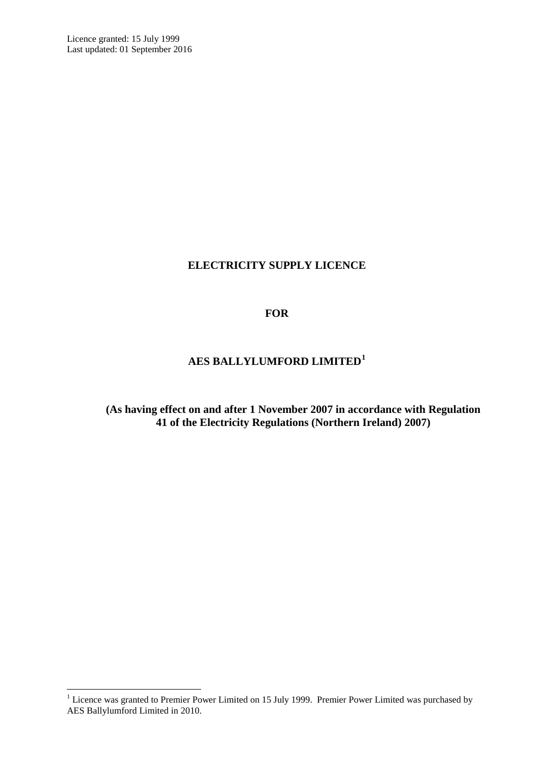# **ELECTRICITY SUPPLY LICENCE**

## **FOR**

# **AES BALLYLUMFORD LIMITED[1](#page-3-0)**

**(As having effect on and after 1 November 2007 in accordance with Regulation 41 of the Electricity Regulations (Northern Ireland) 2007)**

<sup>&</sup>lt;sup>1</sup> Licence was granted to Premier Power Limited on 15 July 1999. Premier Power Limited was purchased by AES Ballylumford Limited in 2010.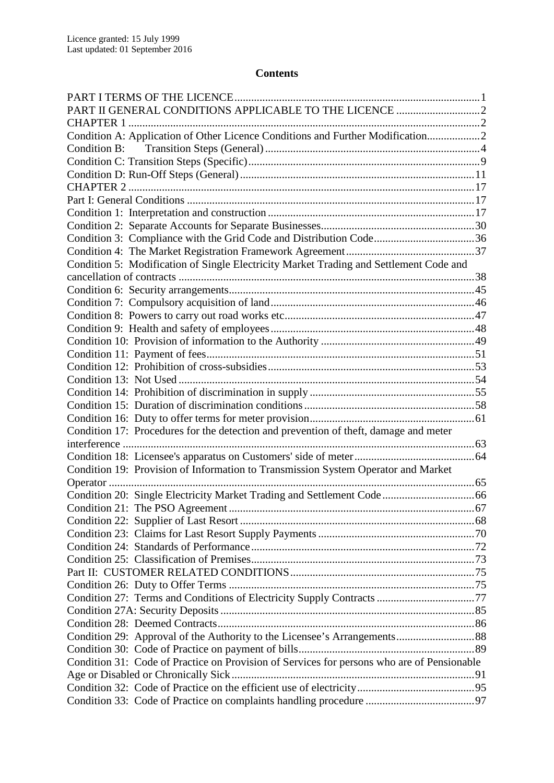# **Contents**

| Condition A: Application of Other Licence Conditions and Further Modification2             |  |
|--------------------------------------------------------------------------------------------|--|
|                                                                                            |  |
|                                                                                            |  |
|                                                                                            |  |
|                                                                                            |  |
|                                                                                            |  |
|                                                                                            |  |
|                                                                                            |  |
| Condition 3: Compliance with the Grid Code and Distribution Code36                         |  |
|                                                                                            |  |
| Condition 5: Modification of Single Electricity Market Trading and Settlement Code and     |  |
|                                                                                            |  |
|                                                                                            |  |
|                                                                                            |  |
|                                                                                            |  |
|                                                                                            |  |
|                                                                                            |  |
|                                                                                            |  |
|                                                                                            |  |
|                                                                                            |  |
|                                                                                            |  |
|                                                                                            |  |
|                                                                                            |  |
| Condition 17: Procedures for the detection and prevention of theft, damage and meter       |  |
|                                                                                            |  |
|                                                                                            |  |
| Condition 19: Provision of Information to Transmission System Operator and Market          |  |
|                                                                                            |  |
|                                                                                            |  |
|                                                                                            |  |
|                                                                                            |  |
|                                                                                            |  |
|                                                                                            |  |
|                                                                                            |  |
|                                                                                            |  |
|                                                                                            |  |
| Condition 27: Terms and Conditions of Electricity Supply Contracts 77                      |  |
|                                                                                            |  |
|                                                                                            |  |
|                                                                                            |  |
|                                                                                            |  |
| Condition 31: Code of Practice on Provision of Services for persons who are of Pensionable |  |
|                                                                                            |  |
|                                                                                            |  |
|                                                                                            |  |
|                                                                                            |  |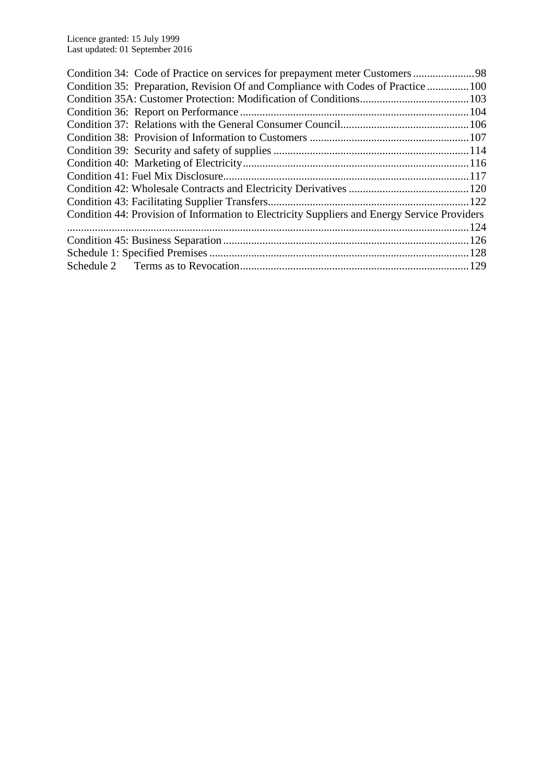| Condition 34: Code of Practice on services for prepayment meter Customers98                  |     |
|----------------------------------------------------------------------------------------------|-----|
| Condition 35: Preparation, Revision Of and Compliance with Codes of Practice  100            |     |
|                                                                                              |     |
|                                                                                              |     |
|                                                                                              |     |
|                                                                                              |     |
|                                                                                              |     |
|                                                                                              |     |
|                                                                                              |     |
|                                                                                              |     |
|                                                                                              |     |
| Condition 44: Provision of Information to Electricity Suppliers and Energy Service Providers |     |
|                                                                                              | 124 |
|                                                                                              |     |
|                                                                                              |     |
|                                                                                              |     |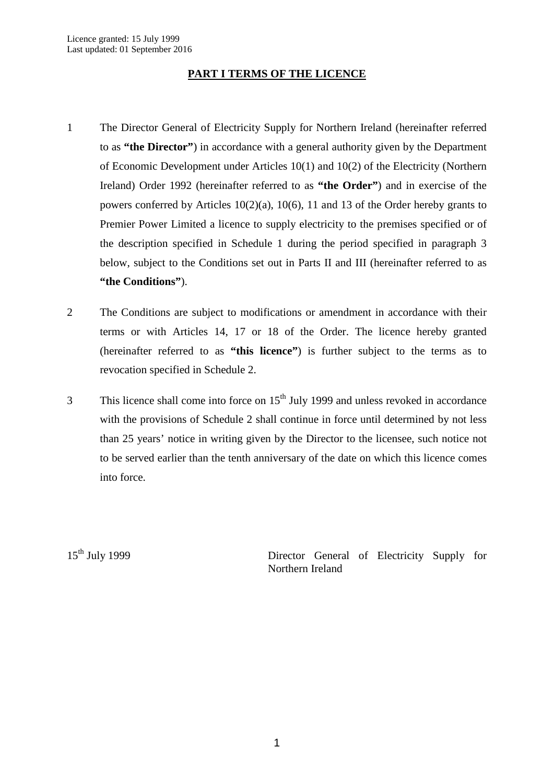# **PART I TERMS OF THE LICENCE**

- <span id="page-3-1"></span>1 The Director General of Electricity Supply for Northern Ireland (hereinafter referred to as **"the Director"**) in accordance with a general authority given by the Department of Economic Development under Articles 10(1) and 10(2) of the Electricity (Northern Ireland) Order 1992 (hereinafter referred to as **"the Order"**) and in exercise of the powers conferred by Articles 10(2)(a), 10(6), 11 and 13 of the Order hereby grants to Premier Power Limited a licence to supply electricity to the premises specified or of the description specified in Schedule 1 during the period specified in paragraph 3 below, subject to the Conditions set out in Parts II and III (hereinafter referred to as **"the Conditions"**).
- 2 The Conditions are subject to modifications or amendment in accordance with their terms or with Articles 14, 17 or 18 of the Order. The licence hereby granted (hereinafter referred to as **"this licence"**) is further subject to the terms as to revocation specified in Schedule 2.
- $3$  This licence shall come into force on  $15<sup>th</sup>$  July 1999 and unless revoked in accordance with the provisions of Schedule 2 shall continue in force until determined by not less than 25 years' notice in writing given by the Director to the licensee, such notice not to be served earlier than the tenth anniversary of the date on which this licence comes into force.

<span id="page-3-0"></span>

15<sup>th</sup> July 1999 Director General of Electricity Supply for Northern Ireland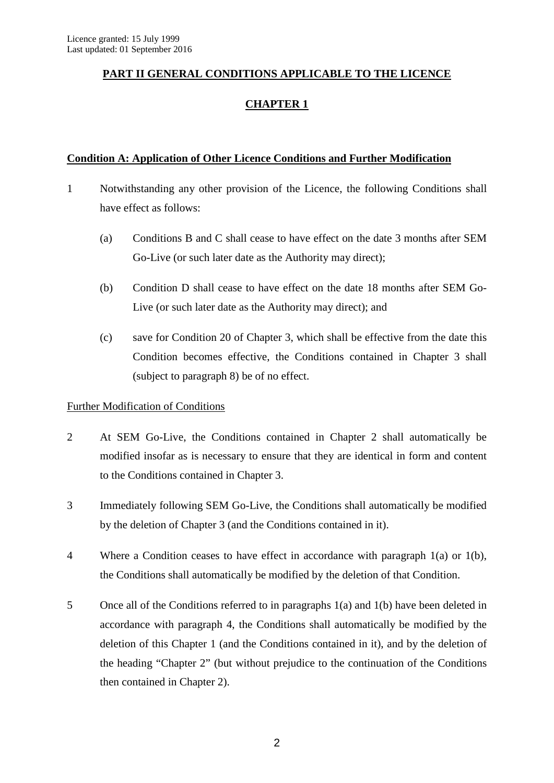# <span id="page-4-1"></span><span id="page-4-0"></span>**PART II GENERAL CONDITIONS APPLICABLE TO THE LICENCE**

# **CHAPTER 1**

# <span id="page-4-2"></span>**Condition A: Application of Other Licence Conditions and Further Modification**

- 1 Notwithstanding any other provision of the Licence, the following Conditions shall have effect as follows:
	- (a) Conditions B and C shall cease to have effect on the date 3 months after SEM Go-Live (or such later date as the Authority may direct);
	- (b) Condition D shall cease to have effect on the date 18 months after SEM Go-Live (or such later date as the Authority may direct); and
	- (c) save for Condition 20 of Chapter 3, which shall be effective from the date this Condition becomes effective, the Conditions contained in Chapter 3 shall (subject to paragraph 8) be of no effect.

# Further Modification of Conditions

- 2 At SEM Go-Live, the Conditions contained in Chapter 2 shall automatically be modified insofar as is necessary to ensure that they are identical in form and content to the Conditions contained in Chapter 3.
- 3 Immediately following SEM Go-Live, the Conditions shall automatically be modified by the deletion of Chapter 3 (and the Conditions contained in it).
- 4 Where a Condition ceases to have effect in accordance with paragraph 1(a) or 1(b), the Conditions shall automatically be modified by the deletion of that Condition.
- 5 Once all of the Conditions referred to in paragraphs 1(a) and 1(b) have been deleted in accordance with paragraph 4, the Conditions shall automatically be modified by the deletion of this Chapter 1 (and the Conditions contained in it), and by the deletion of the heading "Chapter 2" (but without prejudice to the continuation of the Conditions then contained in Chapter 2).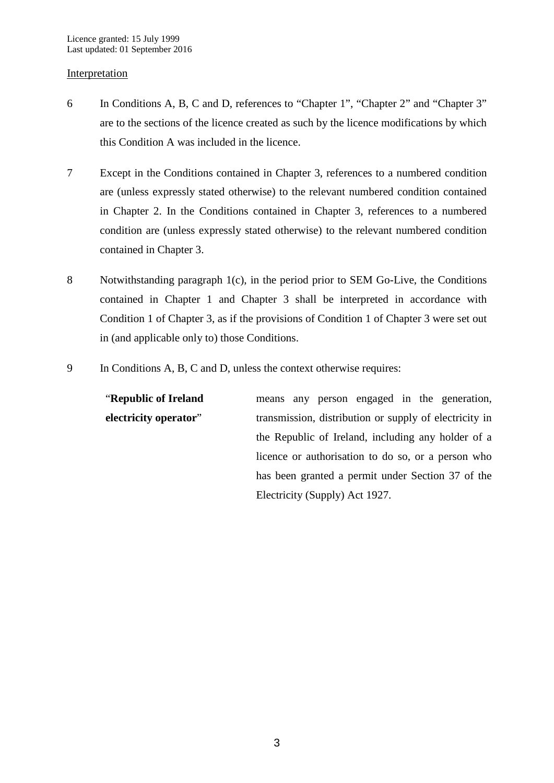#### Interpretation

- 6 In Conditions A, B, C and D, references to "Chapter 1", "Chapter 2" and "Chapter 3" are to the sections of the licence created as such by the licence modifications by which this Condition A was included in the licence.
- 7 Except in the Conditions contained in Chapter 3, references to a numbered condition are (unless expressly stated otherwise) to the relevant numbered condition contained in Chapter 2. In the Conditions contained in Chapter 3, references to a numbered condition are (unless expressly stated otherwise) to the relevant numbered condition contained in Chapter 3.
- 8 Notwithstanding paragraph 1(c), in the period prior to SEM Go-Live, the Conditions contained in Chapter 1 and Chapter 3 shall be interpreted in accordance with Condition 1 of Chapter 3, as if the provisions of Condition 1 of Chapter 3 were set out in (and applicable only to) those Conditions.
- 9 In Conditions A, B, C and D, unless the context otherwise requires:

"**Republic of Ireland electricity operator**" means any person engaged in the generation, transmission, distribution or supply of electricity in the Republic of Ireland, including any holder of a licence or authorisation to do so, or a person who has been granted a permit under Section 37 of the Electricity (Supply) Act 1927.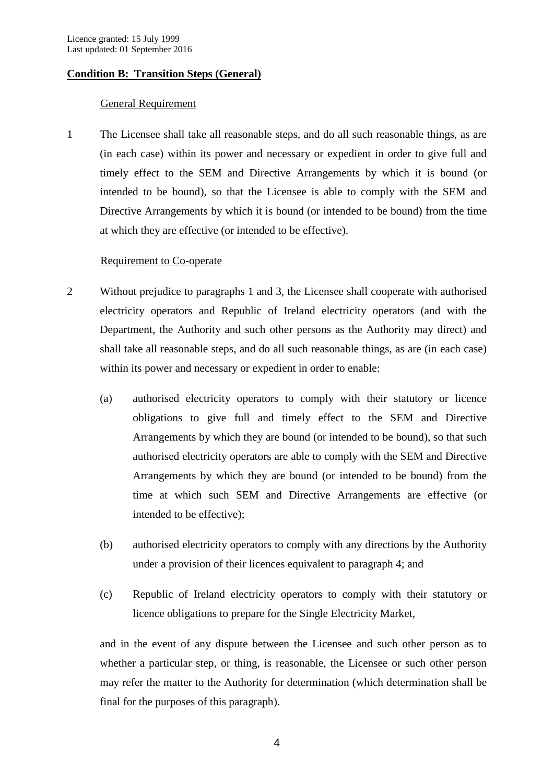# <span id="page-6-0"></span>**Condition B: Transition Steps (General)**

## General Requirement

1 The Licensee shall take all reasonable steps, and do all such reasonable things, as are (in each case) within its power and necessary or expedient in order to give full and timely effect to the SEM and Directive Arrangements by which it is bound (or intended to be bound), so that the Licensee is able to comply with the SEM and Directive Arrangements by which it is bound (or intended to be bound) from the time at which they are effective (or intended to be effective).

### Requirement to Co-operate

- 2 Without prejudice to paragraphs 1 and 3, the Licensee shall cooperate with authorised electricity operators and Republic of Ireland electricity operators (and with the Department, the Authority and such other persons as the Authority may direct) and shall take all reasonable steps, and do all such reasonable things, as are (in each case) within its power and necessary or expedient in order to enable:
	- (a) authorised electricity operators to comply with their statutory or licence obligations to give full and timely effect to the SEM and Directive Arrangements by which they are bound (or intended to be bound), so that such authorised electricity operators are able to comply with the SEM and Directive Arrangements by which they are bound (or intended to be bound) from the time at which such SEM and Directive Arrangements are effective (or intended to be effective);
	- (b) authorised electricity operators to comply with any directions by the Authority under a provision of their licences equivalent to paragraph 4; and
	- (c) Republic of Ireland electricity operators to comply with their statutory or licence obligations to prepare for the Single Electricity Market,

and in the event of any dispute between the Licensee and such other person as to whether a particular step, or thing, is reasonable, the Licensee or such other person may refer the matter to the Authority for determination (which determination shall be final for the purposes of this paragraph).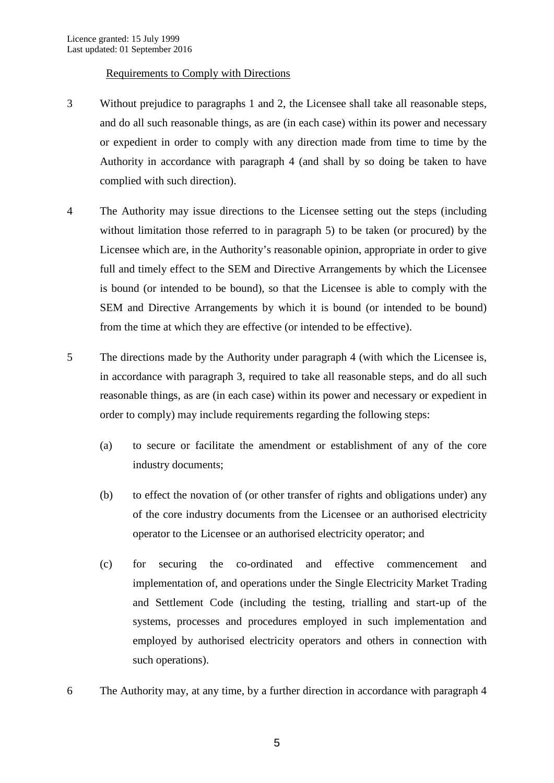## Requirements to Comply with Directions

- 3 Without prejudice to paragraphs 1 and 2, the Licensee shall take all reasonable steps, and do all such reasonable things, as are (in each case) within its power and necessary or expedient in order to comply with any direction made from time to time by the Authority in accordance with paragraph 4 (and shall by so doing be taken to have complied with such direction).
- 4 The Authority may issue directions to the Licensee setting out the steps (including without limitation those referred to in paragraph 5) to be taken (or procured) by the Licensee which are, in the Authority's reasonable opinion, appropriate in order to give full and timely effect to the SEM and Directive Arrangements by which the Licensee is bound (or intended to be bound), so that the Licensee is able to comply with the SEM and Directive Arrangements by which it is bound (or intended to be bound) from the time at which they are effective (or intended to be effective).
- 5 The directions made by the Authority under paragraph 4 (with which the Licensee is, in accordance with paragraph 3, required to take all reasonable steps, and do all such reasonable things, as are (in each case) within its power and necessary or expedient in order to comply) may include requirements regarding the following steps:
	- (a) to secure or facilitate the amendment or establishment of any of the core industry documents;
	- (b) to effect the novation of (or other transfer of rights and obligations under) any of the core industry documents from the Licensee or an authorised electricity operator to the Licensee or an authorised electricity operator; and
	- (c) for securing the co-ordinated and effective commencement and implementation of, and operations under the Single Electricity Market Trading and Settlement Code (including the testing, trialling and start-up of the systems, processes and procedures employed in such implementation and employed by authorised electricity operators and others in connection with such operations).
- 6 The Authority may, at any time, by a further direction in accordance with paragraph 4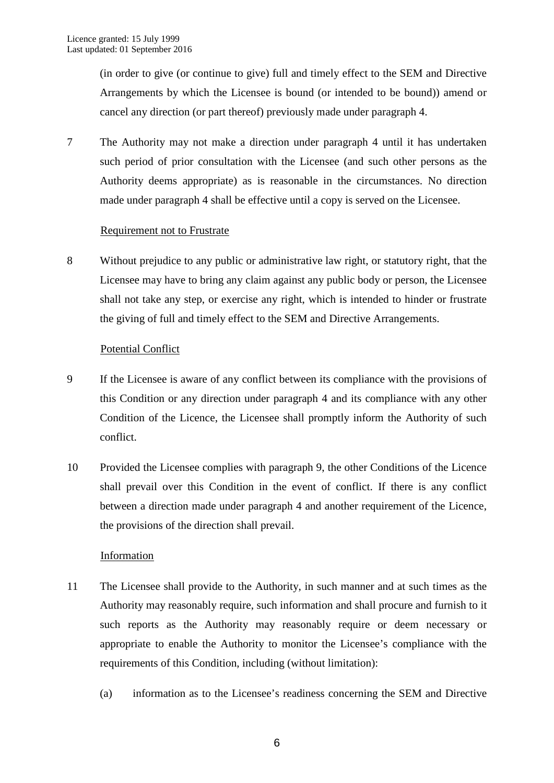(in order to give (or continue to give) full and timely effect to the SEM and Directive Arrangements by which the Licensee is bound (or intended to be bound)) amend or cancel any direction (or part thereof) previously made under paragraph 4.

7 The Authority may not make a direction under paragraph 4 until it has undertaken such period of prior consultation with the Licensee (and such other persons as the Authority deems appropriate) as is reasonable in the circumstances. No direction made under paragraph 4 shall be effective until a copy is served on the Licensee.

## Requirement not to Frustrate

8 Without prejudice to any public or administrative law right, or statutory right, that the Licensee may have to bring any claim against any public body or person, the Licensee shall not take any step, or exercise any right, which is intended to hinder or frustrate the giving of full and timely effect to the SEM and Directive Arrangements.

## Potential Conflict

- 9 If the Licensee is aware of any conflict between its compliance with the provisions of this Condition or any direction under paragraph 4 and its compliance with any other Condition of the Licence, the Licensee shall promptly inform the Authority of such conflict.
- 10 Provided the Licensee complies with paragraph 9, the other Conditions of the Licence shall prevail over this Condition in the event of conflict. If there is any conflict between a direction made under paragraph 4 and another requirement of the Licence, the provisions of the direction shall prevail.

# Information

- 11 The Licensee shall provide to the Authority, in such manner and at such times as the Authority may reasonably require, such information and shall procure and furnish to it such reports as the Authority may reasonably require or deem necessary or appropriate to enable the Authority to monitor the Licensee's compliance with the requirements of this Condition, including (without limitation):
	- (a) information as to the Licensee's readiness concerning the SEM and Directive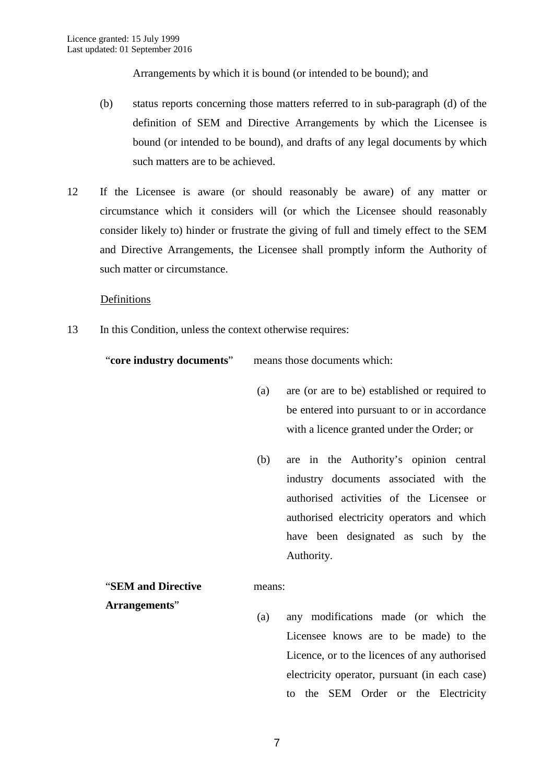Arrangements by which it is bound (or intended to be bound); and

- (b) status reports concerning those matters referred to in sub-paragraph (d) of the definition of SEM and Directive Arrangements by which the Licensee is bound (or intended to be bound), and drafts of any legal documents by which such matters are to be achieved.
- 12 If the Licensee is aware (or should reasonably be aware) of any matter or circumstance which it considers will (or which the Licensee should reasonably consider likely to) hinder or frustrate the giving of full and timely effect to the SEM and Directive Arrangements, the Licensee shall promptly inform the Authority of such matter or circumstance.

Definitions

13 In this Condition, unless the context otherwise requires:

"**core industry documents**" means those documents which:

- (a) are (or are to be) established or required to be entered into pursuant to or in accordance with a licence granted under the Order; or
- (b) are in the Authority's opinion central industry documents associated with the authorised activities of the Licensee or authorised electricity operators and which have been designated as such by the Authority.

#### "**SEM and Directive**  means:

- **Arrangements**"
- (a) any modifications made (or which the Licensee knows are to be made) to the Licence, or to the licences of any authorised electricity operator, pursuant (in each case) to the SEM Order or the Electricity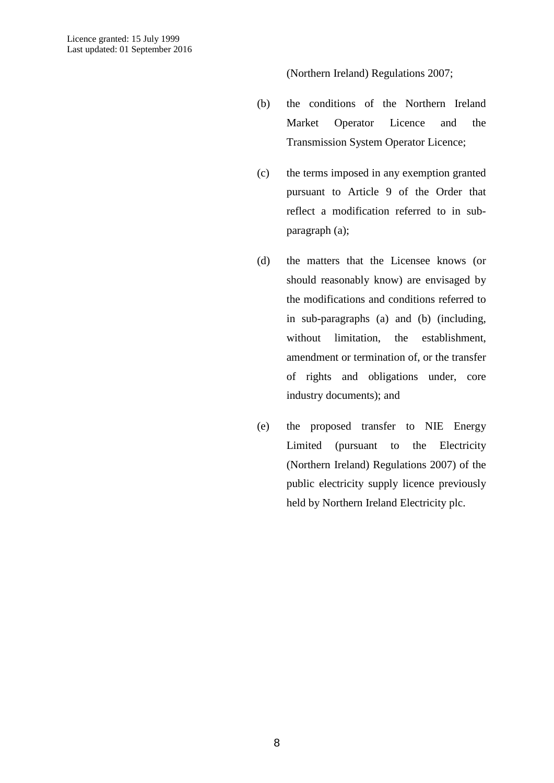(Northern Ireland) Regulations 2007;

- (b) the conditions of the Northern Ireland Market Operator Licence and the Transmission System Operator Licence;
- (c) the terms imposed in any exemption granted pursuant to Article 9 of the Order that reflect a modification referred to in subparagraph (a);
- (d) the matters that the Licensee knows (or should reasonably know) are envisaged by the modifications and conditions referred to in sub-paragraphs (a) and (b) (including, without limitation, the establishment, amendment or termination of, or the transfer of rights and obligations under, core industry documents); and
- (e) the proposed transfer to NIE Energy Limited (pursuant to the Electricity (Northern Ireland) Regulations 2007) of the public electricity supply licence previously held by Northern Ireland Electricity plc.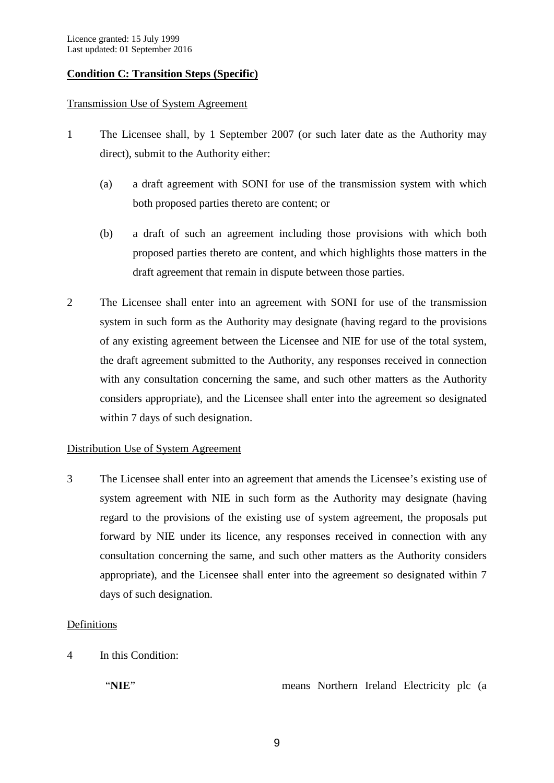# <span id="page-11-0"></span>**Condition C: Transition Steps (Specific)**

### Transmission Use of System Agreement

- 1 The Licensee shall, by 1 September 2007 (or such later date as the Authority may direct), submit to the Authority either:
	- (a) a draft agreement with SONI for use of the transmission system with which both proposed parties thereto are content; or
	- (b) a draft of such an agreement including those provisions with which both proposed parties thereto are content, and which highlights those matters in the draft agreement that remain in dispute between those parties.
- 2 The Licensee shall enter into an agreement with SONI for use of the transmission system in such form as the Authority may designate (having regard to the provisions of any existing agreement between the Licensee and NIE for use of the total system, the draft agreement submitted to the Authority, any responses received in connection with any consultation concerning the same, and such other matters as the Authority considers appropriate), and the Licensee shall enter into the agreement so designated within 7 days of such designation.

### Distribution Use of System Agreement

3 The Licensee shall enter into an agreement that amends the Licensee's existing use of system agreement with NIE in such form as the Authority may designate (having regard to the provisions of the existing use of system agreement, the proposals put forward by NIE under its licence, any responses received in connection with any consultation concerning the same, and such other matters as the Authority considers appropriate), and the Licensee shall enter into the agreement so designated within 7 days of such designation.

### **Definitions**

4 In this Condition:

"NIE" means Northern Ireland Electricity plc (a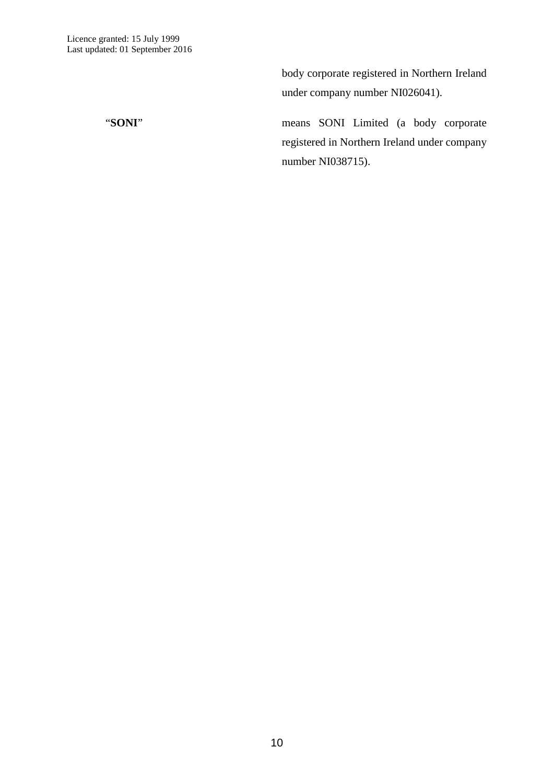body corporate registered in Northern Ireland under company number NI026041).

"**SONI**" means SONI Limited (a body corporate registered in Northern Ireland under company number NI038715).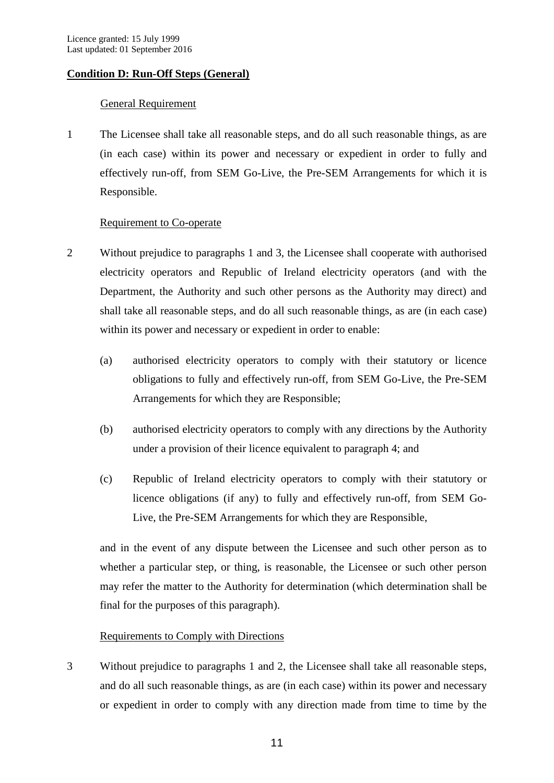# <span id="page-13-0"></span>**Condition D: Run-Off Steps (General)**

# General Requirement

1 The Licensee shall take all reasonable steps, and do all such reasonable things, as are (in each case) within its power and necessary or expedient in order to fully and effectively run-off, from SEM Go-Live, the Pre-SEM Arrangements for which it is Responsible.

# Requirement to Co-operate

- 2 Without prejudice to paragraphs 1 and 3, the Licensee shall cooperate with authorised electricity operators and Republic of Ireland electricity operators (and with the Department, the Authority and such other persons as the Authority may direct) and shall take all reasonable steps, and do all such reasonable things, as are (in each case) within its power and necessary or expedient in order to enable:
	- (a) authorised electricity operators to comply with their statutory or licence obligations to fully and effectively run-off, from SEM Go-Live, the Pre-SEM Arrangements for which they are Responsible;
	- (b) authorised electricity operators to comply with any directions by the Authority under a provision of their licence equivalent to paragraph 4; and
	- (c) Republic of Ireland electricity operators to comply with their statutory or licence obligations (if any) to fully and effectively run-off, from SEM Go-Live, the Pre-SEM Arrangements for which they are Responsible,

and in the event of any dispute between the Licensee and such other person as to whether a particular step, or thing, is reasonable, the Licensee or such other person may refer the matter to the Authority for determination (which determination shall be final for the purposes of this paragraph).

# Requirements to Comply with Directions

3 Without prejudice to paragraphs 1 and 2, the Licensee shall take all reasonable steps, and do all such reasonable things, as are (in each case) within its power and necessary or expedient in order to comply with any direction made from time to time by the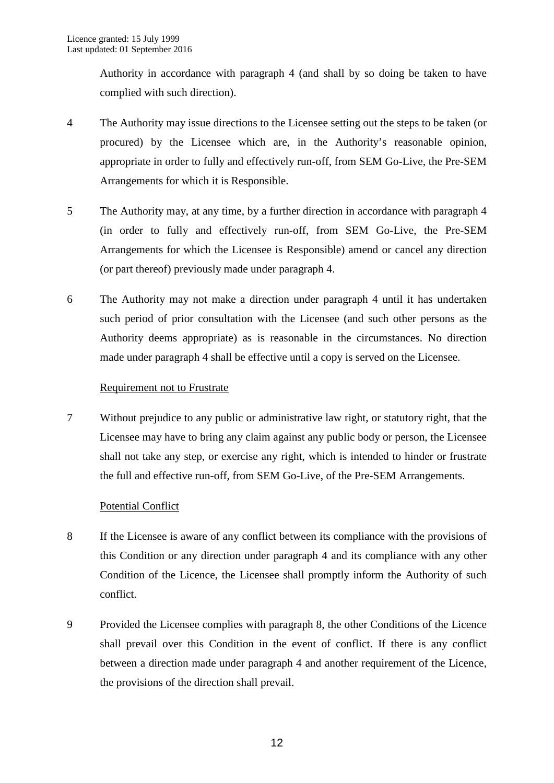Authority in accordance with paragraph 4 (and shall by so doing be taken to have complied with such direction).

- 4 The Authority may issue directions to the Licensee setting out the steps to be taken (or procured) by the Licensee which are, in the Authority's reasonable opinion, appropriate in order to fully and effectively run-off, from SEM Go-Live, the Pre-SEM Arrangements for which it is Responsible.
- 5 The Authority may, at any time, by a further direction in accordance with paragraph 4 (in order to fully and effectively run-off, from SEM Go-Live, the Pre-SEM Arrangements for which the Licensee is Responsible) amend or cancel any direction (or part thereof) previously made under paragraph 4.
- 6 The Authority may not make a direction under paragraph 4 until it has undertaken such period of prior consultation with the Licensee (and such other persons as the Authority deems appropriate) as is reasonable in the circumstances. No direction made under paragraph 4 shall be effective until a copy is served on the Licensee.

# Requirement not to Frustrate

7 Without prejudice to any public or administrative law right, or statutory right, that the Licensee may have to bring any claim against any public body or person, the Licensee shall not take any step, or exercise any right, which is intended to hinder or frustrate the full and effective run-off, from SEM Go-Live, of the Pre-SEM Arrangements.

# Potential Conflict

- 8 If the Licensee is aware of any conflict between its compliance with the provisions of this Condition or any direction under paragraph 4 and its compliance with any other Condition of the Licence, the Licensee shall promptly inform the Authority of such conflict.
- 9 Provided the Licensee complies with paragraph 8, the other Conditions of the Licence shall prevail over this Condition in the event of conflict. If there is any conflict between a direction made under paragraph 4 and another requirement of the Licence, the provisions of the direction shall prevail.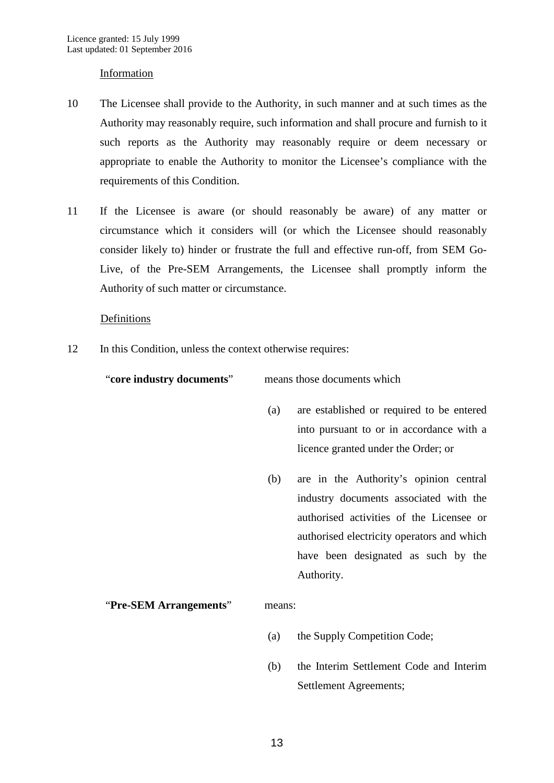#### Information

- 10 The Licensee shall provide to the Authority, in such manner and at such times as the Authority may reasonably require, such information and shall procure and furnish to it such reports as the Authority may reasonably require or deem necessary or appropriate to enable the Authority to monitor the Licensee's compliance with the requirements of this Condition.
- 11 If the Licensee is aware (or should reasonably be aware) of any matter or circumstance which it considers will (or which the Licensee should reasonably consider likely to) hinder or frustrate the full and effective run-off, from SEM Go-Live, of the Pre-SEM Arrangements, the Licensee shall promptly inform the Authority of such matter or circumstance.

#### Definitions

12 In this Condition, unless the context otherwise requires:

"**core industry documents**" means those documents which

- (a) are established or required to be entered into pursuant to or in accordance with a licence granted under the Order; or
- (b) are in the Authority's opinion central industry documents associated with the authorised activities of the Licensee or authorised electricity operators and which have been designated as such by the Authority.

### "**Pre-SEM Arrangements**" means:

- (a) the Supply Competition Code;
- (b) the Interim Settlement Code and Interim Settlement Agreements;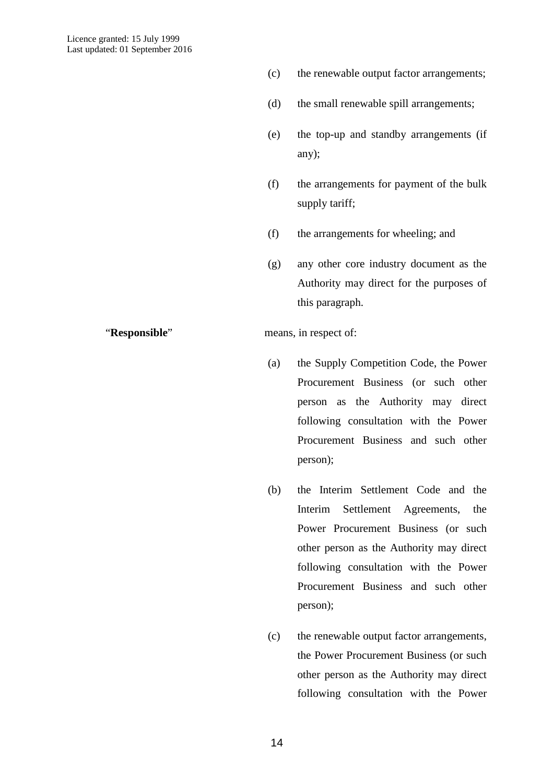- (c) the renewable output factor arrangements;
- (d) the small renewable spill arrangements;
- (e) the top-up and standby arrangements (if any);
- (f) the arrangements for payment of the bulk supply tariff;
- (f) the arrangements for wheeling; and
- (g) any other core industry document as the Authority may direct for the purposes of this paragraph.

#### "**Responsible**" means, in respect of:

- (a) the Supply Competition Code, the Power Procurement Business (or such other person as the Authority may direct following consultation with the Power Procurement Business and such other person);
- (b) the Interim Settlement Code and the Interim Settlement Agreements, the Power Procurement Business (or such other person as the Authority may direct following consultation with the Power Procurement Business and such other person);
- (c) the renewable output factor arrangements, the Power Procurement Business (or such other person as the Authority may direct following consultation with the Power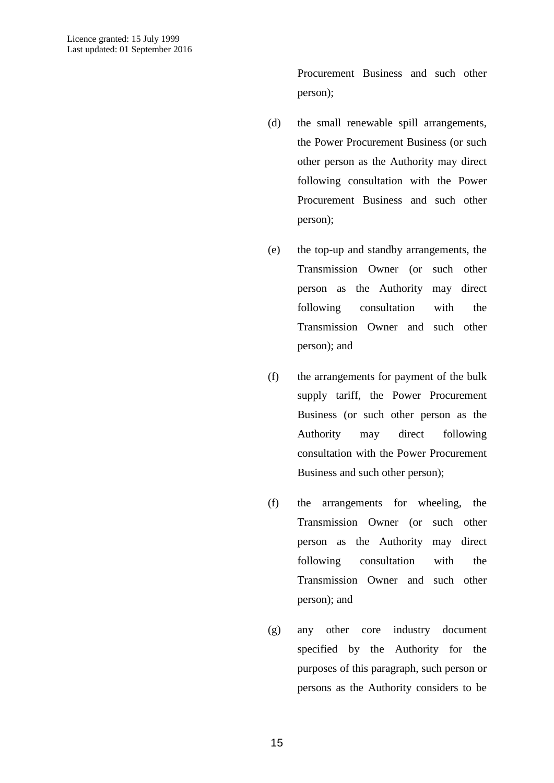Procurement Business and such other person);

- (d) the small renewable spill arrangements, the Power Procurement Business (or such other person as the Authority may direct following consultation with the Power Procurement Business and such other person);
- (e) the top-up and standby arrangements, the Transmission Owner (or such other person as the Authority may direct following consultation with the Transmission Owner and such other person); and
- (f) the arrangements for payment of the bulk supply tariff, the Power Procurement Business (or such other person as the Authority may direct following consultation with the Power Procurement Business and such other person);
- (f) the arrangements for wheeling, the Transmission Owner (or such other person as the Authority may direct following consultation with the Transmission Owner and such other person); and
- (g) any other core industry document specified by the Authority for the purposes of this paragraph, such person or persons as the Authority considers to be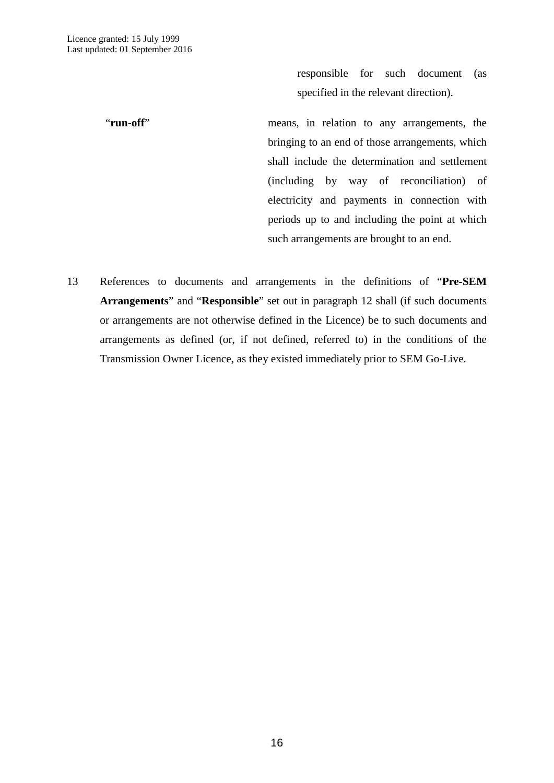responsible for such document (as specified in the relevant direction).

"**run-off**" means, in relation to any arrangements, the bringing to an end of those arrangements, which shall include the determination and settlement (including by way of reconciliation) of electricity and payments in connection with periods up to and including the point at which such arrangements are brought to an end.

13 References to documents and arrangements in the definitions of "**Pre-SEM Arrangements**" and "**Responsible**" set out in paragraph 12 shall (if such documents or arrangements are not otherwise defined in the Licence) be to such documents and arrangements as defined (or, if not defined, referred to) in the conditions of the Transmission Owner Licence, as they existed immediately prior to SEM Go-Live.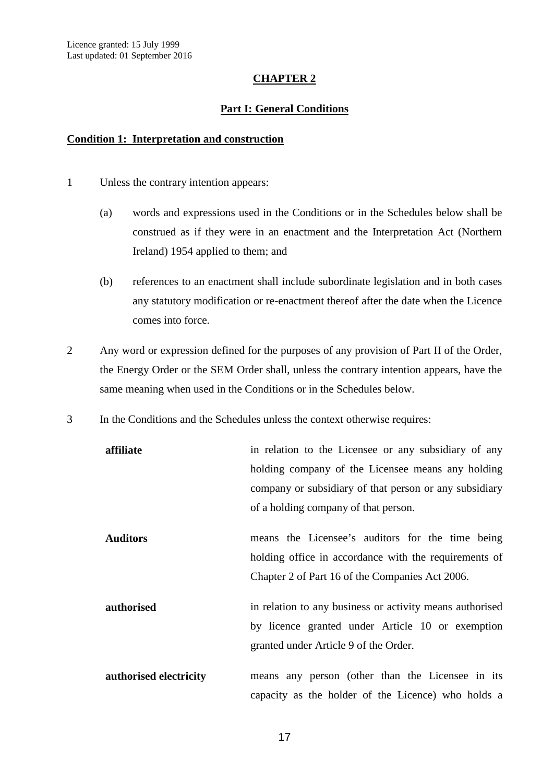# **CHAPTER 2**

# **Part I: General Conditions**

### <span id="page-19-2"></span><span id="page-19-1"></span><span id="page-19-0"></span>**Condition 1: Interpretation and construction**

- 1 Unless the contrary intention appears:
	- (a) words and expressions used in the Conditions or in the Schedules below shall be construed as if they were in an enactment and the Interpretation Act (Northern Ireland) 1954 applied to them; and
	- (b) references to an enactment shall include subordinate legislation and in both cases any statutory modification or re-enactment thereof after the date when the Licence comes into force.
- 2 Any word or expression defined for the purposes of any provision of Part II of the Order, the Energy Order or the SEM Order shall, unless the contrary intention appears, have the same meaning when used in the Conditions or in the Schedules below.
- 3 In the Conditions and the Schedules unless the context otherwise requires:

| affiliate              | in relation to the Licensee or any subsidiary of any                                                                                                  |
|------------------------|-------------------------------------------------------------------------------------------------------------------------------------------------------|
|                        | holding company of the Licensee means any holding                                                                                                     |
|                        | company or subsidiary of that person or any subsidiary                                                                                                |
|                        | of a holding company of that person.                                                                                                                  |
| <b>Auditors</b>        | means the Licensee's auditors for the time being<br>holding office in accordance with the requirements of                                             |
|                        | Chapter 2 of Part 16 of the Companies Act 2006.                                                                                                       |
| authorised             | in relation to any business or activity means authorised<br>by licence granted under Article 10 or exemption<br>granted under Article 9 of the Order. |
| authorised electricity | means any person (other than the Licensee in its<br>capacity as the holder of the Licence) who holds a                                                |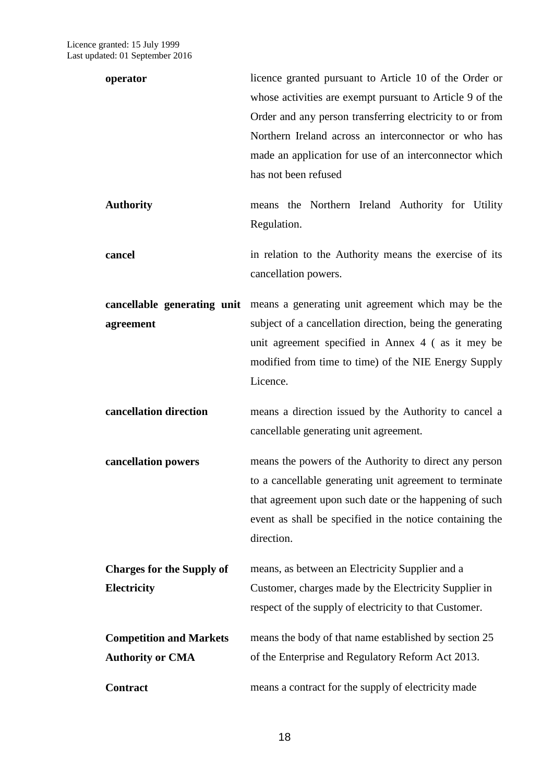| operator                         | licence granted pursuant to Article 10 of the Order or<br>whose activities are exempt pursuant to Article 9 of the<br>Order and any person transferring electricity to or from<br>Northern Ireland across an interconnector or who has<br>made an application for use of an interconnector which<br>has not been refused |
|----------------------------------|--------------------------------------------------------------------------------------------------------------------------------------------------------------------------------------------------------------------------------------------------------------------------------------------------------------------------|
| <b>Authority</b>                 | means the Northern Ireland Authority for Utility<br>Regulation.                                                                                                                                                                                                                                                          |
| cancel                           | in relation to the Authority means the exercise of its<br>cancellation powers.                                                                                                                                                                                                                                           |
|                                  | <b>cancellable generating unit</b> means a generating unit agreement which may be the                                                                                                                                                                                                                                    |
| agreement                        | subject of a cancellation direction, being the generating                                                                                                                                                                                                                                                                |
|                                  | unit agreement specified in Annex 4 (as it mey be                                                                                                                                                                                                                                                                        |
|                                  | modified from time to time) of the NIE Energy Supply<br>Licence.                                                                                                                                                                                                                                                         |
| cancellation direction           | means a direction issued by the Authority to cancel a<br>cancellable generating unit agreement.                                                                                                                                                                                                                          |
| cancellation powers              | means the powers of the Authority to direct any person                                                                                                                                                                                                                                                                   |
|                                  | to a cancellable generating unit agreement to terminate                                                                                                                                                                                                                                                                  |
|                                  | that agreement upon such date or the happening of such                                                                                                                                                                                                                                                                   |
|                                  | event as shall be specified in the notice containing the<br>direction.                                                                                                                                                                                                                                                   |
| <b>Charges for the Supply of</b> | means, as between an Electricity Supplier and a                                                                                                                                                                                                                                                                          |
| <b>Electricity</b>               | Customer, charges made by the Electricity Supplier in                                                                                                                                                                                                                                                                    |
|                                  | respect of the supply of electricity to that Customer.                                                                                                                                                                                                                                                                   |
| <b>Competition and Markets</b>   | means the body of that name established by section 25                                                                                                                                                                                                                                                                    |
| <b>Authority or CMA</b>          | of the Enterprise and Regulatory Reform Act 2013.                                                                                                                                                                                                                                                                        |
| <b>Contract</b>                  | means a contract for the supply of electricity made                                                                                                                                                                                                                                                                      |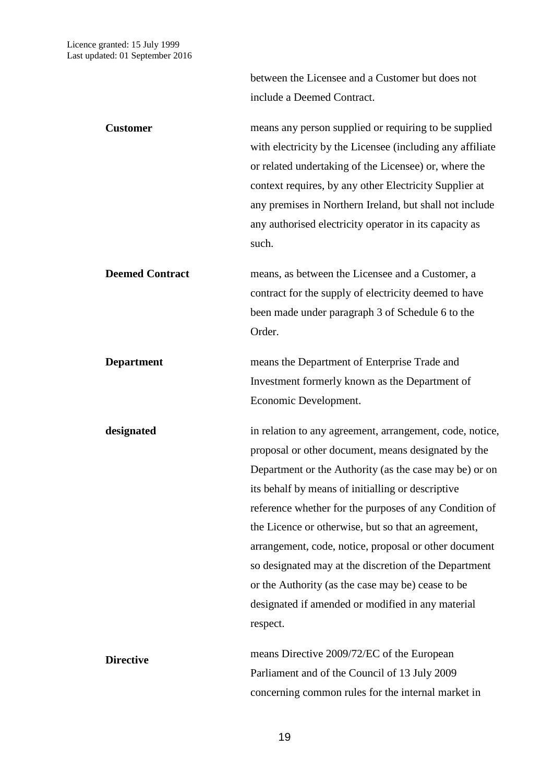between the Licensee and a Customer but does not include a Deemed Contract.

| <b>Customer</b>        | means any person supplied or requiring to be supplied<br>with electricity by the Licensee (including any affiliate<br>or related undertaking of the Licensee) or, where the<br>context requires, by any other Electricity Supplier at<br>any premises in Northern Ireland, but shall not include<br>any authorised electricity operator in its capacity as<br>such.                                                                                                                                                                                                                     |
|------------------------|-----------------------------------------------------------------------------------------------------------------------------------------------------------------------------------------------------------------------------------------------------------------------------------------------------------------------------------------------------------------------------------------------------------------------------------------------------------------------------------------------------------------------------------------------------------------------------------------|
| <b>Deemed Contract</b> | means, as between the Licensee and a Customer, a<br>contract for the supply of electricity deemed to have<br>been made under paragraph 3 of Schedule 6 to the<br>Order.                                                                                                                                                                                                                                                                                                                                                                                                                 |
| <b>Department</b>      | means the Department of Enterprise Trade and<br>Investment formerly known as the Department of<br>Economic Development.                                                                                                                                                                                                                                                                                                                                                                                                                                                                 |
| designated             | in relation to any agreement, arrangement, code, notice,<br>proposal or other document, means designated by the<br>Department or the Authority (as the case may be) or on<br>its behalf by means of initialling or descriptive<br>reference whether for the purposes of any Condition of<br>the Licence or otherwise, but so that an agreement,<br>arrangement, code, notice, proposal or other document<br>so designated may at the discretion of the Department<br>or the Authority (as the case may be) cease to be<br>designated if amended or modified in any material<br>respect. |
| <b>Directive</b>       | means Directive 2009/72/EC of the European<br>Parliament and of the Council of 13 July 2009<br>concerning common rules for the internal market in                                                                                                                                                                                                                                                                                                                                                                                                                                       |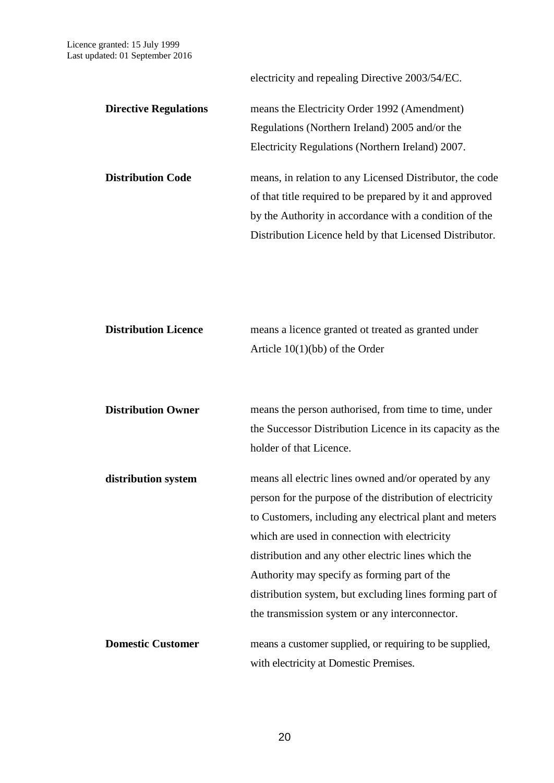electricity and repealing Directive 2003/54/EC.

**Directive Regulations** means the Electricity Order 1992 (Amendment) Regulations (Northern Ireland) 2005 and/or the Electricity Regulations (Northern Ireland) 2007. **Distribution Code** means, in relation to any Licensed Distributor, the code

of that title required to be prepared by it and approved by the Authority in accordance with a condition of the Distribution Licence held by that Licensed Distributor.

| <b>Distribution Licence</b> | means a licence granted ot treated as granted under       |
|-----------------------------|-----------------------------------------------------------|
|                             | Article $10(1)(bb)$ of the Order                          |
|                             |                                                           |
|                             |                                                           |
| <b>Distribution Owner</b>   | means the person authorised, from time to time, under     |
|                             | the Successor Distribution Licence in its capacity as the |
|                             | holder of that Licence.                                   |
|                             |                                                           |
| distribution system         | means all electric lines owned and/or operated by any     |
|                             | person for the purpose of the distribution of electricity |
|                             | to Customers, including any electrical plant and meters   |
|                             | which are used in connection with electricity             |
|                             | distribution and any other electric lines which the       |
|                             | Authority may specify as forming part of the              |
|                             | distribution system, but excluding lines forming part of  |
|                             | the transmission system or any interconnector.            |
|                             |                                                           |
| <b>Domestic Customer</b>    | means a customer supplied, or requiring to be supplied,   |
|                             | with electricity at Domestic Premises.                    |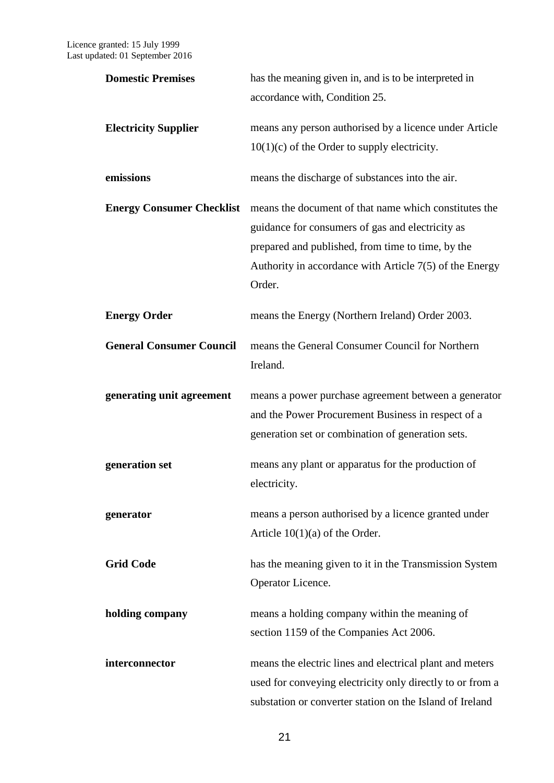| <b>Domestic Premises</b>        | has the meaning given in, and is to be interpreted in                                  |
|---------------------------------|----------------------------------------------------------------------------------------|
|                                 | accordance with, Condition 25.                                                         |
| <b>Electricity Supplier</b>     | means any person authorised by a licence under Article                                 |
|                                 | $10(1)(c)$ of the Order to supply electricity.                                         |
| emissions                       | means the discharge of substances into the air.                                        |
|                                 | <b>Energy Consumer Checklist</b> means the document of that name which constitutes the |
|                                 | guidance for consumers of gas and electricity as                                       |
|                                 | prepared and published, from time to time, by the                                      |
|                                 | Authority in accordance with Article $7(5)$ of the Energy<br>Order.                    |
| <b>Energy Order</b>             | means the Energy (Northern Ireland) Order 2003.                                        |
| <b>General Consumer Council</b> | means the General Consumer Council for Northern<br>Ireland.                            |
| generating unit agreement       | means a power purchase agreement between a generator                                   |
|                                 | and the Power Procurement Business in respect of a                                     |
|                                 | generation set or combination of generation sets.                                      |
| generation set                  | means any plant or apparatus for the production of                                     |
|                                 | electricity.                                                                           |
| generator                       | means a person authorised by a licence granted under                                   |
|                                 | Article $10(1)(a)$ of the Order.                                                       |
| <b>Grid Code</b>                | has the meaning given to it in the Transmission System                                 |
|                                 | Operator Licence.                                                                      |
| holding company                 | means a holding company within the meaning of                                          |
|                                 | section 1159 of the Companies Act 2006.                                                |
| interconnector                  | means the electric lines and electrical plant and meters                               |
|                                 | used for conveying electricity only directly to or from a                              |
|                                 | substation or converter station on the Island of Ireland                               |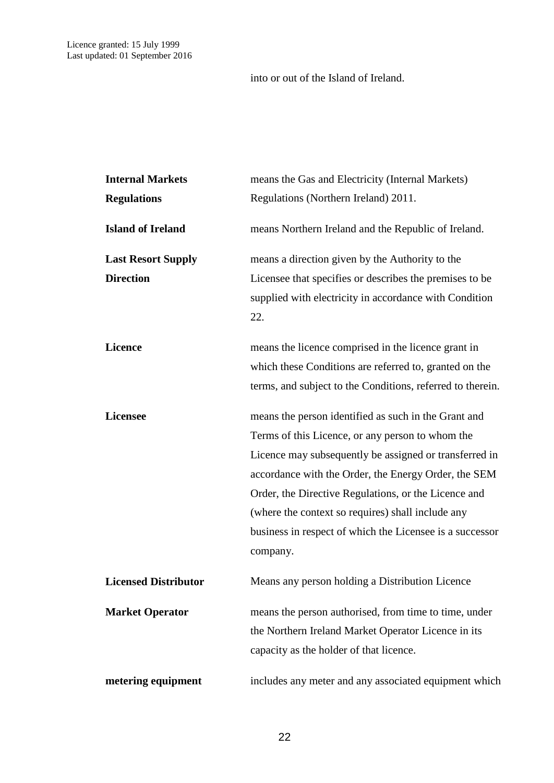into or out of the Island of Ireland.

| <b>Internal Markets</b>     | means the Gas and Electricity (Internal Markets)              |  |
|-----------------------------|---------------------------------------------------------------|--|
| <b>Regulations</b>          | Regulations (Northern Ireland) 2011.                          |  |
| <b>Island of Ireland</b>    | means Northern Ireland and the Republic of Ireland.           |  |
| <b>Last Resort Supply</b>   | means a direction given by the Authority to the               |  |
| <b>Direction</b>            | Licensee that specifies or describes the premises to be       |  |
|                             | supplied with electricity in accordance with Condition<br>22. |  |
| <b>Licence</b>              | means the licence comprised in the licence grant in           |  |
|                             | which these Conditions are referred to, granted on the        |  |
|                             | terms, and subject to the Conditions, referred to therein.    |  |
| <b>Licensee</b>             | means the person identified as such in the Grant and          |  |
|                             | Terms of this Licence, or any person to whom the              |  |
|                             | Licence may subsequently be assigned or transferred in        |  |
|                             | accordance with the Order, the Energy Order, the SEM          |  |
|                             | Order, the Directive Regulations, or the Licence and          |  |
|                             | (where the context so requires) shall include any             |  |
|                             | business in respect of which the Licensee is a successor      |  |
|                             | company.                                                      |  |
| <b>Licensed Distributor</b> | Means any person holding a Distribution Licence               |  |
| <b>Market Operator</b>      | means the person authorised, from time to time, under         |  |
|                             | the Northern Ireland Market Operator Licence in its           |  |
|                             | capacity as the holder of that licence.                       |  |
| metering equipment          | includes any meter and any associated equipment which         |  |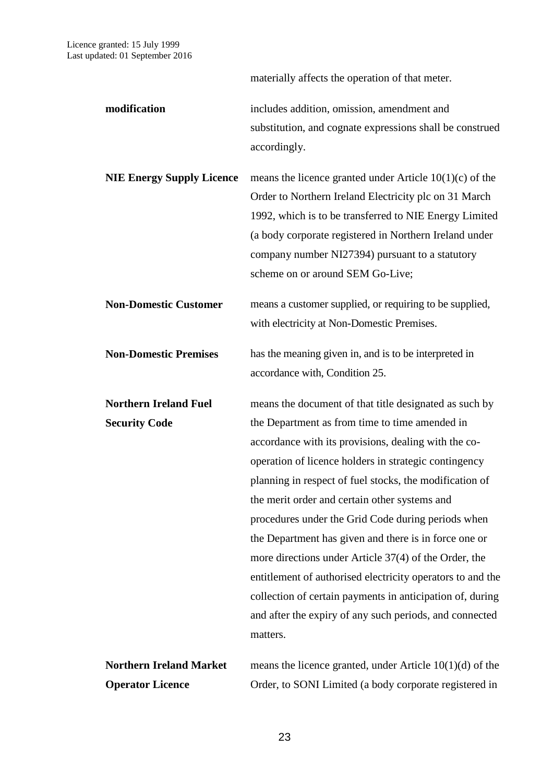materially affects the operation of that meter.

**modification** includes addition, omission, amendment and substitution, and cognate expressions shall be construed accordingly.

**NIE Energy Supply Licence** means the licence granted under Article 10(1)(c) of the Order to Northern Ireland Electricity plc on 31 March 1992, which is to be transferred to NIE Energy Limited (a body corporate registered in Northern Ireland under company number NI27394) pursuant to a statutory scheme on or around SEM Go-Live;

**Non-Domestic Customer** means a customer supplied, or requiring to be supplied, with electricity at Non-Domestic Premises.

**Non-Domestic Premises** has the meaning given in, and is to be interpreted in accordance with, Condition 25.

**Northern Ireland Fuel Security Code** means the document of that title designated as such by the Department as from time to time amended in accordance with its provisions, dealing with the cooperation of licence holders in strategic contingency planning in respect of fuel stocks, the modification of the merit order and certain other systems and procedures under the Grid Code during periods when the Department has given and there is in force one or more directions under Article 37(4) of the Order, the entitlement of authorised electricity operators to and the collection of certain payments in anticipation of, during and after the expiry of any such periods, and connected matters.

**Northern Ireland Market Operator Licence** means the licence granted, under Article 10(1)(d) of the Order, to SONI Limited (a body corporate registered in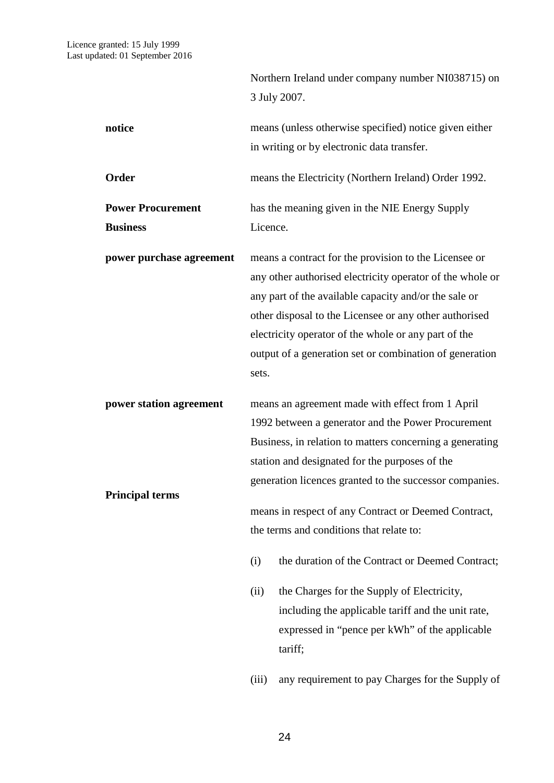|                                             |             | Northern Ireland under company number NI038715) on                                                                                                                                                                                                                                                                                                                               |
|---------------------------------------------|-------------|----------------------------------------------------------------------------------------------------------------------------------------------------------------------------------------------------------------------------------------------------------------------------------------------------------------------------------------------------------------------------------|
|                                             |             | 3 July 2007.                                                                                                                                                                                                                                                                                                                                                                     |
| notice                                      |             | means (unless otherwise specified) notice given either<br>in writing or by electronic data transfer.                                                                                                                                                                                                                                                                             |
| Order                                       |             | means the Electricity (Northern Ireland) Order 1992.                                                                                                                                                                                                                                                                                                                             |
| <b>Power Procurement</b><br><b>Business</b> | Licence.    | has the meaning given in the NIE Energy Supply                                                                                                                                                                                                                                                                                                                                   |
| power purchase agreement                    | sets.       | means a contract for the provision to the Licensee or<br>any other authorised electricity operator of the whole or<br>any part of the available capacity and/or the sale or<br>other disposal to the Licensee or any other authorised<br>electricity operator of the whole or any part of the<br>output of a generation set or combination of generation                         |
| power station agreement                     |             | means an agreement made with effect from 1 April<br>1992 between a generator and the Power Procurement<br>Business, in relation to matters concerning a generating<br>station and designated for the purposes of the                                                                                                                                                             |
| <b>Principal terms</b>                      | (i)<br>(ii) | generation licences granted to the successor companies.<br>means in respect of any Contract or Deemed Contract,<br>the terms and conditions that relate to:<br>the duration of the Contract or Deemed Contract;<br>the Charges for the Supply of Electricity,<br>including the applicable tariff and the unit rate,<br>expressed in "pence per kWh" of the applicable<br>tariff; |
|                                             | (iii)       | any requirement to pay Charges for the Supply of                                                                                                                                                                                                                                                                                                                                 |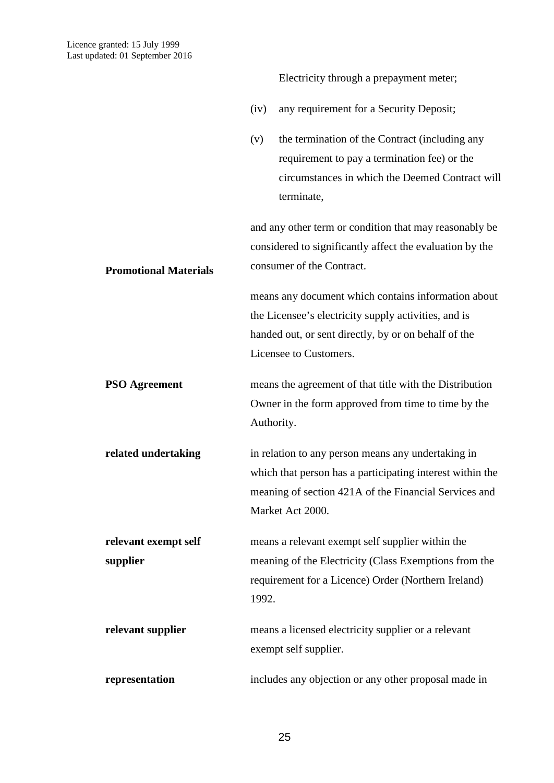**Promotional Materials**

Electricity through a prepayment meter;

- (iv) any requirement for a Security Deposit;
- (v) the termination of the Contract (including any requirement to pay a termination fee) or the circumstances in which the Deemed Contract will terminate,

and any other term or condition that may reasonably be considered to significantly affect the evaluation by the consumer of the Contract.

means any document which contains information about the Licensee's electricity supply activities, and is handed out, or sent directly, by or on behalf of the Licensee to Customers.

- **PSO Agreement** means the agreement of that title with the Distribution Owner in the form approved from time to time by the Authority.
- **related undertaking** in relation to any person means any undertaking in which that person has a participating interest within the meaning of section 421A of the Financial Services and Market Act 2000.

**relevant exempt self supplier** means a relevant exempt self supplier within the meaning of the Electricity (Class Exemptions from the requirement for a Licence) Order (Northern Ireland) 1992.

**relevant supplier** means a licensed electricity supplier or a relevant exempt self supplier.

**representation** includes any objection or any other proposal made in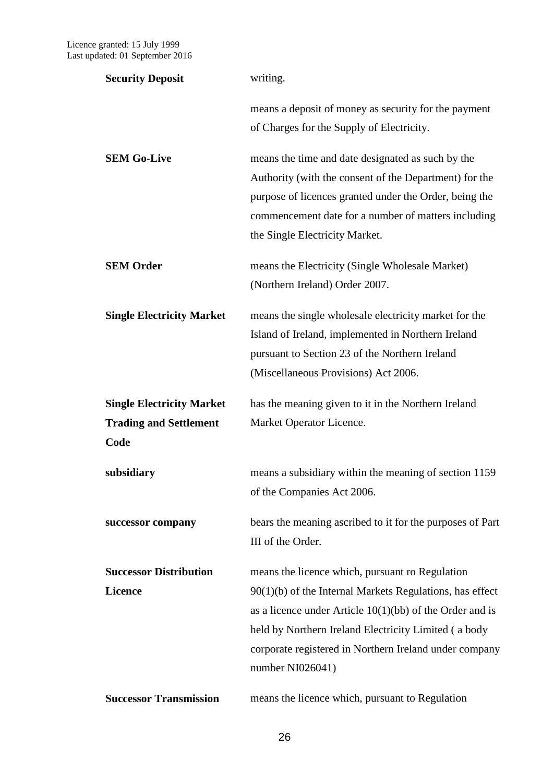| <b>Security Deposit</b>               | writing.                                                                                                                                                                                                                                                       |
|---------------------------------------|----------------------------------------------------------------------------------------------------------------------------------------------------------------------------------------------------------------------------------------------------------------|
|                                       | means a deposit of money as security for the payment<br>of Charges for the Supply of Electricity.                                                                                                                                                              |
| <b>SEM Go-Live</b>                    | means the time and date designated as such by the<br>Authority (with the consent of the Department) for the<br>purpose of licences granted under the Order, being the<br>commencement date for a number of matters including<br>the Single Electricity Market. |
| <b>SEM Order</b>                      | means the Electricity (Single Wholesale Market)<br>(Northern Ireland) Order 2007.                                                                                                                                                                              |
| <b>Single Electricity Market</b>      | means the single wholesale electricity market for the<br>Island of Ireland, implemented in Northern Ireland<br>pursuant to Section 23 of the Northern Ireland<br>(Miscellaneous Provisions) Act 2006.                                                          |
|                                       |                                                                                                                                                                                                                                                                |
| <b>Single Electricity Market</b>      | has the meaning given to it in the Northern Ireland                                                                                                                                                                                                            |
| <b>Trading and Settlement</b><br>Code | Market Operator Licence.                                                                                                                                                                                                                                       |
| subsidiary                            | means a subsidiary within the meaning of section 1159<br>of the Companies Act 2006.                                                                                                                                                                            |
| successor company                     | bears the meaning ascribed to it for the purposes of Part<br>III of the Order.                                                                                                                                                                                 |
| <b>Successor Distribution</b>         | means the licence which, pursuant ro Regulation                                                                                                                                                                                                                |
| <b>Licence</b>                        | $90(1)(b)$ of the Internal Markets Regulations, has effect                                                                                                                                                                                                     |
|                                       | as a licence under Article $10(1)(bb)$ of the Order and is                                                                                                                                                                                                     |
|                                       | held by Northern Ireland Electricity Limited (a body<br>corporate registered in Northern Ireland under company<br>number NI026041)                                                                                                                             |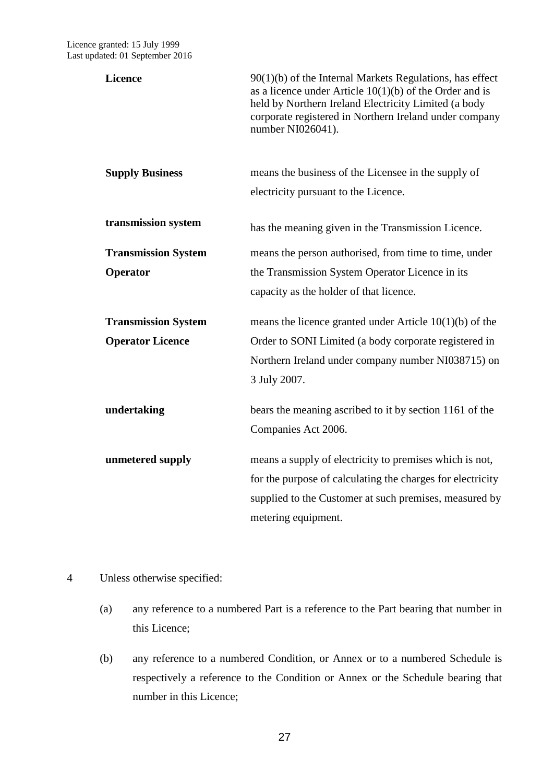| <b>Licence</b>             | $90(1)(b)$ of the Internal Markets Regulations, has effect<br>as a licence under Article $10(1)(b)$ of the Order and is<br>held by Northern Ireland Electricity Limited (a body<br>corporate registered in Northern Ireland under company<br>number NI026041). |
|----------------------------|----------------------------------------------------------------------------------------------------------------------------------------------------------------------------------------------------------------------------------------------------------------|
| <b>Supply Business</b>     | means the business of the Licensee in the supply of<br>electricity pursuant to the Licence.                                                                                                                                                                    |
| transmission system        | has the meaning given in the Transmission Licence.                                                                                                                                                                                                             |
| <b>Transmission System</b> | means the person authorised, from time to time, under                                                                                                                                                                                                          |
| Operator                   | the Transmission System Operator Licence in its                                                                                                                                                                                                                |
|                            | capacity as the holder of that licence.                                                                                                                                                                                                                        |
| <b>Transmission System</b> | means the licence granted under Article $10(1)(b)$ of the                                                                                                                                                                                                      |
| <b>Operator Licence</b>    | Order to SONI Limited (a body corporate registered in                                                                                                                                                                                                          |
|                            | Northern Ireland under company number NI038715) on                                                                                                                                                                                                             |
|                            | 3 July 2007.                                                                                                                                                                                                                                                   |
| undertaking                | bears the meaning ascribed to it by section 1161 of the                                                                                                                                                                                                        |
|                            | Companies Act 2006.                                                                                                                                                                                                                                            |
| unmetered supply           | means a supply of electricity to premises which is not,                                                                                                                                                                                                        |
|                            | for the purpose of calculating the charges for electricity                                                                                                                                                                                                     |
|                            | supplied to the Customer at such premises, measured by                                                                                                                                                                                                         |
|                            | metering equipment.                                                                                                                                                                                                                                            |

# 4 Unless otherwise specified:

- (a) any reference to a numbered Part is a reference to the Part bearing that number in this Licence;
- (b) any reference to a numbered Condition, or Annex or to a numbered Schedule is respectively a reference to the Condition or Annex or the Schedule bearing that number in this Licence;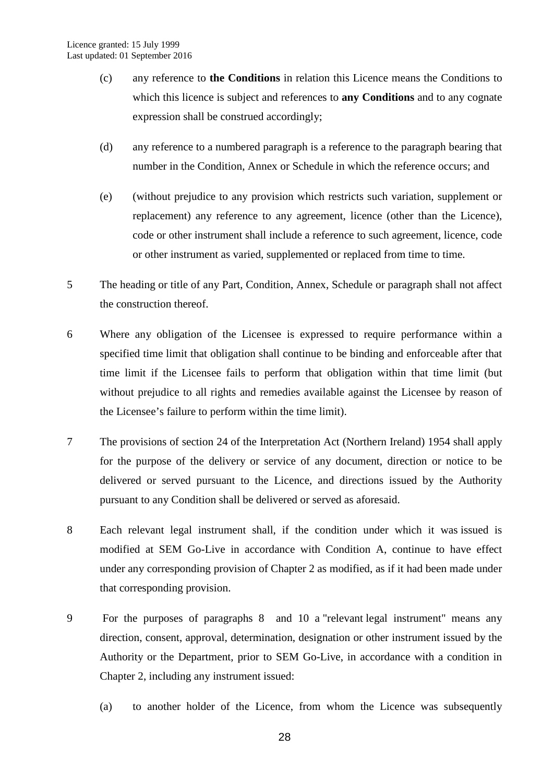- (c) any reference to **the Conditions** in relation this Licence means the Conditions to which this licence is subject and references to **any Conditions** and to any cognate expression shall be construed accordingly;
- (d) any reference to a numbered paragraph is a reference to the paragraph bearing that number in the Condition, Annex or Schedule in which the reference occurs; and
- (e) (without prejudice to any provision which restricts such variation, supplement or replacement) any reference to any agreement, licence (other than the Licence), code or other instrument shall include a reference to such agreement, licence, code or other instrument as varied, supplemented or replaced from time to time.
- 5 The heading or title of any Part, Condition, Annex, Schedule or paragraph shall not affect the construction thereof.
- 6 Where any obligation of the Licensee is expressed to require performance within a specified time limit that obligation shall continue to be binding and enforceable after that time limit if the Licensee fails to perform that obligation within that time limit (but without prejudice to all rights and remedies available against the Licensee by reason of the Licensee's failure to perform within the time limit).
- 7 The provisions of section 24 of the Interpretation Act (Northern Ireland) 1954 shall apply for the purpose of the delivery or service of any document, direction or notice to be delivered or served pursuant to the Licence, and directions issued by the Authority pursuant to any Condition shall be delivered or served as aforesaid.
- 8 Each relevant legal instrument shall, if the condition under which it was issued is modified at SEM Go-Live in accordance with Condition A, continue to have effect under any corresponding provision of Chapter 2 as modified, as if it had been made under that corresponding provision.
- 9 For the purposes of paragraphs 8 and 10 a "relevant legal instrument" means any direction, consent, approval, determination, designation or other instrument issued by the Authority or the Department, prior to SEM Go-Live, in accordance with a condition in Chapter 2, including any instrument issued:
	- (a) to another holder of the Licence, from whom the Licence was subsequently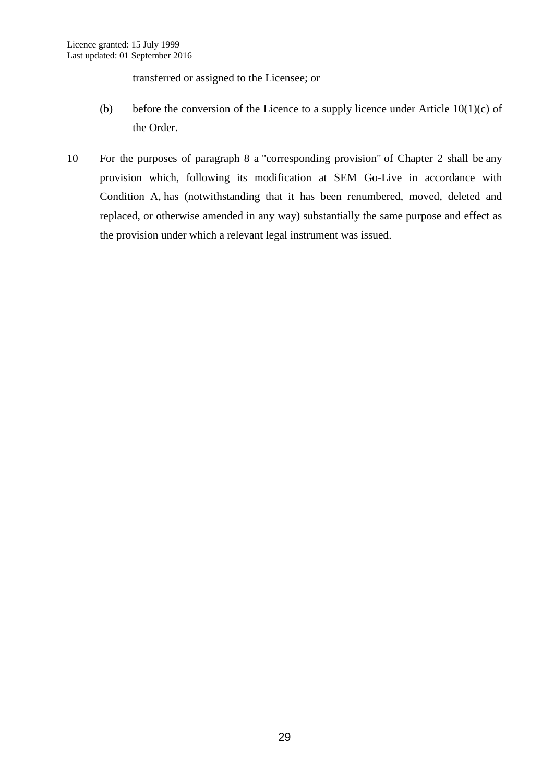transferred or assigned to the Licensee; or

- (b) before the conversion of the Licence to a supply licence under Article  $10(1)(c)$  of the Order.
- 10 For the purposes of paragraph 8 a "corresponding provision" of Chapter 2 shall be any provision which, following its modification at SEM Go-Live in accordance with Condition A, has (notwithstanding that it has been renumbered, moved, deleted and replaced, or otherwise amended in any way) substantially the same purpose and effect as the provision under which a relevant legal instrument was issued.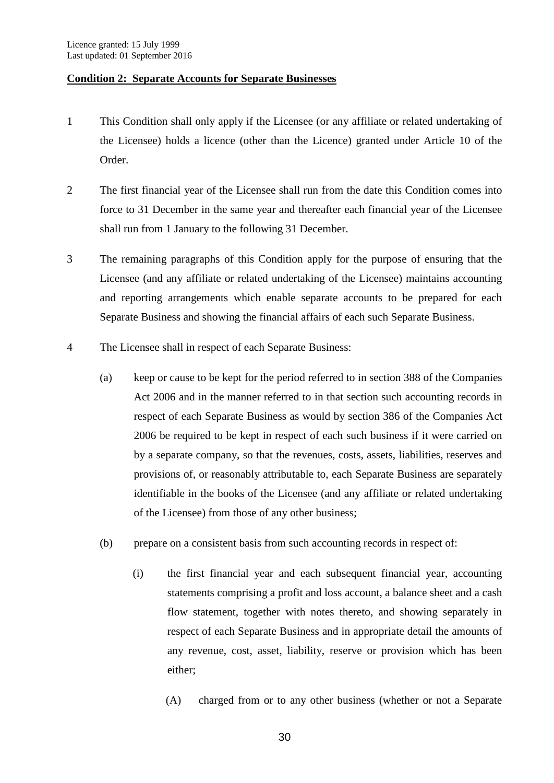# <span id="page-32-0"></span>**Condition 2: Separate Accounts for Separate Businesses**

- 1 This Condition shall only apply if the Licensee (or any affiliate or related undertaking of the Licensee) holds a licence (other than the Licence) granted under Article 10 of the Order.
- 2 The first financial year of the Licensee shall run from the date this Condition comes into force to 31 December in the same year and thereafter each financial year of the Licensee shall run from 1 January to the following 31 December.
- 3 The remaining paragraphs of this Condition apply for the purpose of ensuring that the Licensee (and any affiliate or related undertaking of the Licensee) maintains accounting and reporting arrangements which enable separate accounts to be prepared for each Separate Business and showing the financial affairs of each such Separate Business.
- 4 The Licensee shall in respect of each Separate Business:
	- (a) keep or cause to be kept for the period referred to in section 388 of the Companies Act 2006 and in the manner referred to in that section such accounting records in respect of each Separate Business as would by section 386 of the Companies Act 2006 be required to be kept in respect of each such business if it were carried on by a separate company, so that the revenues, costs, assets, liabilities, reserves and provisions of, or reasonably attributable to, each Separate Business are separately identifiable in the books of the Licensee (and any affiliate or related undertaking of the Licensee) from those of any other business;
	- (b) prepare on a consistent basis from such accounting records in respect of:
		- (i) the first financial year and each subsequent financial year, accounting statements comprising a profit and loss account, a balance sheet and a cash flow statement, together with notes thereto, and showing separately in respect of each Separate Business and in appropriate detail the amounts of any revenue, cost, asset, liability, reserve or provision which has been either;
			- (A) charged from or to any other business (whether or not a Separate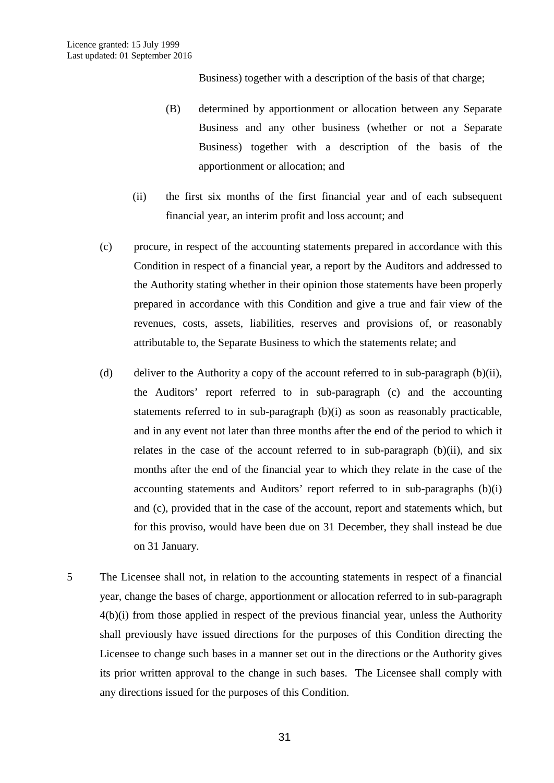Business) together with a description of the basis of that charge;

- (B) determined by apportionment or allocation between any Separate Business and any other business (whether or not a Separate Business) together with a description of the basis of the apportionment or allocation; and
- (ii) the first six months of the first financial year and of each subsequent financial year, an interim profit and loss account; and
- (c) procure, in respect of the accounting statements prepared in accordance with this Condition in respect of a financial year, a report by the Auditors and addressed to the Authority stating whether in their opinion those statements have been properly prepared in accordance with this Condition and give a true and fair view of the revenues, costs, assets, liabilities, reserves and provisions of, or reasonably attributable to, the Separate Business to which the statements relate; and
- (d) deliver to the Authority a copy of the account referred to in sub-paragraph (b)(ii), the Auditors' report referred to in sub-paragraph (c) and the accounting statements referred to in sub-paragraph (b)(i) as soon as reasonably practicable, and in any event not later than three months after the end of the period to which it relates in the case of the account referred to in sub-paragraph (b)(ii), and six months after the end of the financial year to which they relate in the case of the accounting statements and Auditors' report referred to in sub-paragraphs (b)(i) and (c), provided that in the case of the account, report and statements which, but for this proviso, would have been due on 31 December, they shall instead be due on 31 January.
- 5 The Licensee shall not, in relation to the accounting statements in respect of a financial year, change the bases of charge, apportionment or allocation referred to in sub-paragraph 4(b)(i) from those applied in respect of the previous financial year, unless the Authority shall previously have issued directions for the purposes of this Condition directing the Licensee to change such bases in a manner set out in the directions or the Authority gives its prior written approval to the change in such bases. The Licensee shall comply with any directions issued for the purposes of this Condition.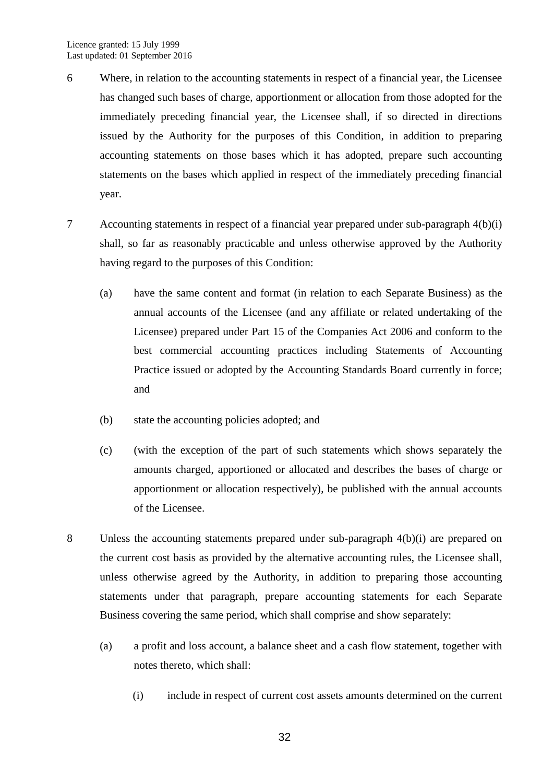- 6 Where, in relation to the accounting statements in respect of a financial year, the Licensee has changed such bases of charge, apportionment or allocation from those adopted for the immediately preceding financial year, the Licensee shall, if so directed in directions issued by the Authority for the purposes of this Condition, in addition to preparing accounting statements on those bases which it has adopted, prepare such accounting statements on the bases which applied in respect of the immediately preceding financial year.
- 7 Accounting statements in respect of a financial year prepared under sub-paragraph 4(b)(i) shall, so far as reasonably practicable and unless otherwise approved by the Authority having regard to the purposes of this Condition:
	- (a) have the same content and format (in relation to each Separate Business) as the annual accounts of the Licensee (and any affiliate or related undertaking of the Licensee) prepared under Part 15 of the Companies Act 2006 and conform to the best commercial accounting practices including Statements of Accounting Practice issued or adopted by the Accounting Standards Board currently in force; and
	- (b) state the accounting policies adopted; and
	- (c) (with the exception of the part of such statements which shows separately the amounts charged, apportioned or allocated and describes the bases of charge or apportionment or allocation respectively), be published with the annual accounts of the Licensee.
- 8 Unless the accounting statements prepared under sub-paragraph 4(b)(i) are prepared on the current cost basis as provided by the alternative accounting rules, the Licensee shall, unless otherwise agreed by the Authority, in addition to preparing those accounting statements under that paragraph, prepare accounting statements for each Separate Business covering the same period, which shall comprise and show separately:
	- (a) a profit and loss account, a balance sheet and a cash flow statement, together with notes thereto, which shall:
		- (i) include in respect of current cost assets amounts determined on the current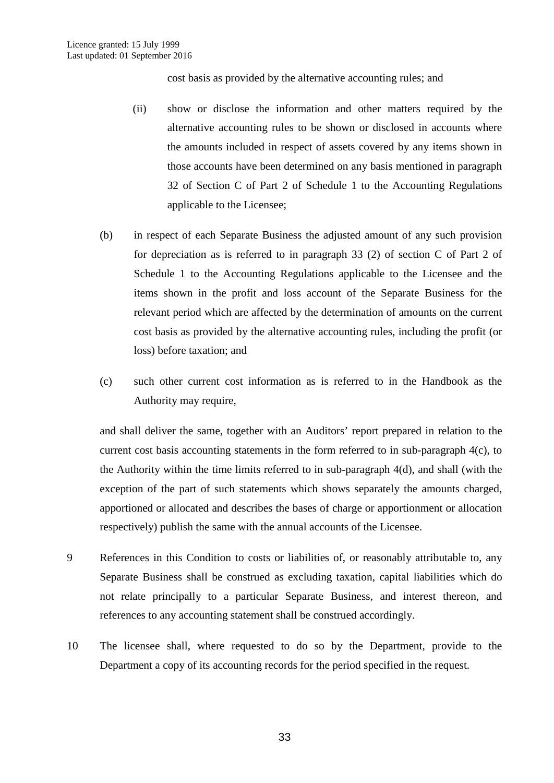cost basis as provided by the alternative accounting rules; and

- (ii) show or disclose the information and other matters required by the alternative accounting rules to be shown or disclosed in accounts where the amounts included in respect of assets covered by any items shown in those accounts have been determined on any basis mentioned in paragraph 32 of Section C of Part 2 of Schedule 1 to the Accounting Regulations applicable to the Licensee;
- (b) in respect of each Separate Business the adjusted amount of any such provision for depreciation as is referred to in paragraph 33 (2) of section C of Part 2 of Schedule 1 to the Accounting Regulations applicable to the Licensee and the items shown in the profit and loss account of the Separate Business for the relevant period which are affected by the determination of amounts on the current cost basis as provided by the alternative accounting rules, including the profit (or loss) before taxation; and
- (c) such other current cost information as is referred to in the Handbook as the Authority may require,

and shall deliver the same, together with an Auditors' report prepared in relation to the current cost basis accounting statements in the form referred to in sub-paragraph 4(c), to the Authority within the time limits referred to in sub-paragraph 4(d), and shall (with the exception of the part of such statements which shows separately the amounts charged, apportioned or allocated and describes the bases of charge or apportionment or allocation respectively) publish the same with the annual accounts of the Licensee.

- 9 References in this Condition to costs or liabilities of, or reasonably attributable to, any Separate Business shall be construed as excluding taxation, capital liabilities which do not relate principally to a particular Separate Business, and interest thereon, and references to any accounting statement shall be construed accordingly.
- 10 The licensee shall, where requested to do so by the Department, provide to the Department a copy of its accounting records for the period specified in the request.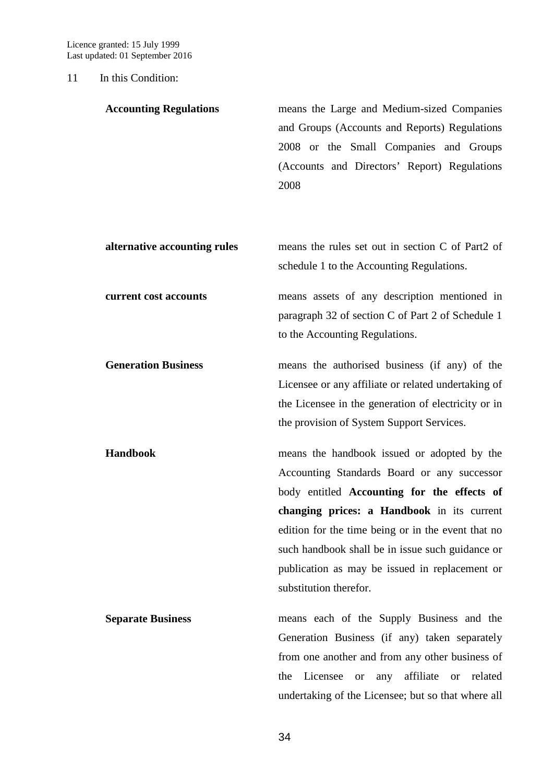### 11 In this Condition:

| <b>Accounting Regulations</b> | means the Large and Medium-sized Companies<br>and Groups (Accounts and Reports) Regulations<br>2008 or the Small Companies and Groups<br>(Accounts and Directors' Report) Regulations<br>2008                                                                                                     |
|-------------------------------|---------------------------------------------------------------------------------------------------------------------------------------------------------------------------------------------------------------------------------------------------------------------------------------------------|
| alternative accounting rules  | means the rules set out in section C of Part2 of<br>schedule 1 to the Accounting Regulations.                                                                                                                                                                                                     |
| current cost accounts         | means assets of any description mentioned in<br>paragraph 32 of section C of Part 2 of Schedule 1<br>to the Accounting Regulations.                                                                                                                                                               |
| <b>Generation Business</b>    | means the authorised business (if any) of the<br>Licensee or any affiliate or related undertaking of<br>the Licensee in the generation of electricity or in<br>the provision of System Support Services.                                                                                          |
| <b>Handbook</b>               | means the handbook issued or adopted by the<br>Accounting Standards Board or any successor<br>body entitled Accounting for the effects of<br>changing prices: a Handbook in its current<br>edition for the time being or in the event that no<br>such handbook shall be in issue such guidance or |
|                               | publication as may be issued in replacement or<br>substitution therefor.                                                                                                                                                                                                                          |
| <b>Separate Business</b>      | means each of the Supply Business and the<br>Generation Business (if any) taken separately<br>from one another and from any other business of<br>affiliate<br>the<br>Licensee<br>related<br>any<br><b>or</b><br><b>or</b><br>undertaking of the Licensee; but so that where all                   |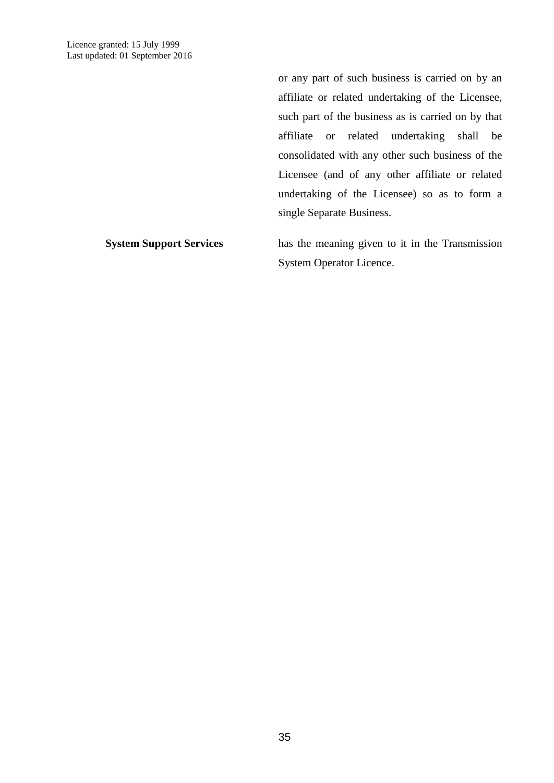or any part of such business is carried on by an affiliate or related undertaking of the Licensee, such part of the business as is carried on by that affiliate or related undertaking shall be consolidated with any other such business of the Licensee (and of any other affiliate or related undertaking of the Licensee) so as to form a single Separate Business.

**System Support Services** has the meaning given to it in the Transmission System Operator Licence.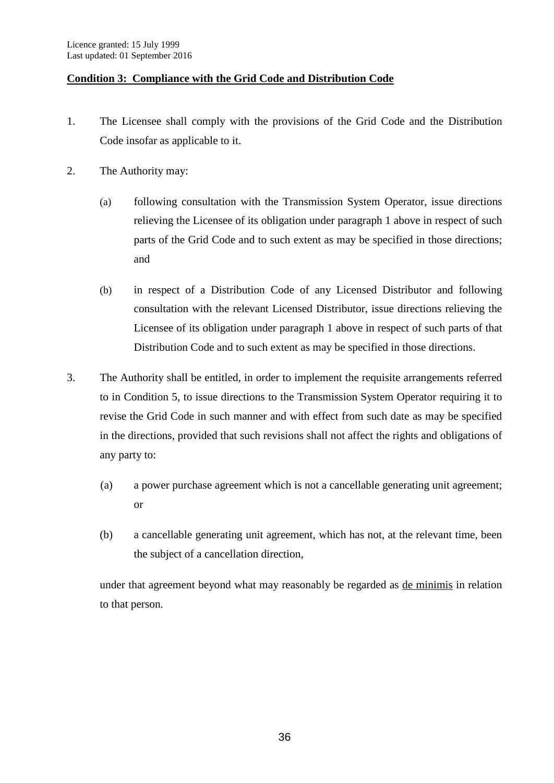### **Condition 3: Compliance with the Grid Code and Distribution Code**

- 1. The Licensee shall comply with the provisions of the Grid Code and the Distribution Code insofar as applicable to it.
- 2. The Authority may:
	- (a) following consultation with the Transmission System Operator, issue directions relieving the Licensee of its obligation under paragraph 1 above in respect of such parts of the Grid Code and to such extent as may be specified in those directions; and
	- (b) in respect of a Distribution Code of any Licensed Distributor and following consultation with the relevant Licensed Distributor, issue directions relieving the Licensee of its obligation under paragraph 1 above in respect of such parts of that Distribution Code and to such extent as may be specified in those directions.
- 3. The Authority shall be entitled, in order to implement the requisite arrangements referred to in Condition 5, to issue directions to the Transmission System Operator requiring it to revise the Grid Code in such manner and with effect from such date as may be specified in the directions, provided that such revisions shall not affect the rights and obligations of any party to:
	- (a) a power purchase agreement which is not a cancellable generating unit agreement; or
	- (b) a cancellable generating unit agreement, which has not, at the relevant time, been the subject of a cancellation direction,

under that agreement beyond what may reasonably be regarded as de minimis in relation to that person.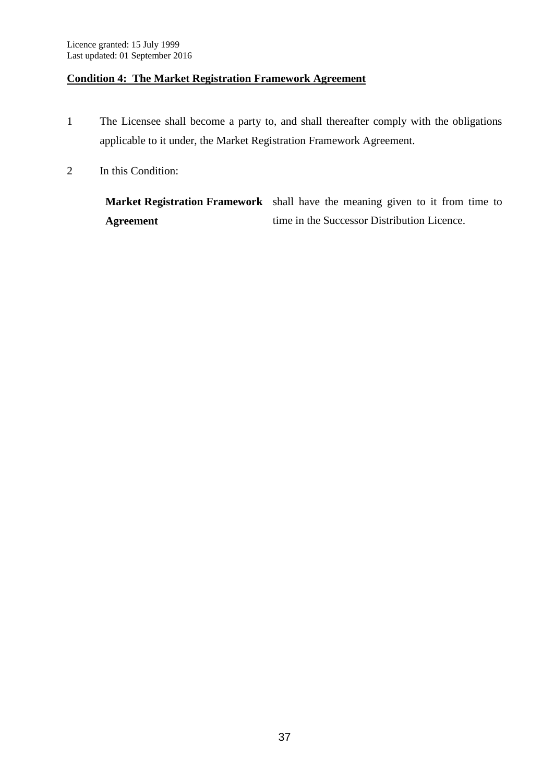### **Condition 4: The Market Registration Framework Agreement**

- 1 The Licensee shall become a party to, and shall thereafter comply with the obligations applicable to it under, the Market Registration Framework Agreement.
- 2 In this Condition:

**Market Registration Framework**  shall have the meaning given to it from time to **Agreement** time in the Successor Distribution Licence.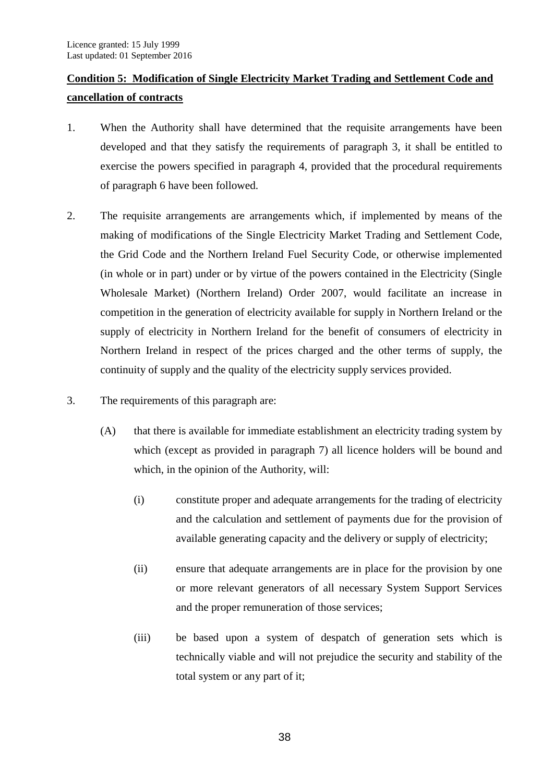# **Condition 5: Modification of Single Electricity Market Trading and Settlement Code and cancellation of contracts**

- 1. When the Authority shall have determined that the requisite arrangements have been developed and that they satisfy the requirements of paragraph 3, it shall be entitled to exercise the powers specified in paragraph 4, provided that the procedural requirements of paragraph 6 have been followed.
- 2. The requisite arrangements are arrangements which, if implemented by means of the making of modifications of the Single Electricity Market Trading and Settlement Code, the Grid Code and the Northern Ireland Fuel Security Code, or otherwise implemented (in whole or in part) under or by virtue of the powers contained in the Electricity (Single Wholesale Market) (Northern Ireland) Order 2007, would facilitate an increase in competition in the generation of electricity available for supply in Northern Ireland or the supply of electricity in Northern Ireland for the benefit of consumers of electricity in Northern Ireland in respect of the prices charged and the other terms of supply, the continuity of supply and the quality of the electricity supply services provided.
- 3. The requirements of this paragraph are:
	- (A) that there is available for immediate establishment an electricity trading system by which (except as provided in paragraph 7) all licence holders will be bound and which, in the opinion of the Authority, will:
		- (i) constitute proper and adequate arrangements for the trading of electricity and the calculation and settlement of payments due for the provision of available generating capacity and the delivery or supply of electricity;
		- (ii) ensure that adequate arrangements are in place for the provision by one or more relevant generators of all necessary System Support Services and the proper remuneration of those services;
		- (iii) be based upon a system of despatch of generation sets which is technically viable and will not prejudice the security and stability of the total system or any part of it;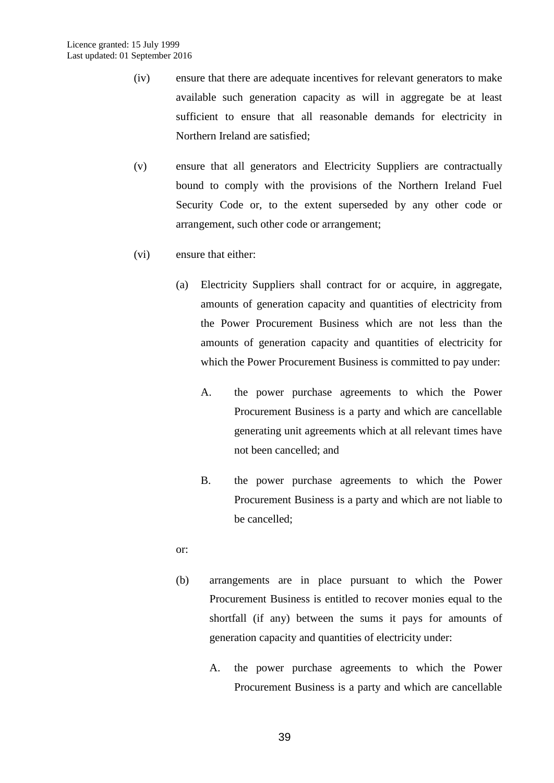- (iv) ensure that there are adequate incentives for relevant generators to make available such generation capacity as will in aggregate be at least sufficient to ensure that all reasonable demands for electricity in Northern Ireland are satisfied;
- (v) ensure that all generators and Electricity Suppliers are contractually bound to comply with the provisions of the Northern Ireland Fuel Security Code or, to the extent superseded by any other code or arrangement, such other code or arrangement;
- (vi) ensure that either:
	- (a) Electricity Suppliers shall contract for or acquire, in aggregate, amounts of generation capacity and quantities of electricity from the Power Procurement Business which are not less than the amounts of generation capacity and quantities of electricity for which the Power Procurement Business is committed to pay under:
		- A. the power purchase agreements to which the Power Procurement Business is a party and which are cancellable generating unit agreements which at all relevant times have not been cancelled; and
		- B. the power purchase agreements to which the Power Procurement Business is a party and which are not liable to be cancelled;
	- or:
	- (b) arrangements are in place pursuant to which the Power Procurement Business is entitled to recover monies equal to the shortfall (if any) between the sums it pays for amounts of generation capacity and quantities of electricity under:
		- A. the power purchase agreements to which the Power Procurement Business is a party and which are cancellable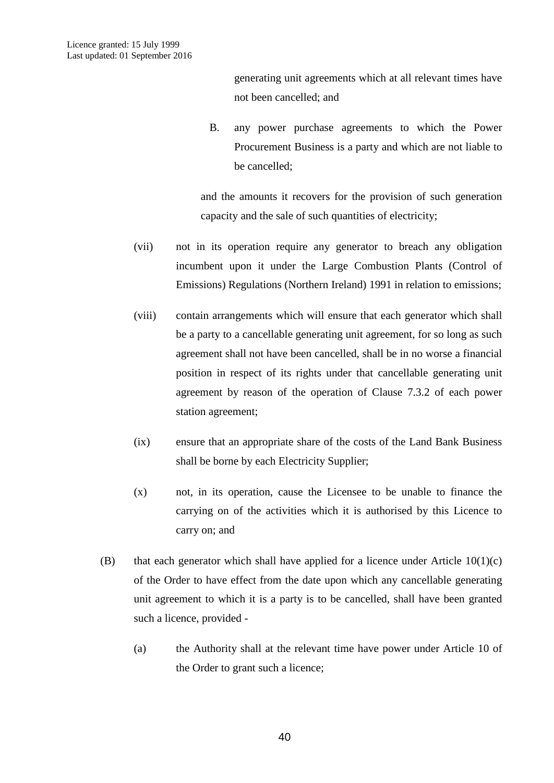generating unit agreements which at all relevant times have not been cancelled; and

B. any power purchase agreements to which the Power Procurement Business is a party and which are not liable to be cancelled;

and the amounts it recovers for the provision of such generation capacity and the sale of such quantities of electricity;

- (vii) not in its operation require any generator to breach any obligation incumbent upon it under the Large Combustion Plants (Control of Emissions) Regulations (Northern Ireland) 1991 in relation to emissions;
- (viii) contain arrangements which will ensure that each generator which shall be a party to a cancellable generating unit agreement, for so long as such agreement shall not have been cancelled, shall be in no worse a financial position in respect of its rights under that cancellable generating unit agreement by reason of the operation of Clause 7.3.2 of each power station agreement;
- (ix) ensure that an appropriate share of the costs of the Land Bank Business shall be borne by each Electricity Supplier;
- (x) not, in its operation, cause the Licensee to be unable to finance the carrying on of the activities which it is authorised by this Licence to carry on; and
- (B) that each generator which shall have applied for a licence under Article  $10(1)(c)$ of the Order to have effect from the date upon which any cancellable generating unit agreement to which it is a party is to be cancelled, shall have been granted such a licence, provided -
	- (a) the Authority shall at the relevant time have power under Article 10 of the Order to grant such a licence;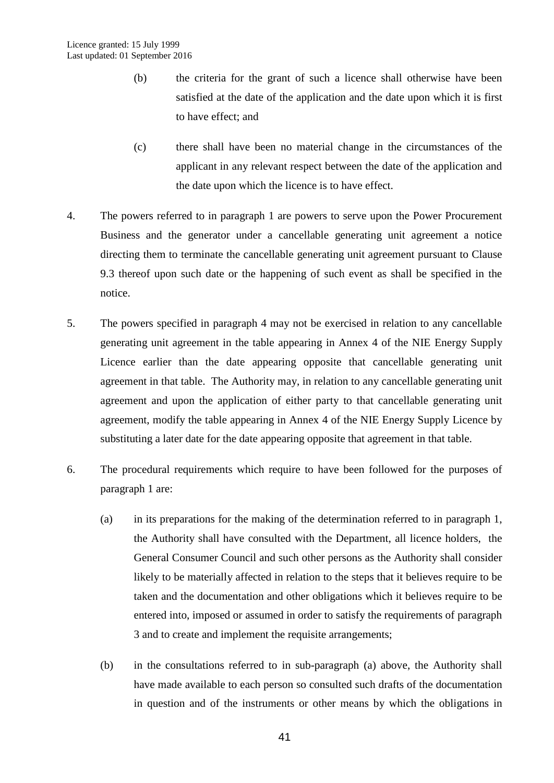- (b) the criteria for the grant of such a licence shall otherwise have been satisfied at the date of the application and the date upon which it is first to have effect; and
- (c) there shall have been no material change in the circumstances of the applicant in any relevant respect between the date of the application and the date upon which the licence is to have effect.
- 4. The powers referred to in paragraph 1 are powers to serve upon the Power Procurement Business and the generator under a cancellable generating unit agreement a notice directing them to terminate the cancellable generating unit agreement pursuant to Clause 9.3 thereof upon such date or the happening of such event as shall be specified in the notice.
- 5. The powers specified in paragraph 4 may not be exercised in relation to any cancellable generating unit agreement in the table appearing in Annex 4 of the NIE Energy Supply Licence earlier than the date appearing opposite that cancellable generating unit agreement in that table. The Authority may, in relation to any cancellable generating unit agreement and upon the application of either party to that cancellable generating unit agreement, modify the table appearing in Annex 4 of the NIE Energy Supply Licence by substituting a later date for the date appearing opposite that agreement in that table.
- 6. The procedural requirements which require to have been followed for the purposes of paragraph 1 are:
	- (a) in its preparations for the making of the determination referred to in paragraph 1, the Authority shall have consulted with the Department, all licence holders, the General Consumer Council and such other persons as the Authority shall consider likely to be materially affected in relation to the steps that it believes require to be taken and the documentation and other obligations which it believes require to be entered into, imposed or assumed in order to satisfy the requirements of paragraph 3 and to create and implement the requisite arrangements;
	- (b) in the consultations referred to in sub-paragraph (a) above, the Authority shall have made available to each person so consulted such drafts of the documentation in question and of the instruments or other means by which the obligations in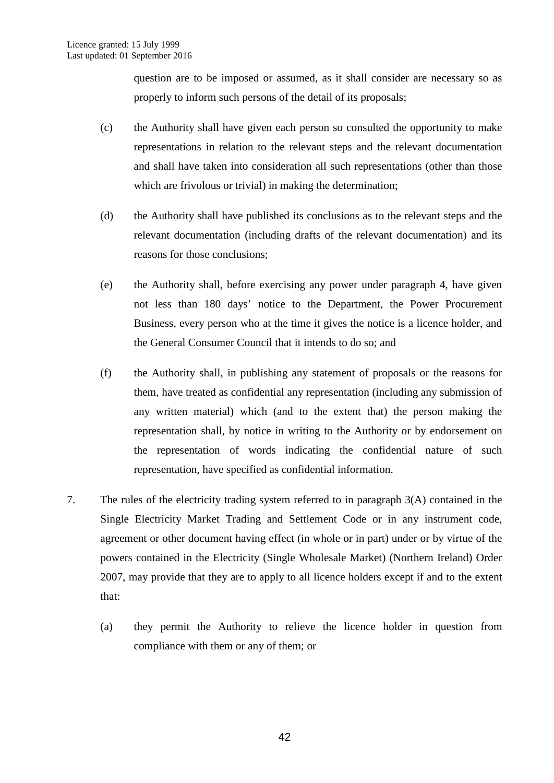question are to be imposed or assumed, as it shall consider are necessary so as properly to inform such persons of the detail of its proposals;

- (c) the Authority shall have given each person so consulted the opportunity to make representations in relation to the relevant steps and the relevant documentation and shall have taken into consideration all such representations (other than those which are frivolous or trivial) in making the determination;
- (d) the Authority shall have published its conclusions as to the relevant steps and the relevant documentation (including drafts of the relevant documentation) and its reasons for those conclusions;
- (e) the Authority shall, before exercising any power under paragraph 4, have given not less than 180 days' notice to the Department, the Power Procurement Business, every person who at the time it gives the notice is a licence holder, and the General Consumer Council that it intends to do so; and
- (f) the Authority shall, in publishing any statement of proposals or the reasons for them, have treated as confidential any representation (including any submission of any written material) which (and to the extent that) the person making the representation shall, by notice in writing to the Authority or by endorsement on the representation of words indicating the confidential nature of such representation, have specified as confidential information.
- 7. The rules of the electricity trading system referred to in paragraph 3(A) contained in the Single Electricity Market Trading and Settlement Code or in any instrument code, agreement or other document having effect (in whole or in part) under or by virtue of the powers contained in the Electricity (Single Wholesale Market) (Northern Ireland) Order 2007, may provide that they are to apply to all licence holders except if and to the extent that:
	- (a) they permit the Authority to relieve the licence holder in question from compliance with them or any of them; or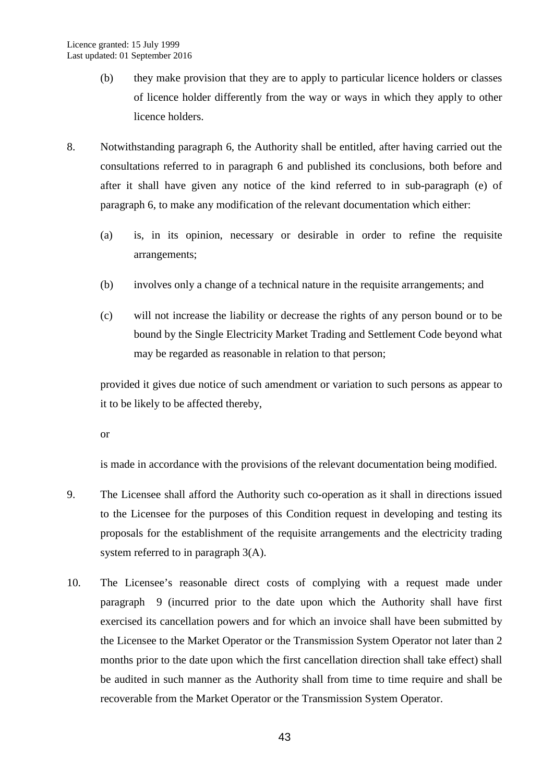- (b) they make provision that they are to apply to particular licence holders or classes of licence holder differently from the way or ways in which they apply to other licence holders.
- 8. Notwithstanding paragraph 6, the Authority shall be entitled, after having carried out the consultations referred to in paragraph 6 and published its conclusions, both before and after it shall have given any notice of the kind referred to in sub-paragraph (e) of paragraph 6, to make any modification of the relevant documentation which either:
	- (a) is, in its opinion, necessary or desirable in order to refine the requisite arrangements;
	- (b) involves only a change of a technical nature in the requisite arrangements; and
	- (c) will not increase the liability or decrease the rights of any person bound or to be bound by the Single Electricity Market Trading and Settlement Code beyond what may be regarded as reasonable in relation to that person;

provided it gives due notice of such amendment or variation to such persons as appear to it to be likely to be affected thereby,

or

is made in accordance with the provisions of the relevant documentation being modified.

- 9. The Licensee shall afford the Authority such co-operation as it shall in directions issued to the Licensee for the purposes of this Condition request in developing and testing its proposals for the establishment of the requisite arrangements and the electricity trading system referred to in paragraph 3(A).
- 10. The Licensee's reasonable direct costs of complying with a request made under paragraph 9 (incurred prior to the date upon which the Authority shall have first exercised its cancellation powers and for which an invoice shall have been submitted by the Licensee to the Market Operator or the Transmission System Operator not later than 2 months prior to the date upon which the first cancellation direction shall take effect) shall be audited in such manner as the Authority shall from time to time require and shall be recoverable from the Market Operator or the Transmission System Operator.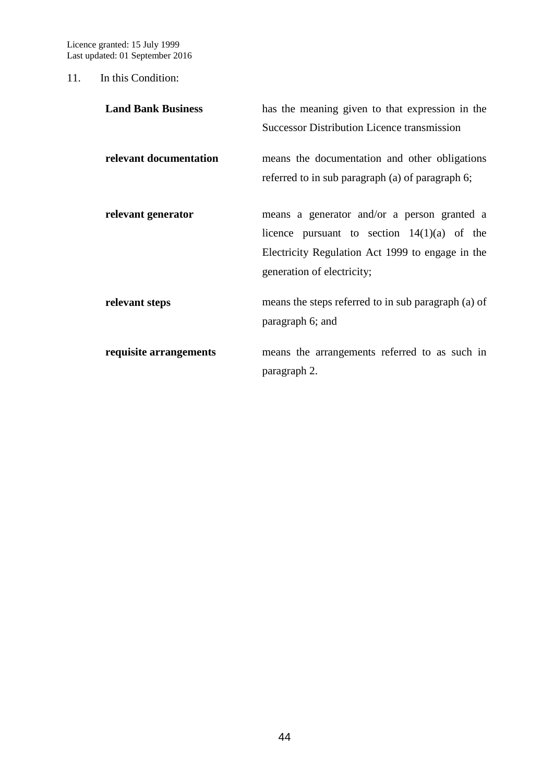Licence granted: 15 July 1999 Last updated: 01 September 2016

#### 11. In this Condition:

| <b>Land Bank Business</b> | has the meaning given to that expression in the                                                   |
|---------------------------|---------------------------------------------------------------------------------------------------|
|                           | <b>Successor Distribution Licence transmission</b>                                                |
| relevant documentation    | means the documentation and other obligations<br>referred to in sub paragraph (a) of paragraph 6; |
|                           |                                                                                                   |
| relevant generator        | means a generator and/or a person granted a                                                       |
|                           | licence pursuant to section $14(1)(a)$ of the                                                     |
|                           | Electricity Regulation Act 1999 to engage in the                                                  |
|                           | generation of electricity;                                                                        |
| relevant steps            | means the steps referred to in sub paragraph (a) of<br>paragraph 6; and                           |
| requisite arrangements    | means the arrangements referred to as such in                                                     |
|                           | paragraph 2.                                                                                      |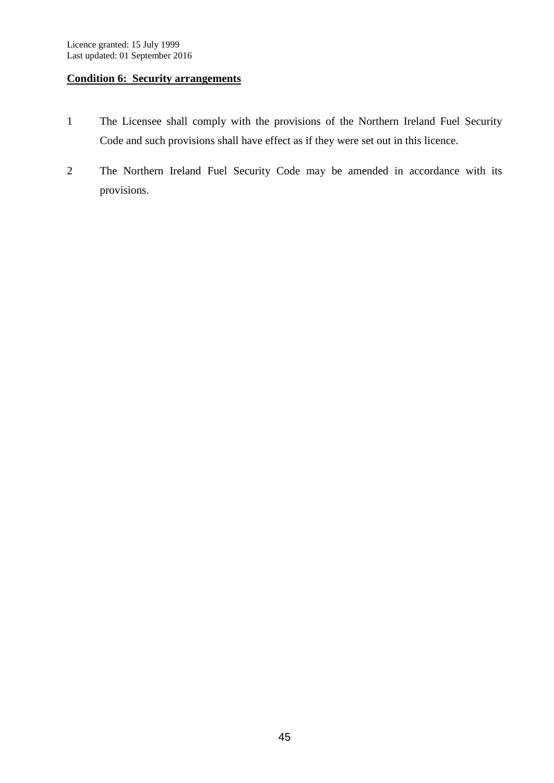## **Condition 6: Security arrangements**

- 1 The Licensee shall comply with the provisions of the Northern Ireland Fuel Security Code and such provisions shall have effect as if they were set out in this licence.
- 2 The Northern Ireland Fuel Security Code may be amended in accordance with its provisions.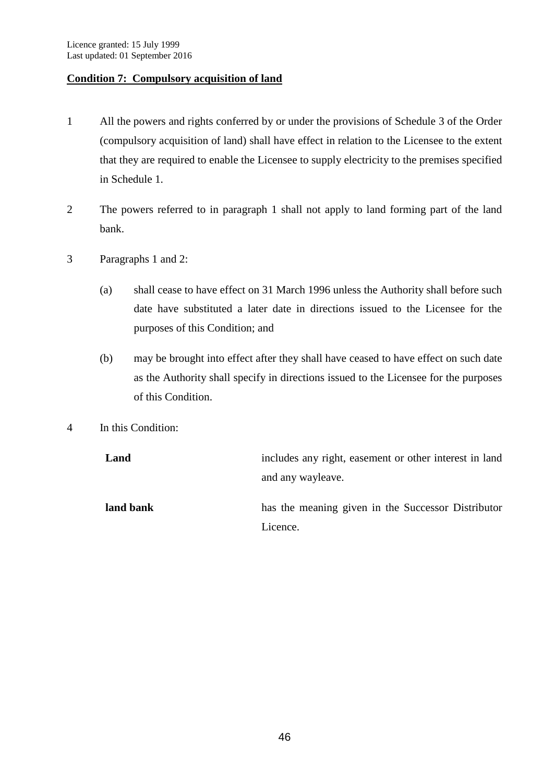#### **Condition 7: Compulsory acquisition of land**

- 1 All the powers and rights conferred by or under the provisions of Schedule 3 of the Order (compulsory acquisition of land) shall have effect in relation to the Licensee to the extent that they are required to enable the Licensee to supply electricity to the premises specified in Schedule 1.
- 2 The powers referred to in paragraph 1 shall not apply to land forming part of the land bank.
- 3 Paragraphs 1 and 2:
	- (a) shall cease to have effect on 31 March 1996 unless the Authority shall before such date have substituted a later date in directions issued to the Licensee for the purposes of this Condition; and
	- (b) may be brought into effect after they shall have ceased to have effect on such date as the Authority shall specify in directions issued to the Licensee for the purposes of this Condition.
- 4 In this Condition:

| Land      | includes any right, easement or other interest in land |
|-----------|--------------------------------------------------------|
|           | and any wayleave.                                      |
| land bank | has the meaning given in the Successor Distributor     |
|           | Licence.                                               |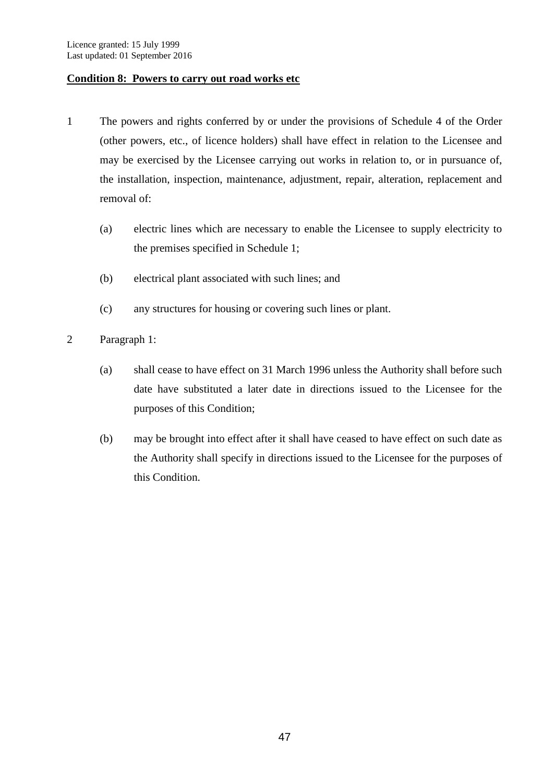#### **Condition 8: Powers to carry out road works etc**

- 1 The powers and rights conferred by or under the provisions of Schedule 4 of the Order (other powers, etc., of licence holders) shall have effect in relation to the Licensee and may be exercised by the Licensee carrying out works in relation to, or in pursuance of, the installation, inspection, maintenance, adjustment, repair, alteration, replacement and removal of:
	- (a) electric lines which are necessary to enable the Licensee to supply electricity to the premises specified in Schedule 1;
	- (b) electrical plant associated with such lines; and
	- (c) any structures for housing or covering such lines or plant.
- 2 Paragraph 1:
	- (a) shall cease to have effect on 31 March 1996 unless the Authority shall before such date have substituted a later date in directions issued to the Licensee for the purposes of this Condition;
	- (b) may be brought into effect after it shall have ceased to have effect on such date as the Authority shall specify in directions issued to the Licensee for the purposes of this Condition.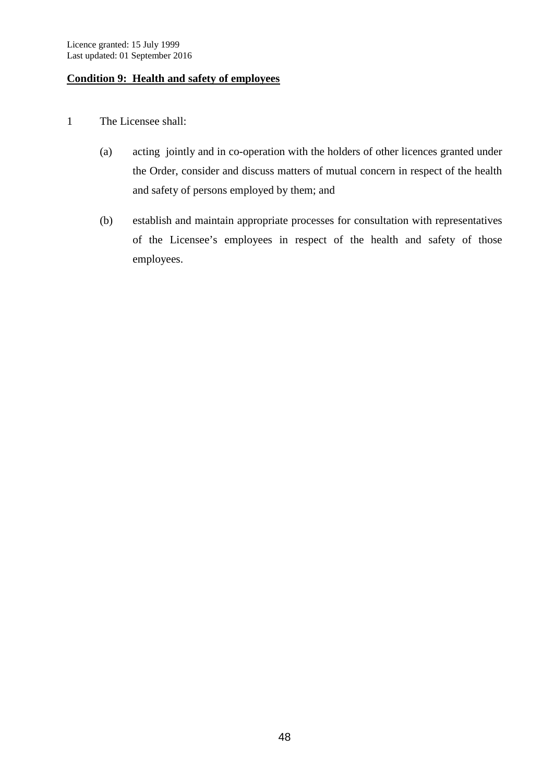#### **Condition 9: Health and safety of employees**

- 1 The Licensee shall:
	- (a) acting jointly and in co-operation with the holders of other licences granted under the Order, consider and discuss matters of mutual concern in respect of the health and safety of persons employed by them; and
	- (b) establish and maintain appropriate processes for consultation with representatives of the Licensee's employees in respect of the health and safety of those employees.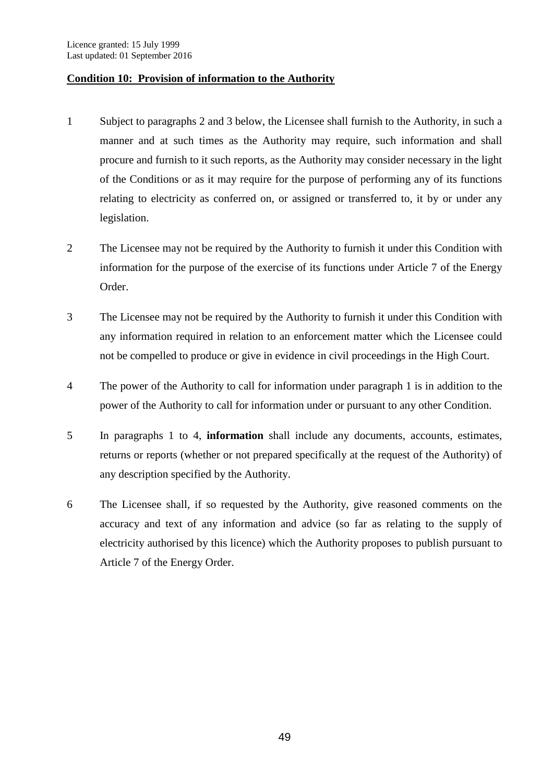#### **Condition 10: Provision of information to the Authority**

- 1 Subject to paragraphs 2 and 3 below, the Licensee shall furnish to the Authority, in such a manner and at such times as the Authority may require, such information and shall procure and furnish to it such reports, as the Authority may consider necessary in the light of the Conditions or as it may require for the purpose of performing any of its functions relating to electricity as conferred on, or assigned or transferred to, it by or under any legislation.
- 2 The Licensee may not be required by the Authority to furnish it under this Condition with information for the purpose of the exercise of its functions under Article 7 of the Energy Order.
- 3 The Licensee may not be required by the Authority to furnish it under this Condition with any information required in relation to an enforcement matter which the Licensee could not be compelled to produce or give in evidence in civil proceedings in the High Court.
- 4 The power of the Authority to call for information under paragraph 1 is in addition to the power of the Authority to call for information under or pursuant to any other Condition.
- 5 In paragraphs 1 to 4, **information** shall include any documents, accounts, estimates, returns or reports (whether or not prepared specifically at the request of the Authority) of any description specified by the Authority.
- 6 The Licensee shall, if so requested by the Authority, give reasoned comments on the accuracy and text of any information and advice (so far as relating to the supply of electricity authorised by this licence) which the Authority proposes to publish pursuant to Article 7 of the Energy Order.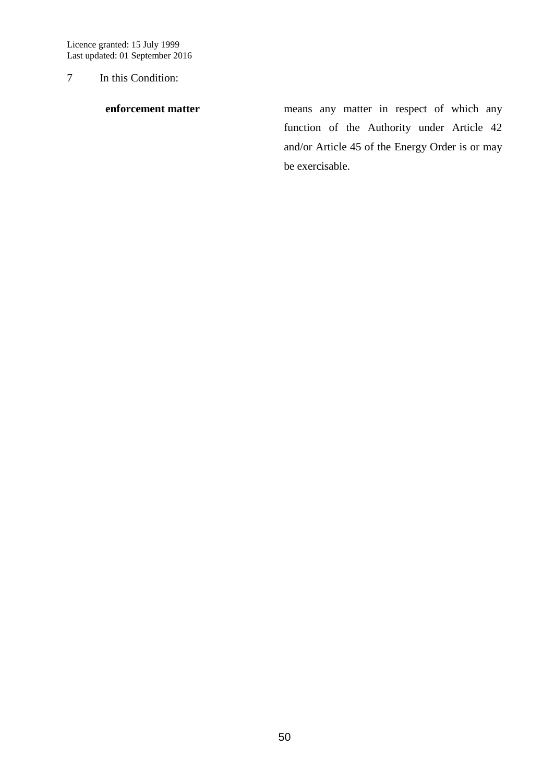Licence granted: 15 July 1999 Last updated: 01 September 2016

7 In this Condition:

**enforcement matter** means any matter in respect of which any function of the Authority under Article 42 and/or Article 45 of the Energy Order is or may be exercisable.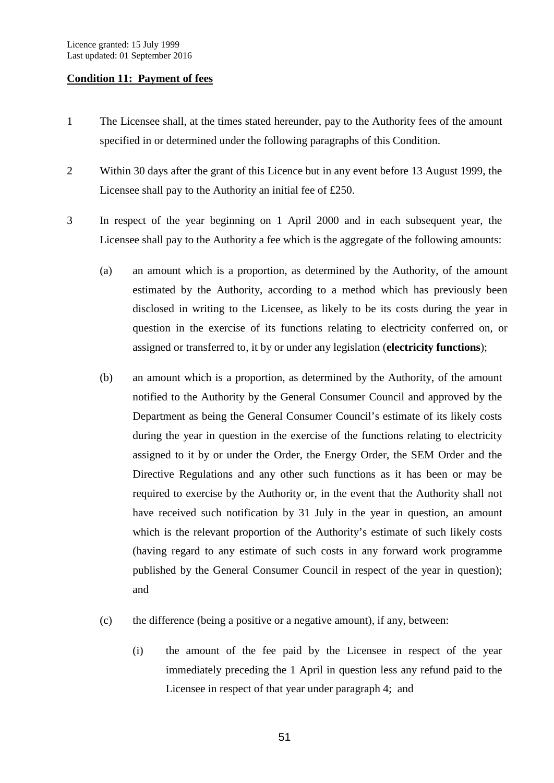#### **Condition 11: Payment of fees**

- 1 The Licensee shall, at the times stated hereunder, pay to the Authority fees of the amount specified in or determined under the following paragraphs of this Condition.
- 2 Within 30 days after the grant of this Licence but in any event before 13 August 1999, the Licensee shall pay to the Authority an initial fee of £250.
- 3 In respect of the year beginning on 1 April 2000 and in each subsequent year, the Licensee shall pay to the Authority a fee which is the aggregate of the following amounts:
	- (a) an amount which is a proportion, as determined by the Authority, of the amount estimated by the Authority, according to a method which has previously been disclosed in writing to the Licensee, as likely to be its costs during the year in question in the exercise of its functions relating to electricity conferred on, or assigned or transferred to, it by or under any legislation (**electricity functions**);
	- (b) an amount which is a proportion, as determined by the Authority, of the amount notified to the Authority by the General Consumer Council and approved by the Department as being the General Consumer Council's estimate of its likely costs during the year in question in the exercise of the functions relating to electricity assigned to it by or under the Order, the Energy Order, the SEM Order and the Directive Regulations and any other such functions as it has been or may be required to exercise by the Authority or, in the event that the Authority shall not have received such notification by 31 July in the year in question, an amount which is the relevant proportion of the Authority's estimate of such likely costs (having regard to any estimate of such costs in any forward work programme published by the General Consumer Council in respect of the year in question); and
	- (c) the difference (being a positive or a negative amount), if any, between:
		- (i) the amount of the fee paid by the Licensee in respect of the year immediately preceding the 1 April in question less any refund paid to the Licensee in respect of that year under paragraph 4; and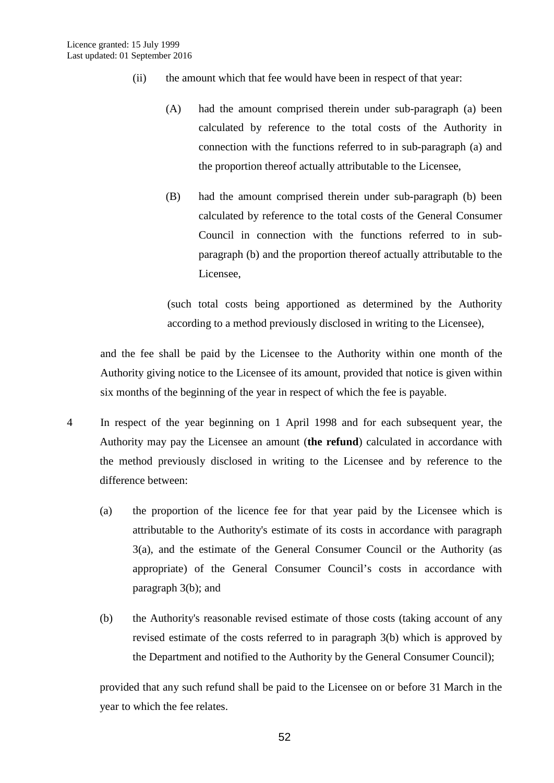- (ii) the amount which that fee would have been in respect of that year:
	- (A) had the amount comprised therein under sub-paragraph (a) been calculated by reference to the total costs of the Authority in connection with the functions referred to in sub-paragraph (a) and the proportion thereof actually attributable to the Licensee,
	- (B) had the amount comprised therein under sub-paragraph (b) been calculated by reference to the total costs of the General Consumer Council in connection with the functions referred to in subparagraph (b) and the proportion thereof actually attributable to the Licensee,

(such total costs being apportioned as determined by the Authority according to a method previously disclosed in writing to the Licensee),

and the fee shall be paid by the Licensee to the Authority within one month of the Authority giving notice to the Licensee of its amount, provided that notice is given within six months of the beginning of the year in respect of which the fee is payable.

- 4 In respect of the year beginning on 1 April 1998 and for each subsequent year, the Authority may pay the Licensee an amount (**the refund**) calculated in accordance with the method previously disclosed in writing to the Licensee and by reference to the difference between:
	- (a) the proportion of the licence fee for that year paid by the Licensee which is attributable to the Authority's estimate of its costs in accordance with paragraph 3(a), and the estimate of the General Consumer Council or the Authority (as appropriate) of the General Consumer Council's costs in accordance with paragraph 3(b); and
	- (b) the Authority's reasonable revised estimate of those costs (taking account of any revised estimate of the costs referred to in paragraph 3(b) which is approved by the Department and notified to the Authority by the General Consumer Council);

provided that any such refund shall be paid to the Licensee on or before 31 March in the year to which the fee relates.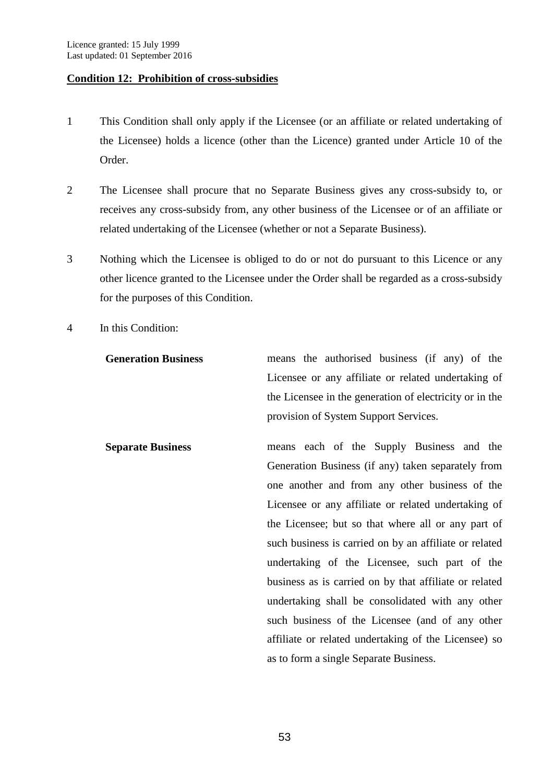#### **Condition 12: Prohibition of cross-subsidies**

- 1 This Condition shall only apply if the Licensee (or an affiliate or related undertaking of the Licensee) holds a licence (other than the Licence) granted under Article 10 of the Order.
- 2 The Licensee shall procure that no Separate Business gives any cross-subsidy to, or receives any cross-subsidy from, any other business of the Licensee or of an affiliate or related undertaking of the Licensee (whether or not a Separate Business).
- 3 Nothing which the Licensee is obliged to do or not do pursuant to this Licence or any other licence granted to the Licensee under the Order shall be regarded as a cross-subsidy for the purposes of this Condition.
- 4 In this Condition:
	- **Generation Business** means the authorised business (if any) of the Licensee or any affiliate or related undertaking of the Licensee in the generation of electricity or in the provision of System Support Services.
	- **Separate Business** means each of the Supply Business and the Generation Business (if any) taken separately from one another and from any other business of the Licensee or any affiliate or related undertaking of the Licensee; but so that where all or any part of such business is carried on by an affiliate or related undertaking of the Licensee, such part of the business as is carried on by that affiliate or related undertaking shall be consolidated with any other such business of the Licensee (and of any other affiliate or related undertaking of the Licensee) so as to form a single Separate Business.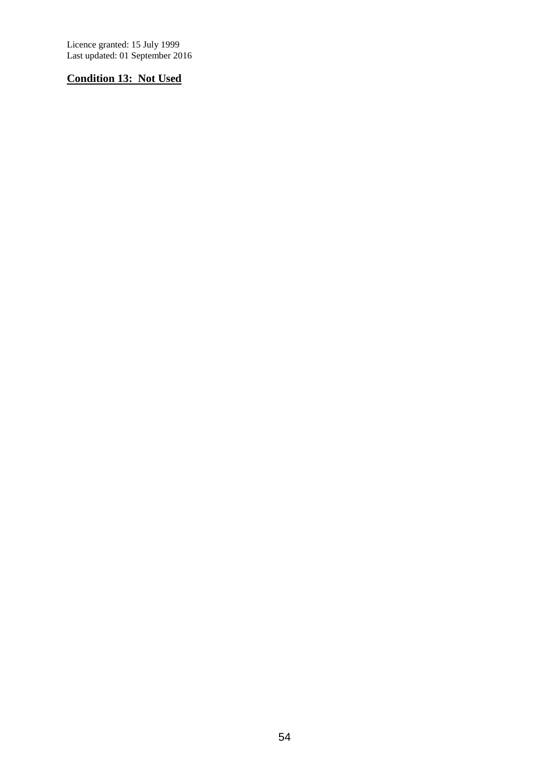Licence granted: 15 July 1999 Last updated: 01 September 2016

# **Condition 13: Not Used**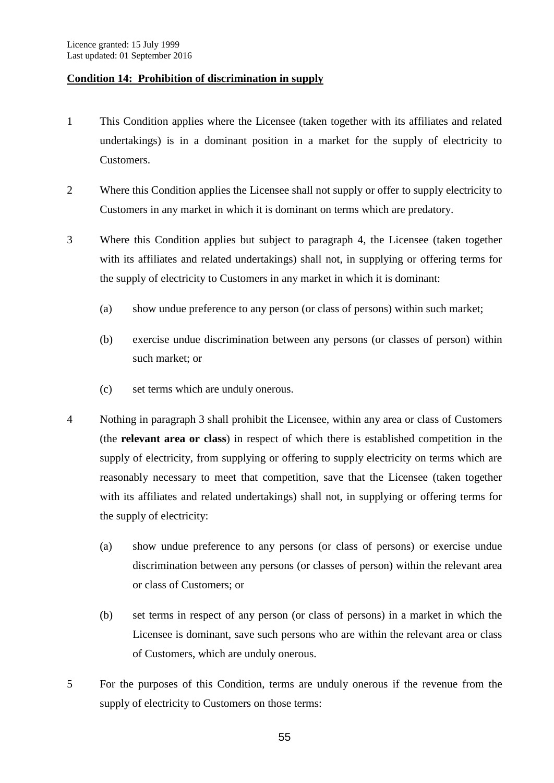#### **Condition 14: Prohibition of discrimination in supply**

- 1 This Condition applies where the Licensee (taken together with its affiliates and related undertakings) is in a dominant position in a market for the supply of electricity to Customers.
- 2 Where this Condition applies the Licensee shall not supply or offer to supply electricity to Customers in any market in which it is dominant on terms which are predatory.
- 3 Where this Condition applies but subject to paragraph 4, the Licensee (taken together with its affiliates and related undertakings) shall not, in supplying or offering terms for the supply of electricity to Customers in any market in which it is dominant:
	- (a) show undue preference to any person (or class of persons) within such market;
	- (b) exercise undue discrimination between any persons (or classes of person) within such market; or
	- (c) set terms which are unduly onerous.
- 4 Nothing in paragraph 3 shall prohibit the Licensee, within any area or class of Customers (the **relevant area or class**) in respect of which there is established competition in the supply of electricity, from supplying or offering to supply electricity on terms which are reasonably necessary to meet that competition, save that the Licensee (taken together with its affiliates and related undertakings) shall not, in supplying or offering terms for the supply of electricity:
	- (a) show undue preference to any persons (or class of persons) or exercise undue discrimination between any persons (or classes of person) within the relevant area or class of Customers; or
	- (b) set terms in respect of any person (or class of persons) in a market in which the Licensee is dominant, save such persons who are within the relevant area or class of Customers, which are unduly onerous.
- 5 For the purposes of this Condition, terms are unduly onerous if the revenue from the supply of electricity to Customers on those terms: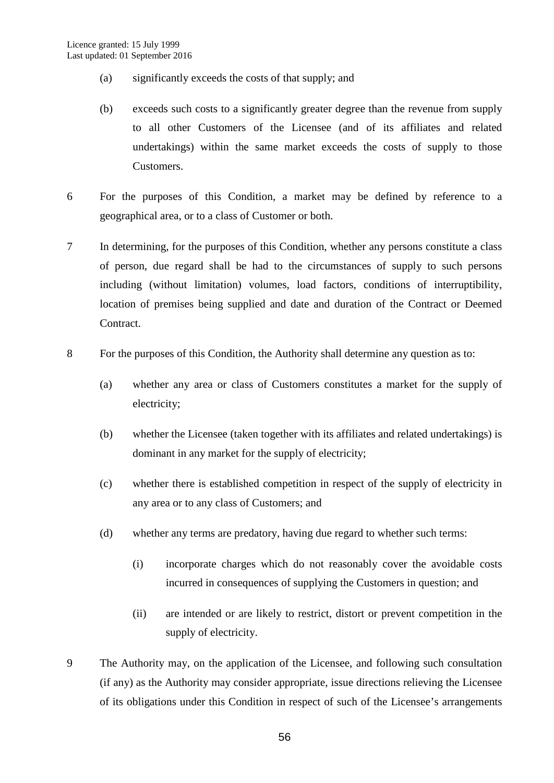- (a) significantly exceeds the costs of that supply; and
- (b) exceeds such costs to a significantly greater degree than the revenue from supply to all other Customers of the Licensee (and of its affiliates and related undertakings) within the same market exceeds the costs of supply to those Customers.
- 6 For the purposes of this Condition, a market may be defined by reference to a geographical area, or to a class of Customer or both.
- 7 In determining, for the purposes of this Condition, whether any persons constitute a class of person, due regard shall be had to the circumstances of supply to such persons including (without limitation) volumes, load factors, conditions of interruptibility, location of premises being supplied and date and duration of the Contract or Deemed Contract.
- 8 For the purposes of this Condition, the Authority shall determine any question as to:
	- (a) whether any area or class of Customers constitutes a market for the supply of electricity;
	- (b) whether the Licensee (taken together with its affiliates and related undertakings) is dominant in any market for the supply of electricity;
	- (c) whether there is established competition in respect of the supply of electricity in any area or to any class of Customers; and
	- (d) whether any terms are predatory, having due regard to whether such terms:
		- (i) incorporate charges which do not reasonably cover the avoidable costs incurred in consequences of supplying the Customers in question; and
		- (ii) are intended or are likely to restrict, distort or prevent competition in the supply of electricity.
- 9 The Authority may, on the application of the Licensee, and following such consultation (if any) as the Authority may consider appropriate, issue directions relieving the Licensee of its obligations under this Condition in respect of such of the Licensee's arrangements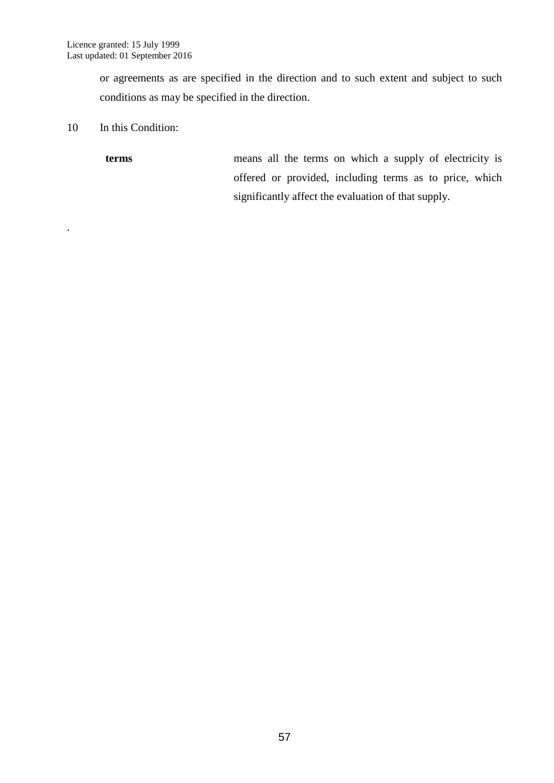or agreements as are specified in the direction and to such extent and subject to such conditions as may be specified in the direction.

10 In this Condition:

.

**terms** means all the terms on which a supply of electricity is offered or provided, including terms as to price, which significantly affect the evaluation of that supply.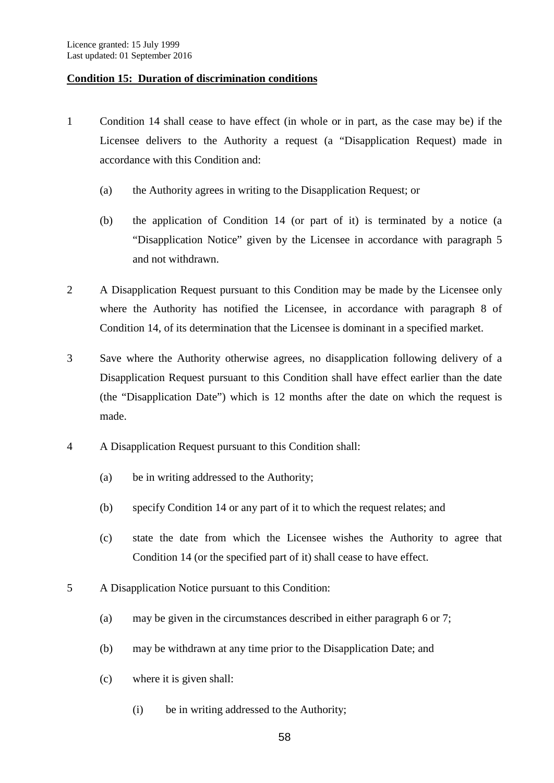#### **Condition 15: Duration of discrimination conditions**

- 1 Condition 14 shall cease to have effect (in whole or in part, as the case may be) if the Licensee delivers to the Authority a request (a "Disapplication Request) made in accordance with this Condition and:
	- (a) the Authority agrees in writing to the Disapplication Request; or
	- (b) the application of Condition 14 (or part of it) is terminated by a notice (a "Disapplication Notice" given by the Licensee in accordance with paragraph 5 and not withdrawn.
- 2 A Disapplication Request pursuant to this Condition may be made by the Licensee only where the Authority has notified the Licensee, in accordance with paragraph 8 of Condition 14, of its determination that the Licensee is dominant in a specified market.
- 3 Save where the Authority otherwise agrees, no disapplication following delivery of a Disapplication Request pursuant to this Condition shall have effect earlier than the date (the "Disapplication Date") which is 12 months after the date on which the request is made.
- 4 A Disapplication Request pursuant to this Condition shall:
	- (a) be in writing addressed to the Authority;
	- (b) specify Condition 14 or any part of it to which the request relates; and
	- (c) state the date from which the Licensee wishes the Authority to agree that Condition 14 (or the specified part of it) shall cease to have effect.
- 5 A Disapplication Notice pursuant to this Condition:
	- (a) may be given in the circumstances described in either paragraph 6 or 7;
	- (b) may be withdrawn at any time prior to the Disapplication Date; and
	- (c) where it is given shall:
		- (i) be in writing addressed to the Authority;

58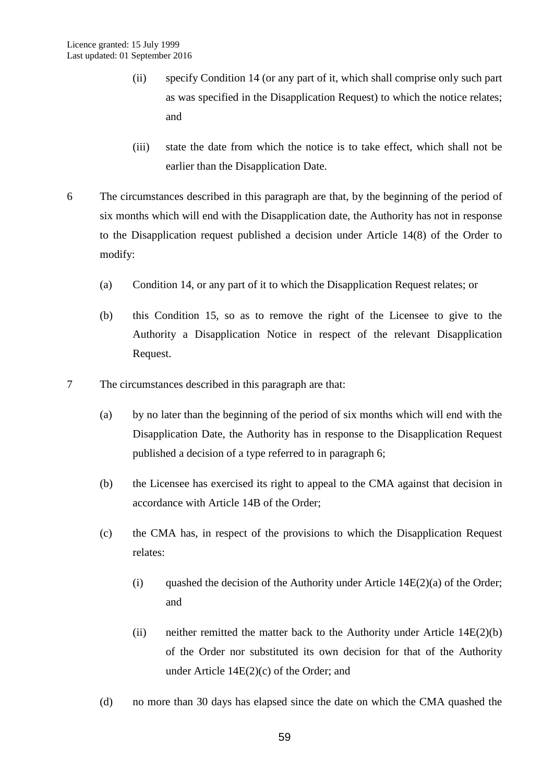- (ii) specify Condition 14 (or any part of it, which shall comprise only such part as was specified in the Disapplication Request) to which the notice relates; and
- (iii) state the date from which the notice is to take effect, which shall not be earlier than the Disapplication Date.
- 6 The circumstances described in this paragraph are that, by the beginning of the period of six months which will end with the Disapplication date, the Authority has not in response to the Disapplication request published a decision under Article 14(8) of the Order to modify:
	- (a) Condition 14, or any part of it to which the Disapplication Request relates; or
	- (b) this Condition 15, so as to remove the right of the Licensee to give to the Authority a Disapplication Notice in respect of the relevant Disapplication Request.
- 7 The circumstances described in this paragraph are that:
	- (a) by no later than the beginning of the period of six months which will end with the Disapplication Date, the Authority has in response to the Disapplication Request published a decision of a type referred to in paragraph 6;
	- (b) the Licensee has exercised its right to appeal to the CMA against that decision in accordance with Article 14B of the Order;
	- (c) the CMA has, in respect of the provisions to which the Disapplication Request relates:
		- (i) quashed the decision of the Authority under Article  $14E(2)(a)$  of the Order; and
		- (ii) neither remitted the matter back to the Authority under Article 14E(2)(b) of the Order nor substituted its own decision for that of the Authority under Article 14E(2)(c) of the Order; and
	- (d) no more than 30 days has elapsed since the date on which the CMA quashed the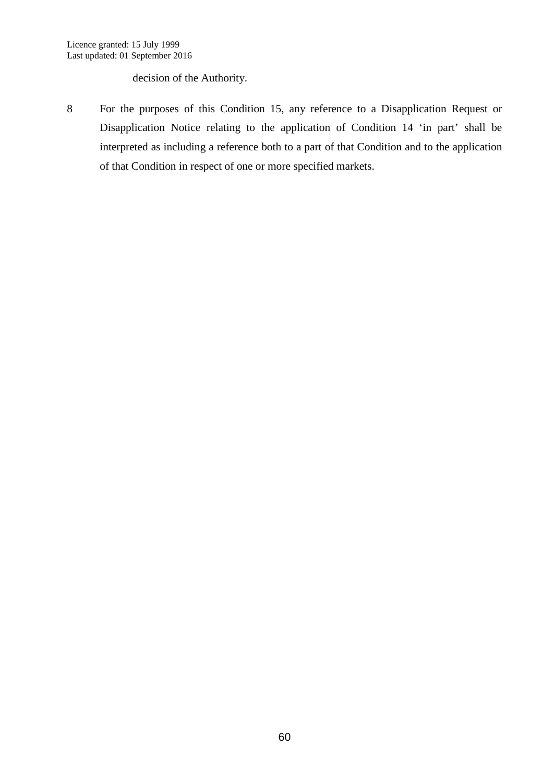decision of the Authority.

8 For the purposes of this Condition 15, any reference to a Disapplication Request or Disapplication Notice relating to the application of Condition 14 'in part' shall be interpreted as including a reference both to a part of that Condition and to the application of that Condition in respect of one or more specified markets.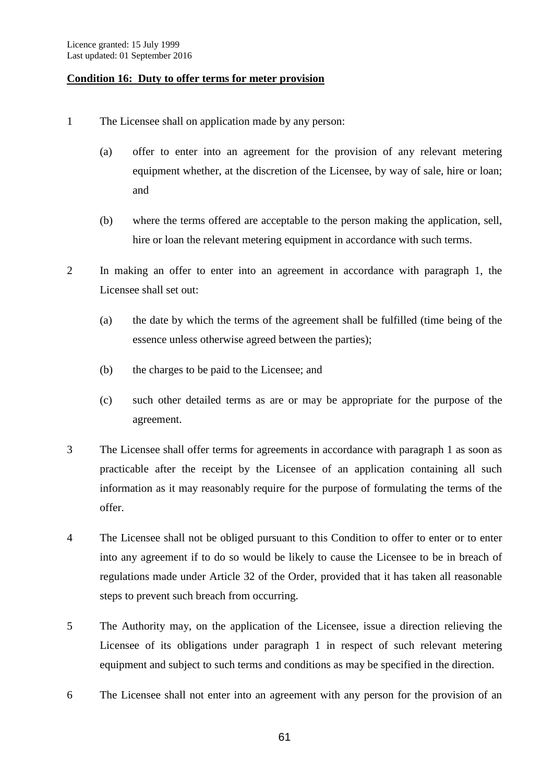#### **Condition 16: Duty to offer terms for meter provision**

- 1 The Licensee shall on application made by any person:
	- (a) offer to enter into an agreement for the provision of any relevant metering equipment whether, at the discretion of the Licensee, by way of sale, hire or loan; and
	- (b) where the terms offered are acceptable to the person making the application, sell, hire or loan the relevant metering equipment in accordance with such terms.
- 2 In making an offer to enter into an agreement in accordance with paragraph 1, the Licensee shall set out:
	- (a) the date by which the terms of the agreement shall be fulfilled (time being of the essence unless otherwise agreed between the parties);
	- (b) the charges to be paid to the Licensee; and
	- (c) such other detailed terms as are or may be appropriate for the purpose of the agreement.
- 3 The Licensee shall offer terms for agreements in accordance with paragraph 1 as soon as practicable after the receipt by the Licensee of an application containing all such information as it may reasonably require for the purpose of formulating the terms of the offer.
- 4 The Licensee shall not be obliged pursuant to this Condition to offer to enter or to enter into any agreement if to do so would be likely to cause the Licensee to be in breach of regulations made under Article 32 of the Order, provided that it has taken all reasonable steps to prevent such breach from occurring.
- 5 The Authority may, on the application of the Licensee, issue a direction relieving the Licensee of its obligations under paragraph 1 in respect of such relevant metering equipment and subject to such terms and conditions as may be specified in the direction.
- 6 The Licensee shall not enter into an agreement with any person for the provision of an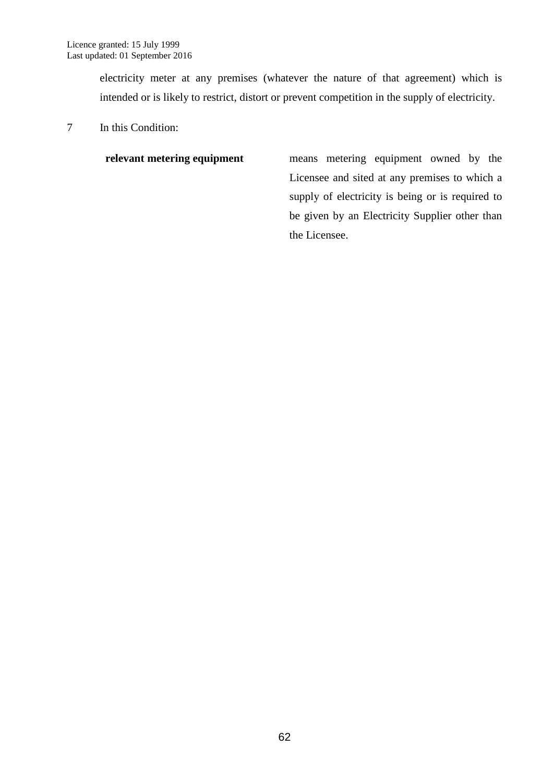electricity meter at any premises (whatever the nature of that agreement) which is intended or is likely to restrict, distort or prevent competition in the supply of electricity.

7 In this Condition:

**relevant metering equipment** means metering equipment owned by the Licensee and sited at any premises to which a supply of electricity is being or is required to be given by an Electricity Supplier other than the Licensee.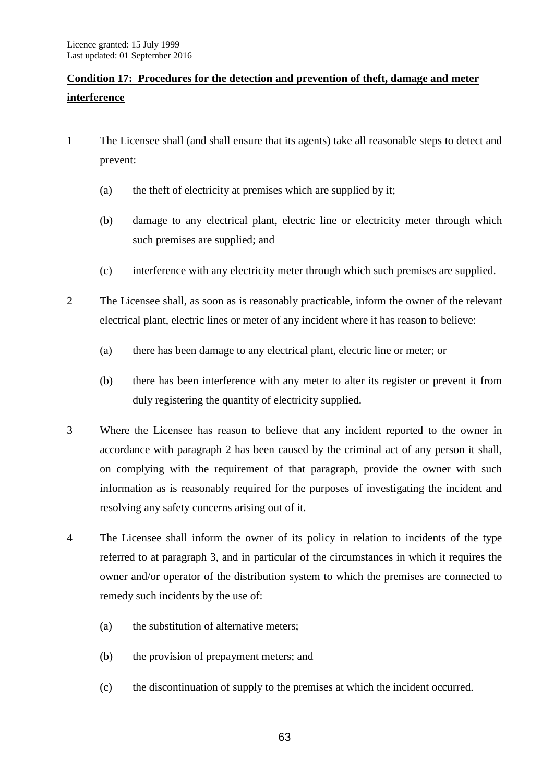# **Condition 17: Procedures for the detection and prevention of theft, damage and meter interference**

- 1 The Licensee shall (and shall ensure that its agents) take all reasonable steps to detect and prevent:
	- (a) the theft of electricity at premises which are supplied by it;
	- (b) damage to any electrical plant, electric line or electricity meter through which such premises are supplied; and
	- (c) interference with any electricity meter through which such premises are supplied.
- 2 The Licensee shall, as soon as is reasonably practicable, inform the owner of the relevant electrical plant, electric lines or meter of any incident where it has reason to believe:
	- (a) there has been damage to any electrical plant, electric line or meter; or
	- (b) there has been interference with any meter to alter its register or prevent it from duly registering the quantity of electricity supplied.
- 3 Where the Licensee has reason to believe that any incident reported to the owner in accordance with paragraph 2 has been caused by the criminal act of any person it shall, on complying with the requirement of that paragraph, provide the owner with such information as is reasonably required for the purposes of investigating the incident and resolving any safety concerns arising out of it.
- 4 The Licensee shall inform the owner of its policy in relation to incidents of the type referred to at paragraph 3, and in particular of the circumstances in which it requires the owner and/or operator of the distribution system to which the premises are connected to remedy such incidents by the use of:
	- (a) the substitution of alternative meters;
	- (b) the provision of prepayment meters; and
	- (c) the discontinuation of supply to the premises at which the incident occurred.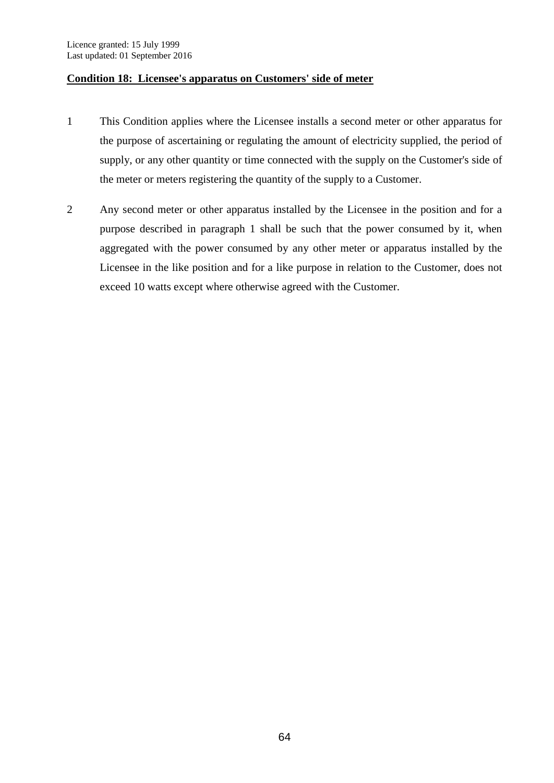#### **Condition 18: Licensee's apparatus on Customers' side of meter**

- 1 This Condition applies where the Licensee installs a second meter or other apparatus for the purpose of ascertaining or regulating the amount of electricity supplied, the period of supply, or any other quantity or time connected with the supply on the Customer's side of the meter or meters registering the quantity of the supply to a Customer.
- 2 Any second meter or other apparatus installed by the Licensee in the position and for a purpose described in paragraph 1 shall be such that the power consumed by it, when aggregated with the power consumed by any other meter or apparatus installed by the Licensee in the like position and for a like purpose in relation to the Customer, does not exceed 10 watts except where otherwise agreed with the Customer.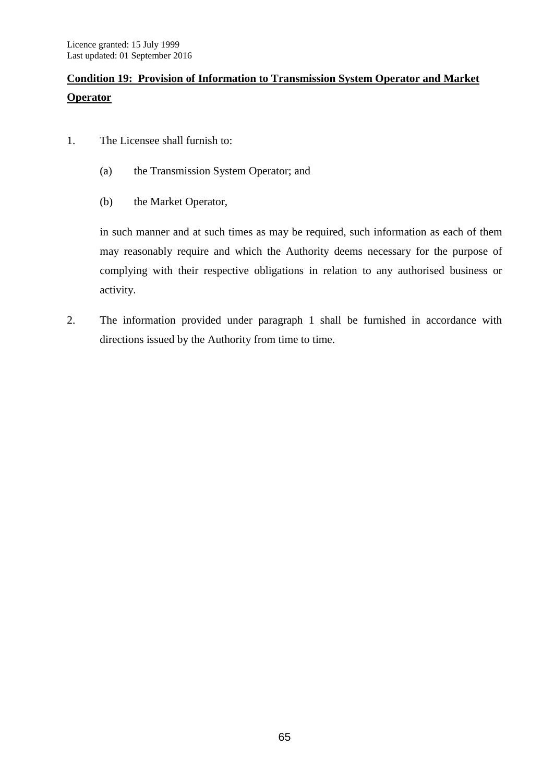# **Condition 19: Provision of Information to Transmission System Operator and Market Operator**

- 1. The Licensee shall furnish to:
	- (a) the Transmission System Operator; and
	- (b) the Market Operator,

in such manner and at such times as may be required, such information as each of them may reasonably require and which the Authority deems necessary for the purpose of complying with their respective obligations in relation to any authorised business or activity.

2. The information provided under paragraph 1 shall be furnished in accordance with directions issued by the Authority from time to time.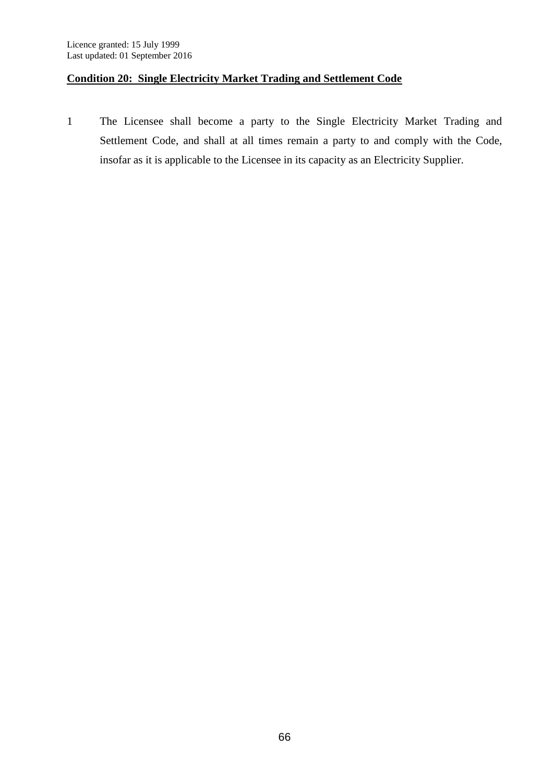## **Condition 20: Single Electricity Market Trading and Settlement Code**

1 The Licensee shall become a party to the Single Electricity Market Trading and Settlement Code, and shall at all times remain a party to and comply with the Code, insofar as it is applicable to the Licensee in its capacity as an Electricity Supplier.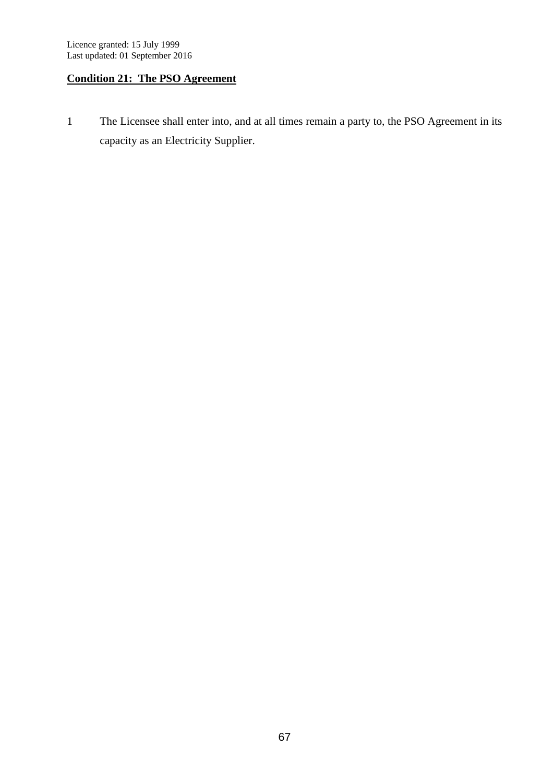## **Condition 21: The PSO Agreement**

1 The Licensee shall enter into, and at all times remain a party to, the PSO Agreement in its capacity as an Electricity Supplier.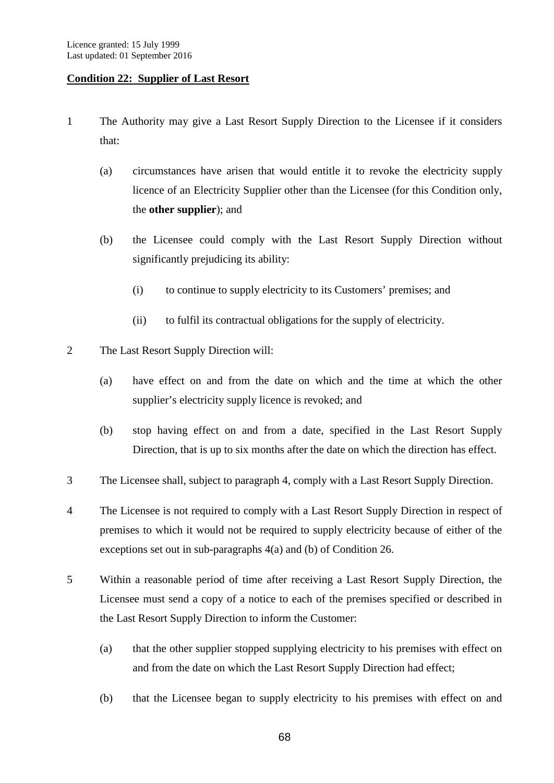#### **Condition 22: Supplier of Last Resort**

- 1 The Authority may give a Last Resort Supply Direction to the Licensee if it considers that:
	- (a) circumstances have arisen that would entitle it to revoke the electricity supply licence of an Electricity Supplier other than the Licensee (for this Condition only, the **other supplier**); and
	- (b) the Licensee could comply with the Last Resort Supply Direction without significantly prejudicing its ability:
		- (i) to continue to supply electricity to its Customers' premises; and
		- (ii) to fulfil its contractual obligations for the supply of electricity.
- 2 The Last Resort Supply Direction will:
	- (a) have effect on and from the date on which and the time at which the other supplier's electricity supply licence is revoked; and
	- (b) stop having effect on and from a date, specified in the Last Resort Supply Direction, that is up to six months after the date on which the direction has effect.
- 3 The Licensee shall, subject to paragraph 4, comply with a Last Resort Supply Direction.
- 4 The Licensee is not required to comply with a Last Resort Supply Direction in respect of premises to which it would not be required to supply electricity because of either of the exceptions set out in sub-paragraphs 4(a) and (b) of Condition 26.
- 5 Within a reasonable period of time after receiving a Last Resort Supply Direction, the Licensee must send a copy of a notice to each of the premises specified or described in the Last Resort Supply Direction to inform the Customer:
	- (a) that the other supplier stopped supplying electricity to his premises with effect on and from the date on which the Last Resort Supply Direction had effect;
	- (b) that the Licensee began to supply electricity to his premises with effect on and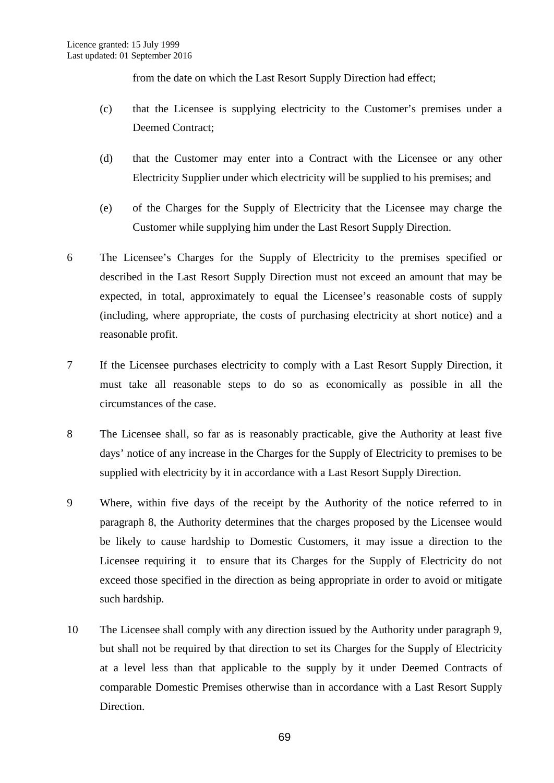from the date on which the Last Resort Supply Direction had effect:

- (c) that the Licensee is supplying electricity to the Customer's premises under a Deemed Contract;
- (d) that the Customer may enter into a Contract with the Licensee or any other Electricity Supplier under which electricity will be supplied to his premises; and
- (e) of the Charges for the Supply of Electricity that the Licensee may charge the Customer while supplying him under the Last Resort Supply Direction.
- 6 The Licensee's Charges for the Supply of Electricity to the premises specified or described in the Last Resort Supply Direction must not exceed an amount that may be expected, in total, approximately to equal the Licensee's reasonable costs of supply (including, where appropriate, the costs of purchasing electricity at short notice) and a reasonable profit.
- 7 If the Licensee purchases electricity to comply with a Last Resort Supply Direction, it must take all reasonable steps to do so as economically as possible in all the circumstances of the case.
- 8 The Licensee shall, so far as is reasonably practicable, give the Authority at least five days' notice of any increase in the Charges for the Supply of Electricity to premises to be supplied with electricity by it in accordance with a Last Resort Supply Direction.
- 9 Where, within five days of the receipt by the Authority of the notice referred to in paragraph 8, the Authority determines that the charges proposed by the Licensee would be likely to cause hardship to Domestic Customers, it may issue a direction to the Licensee requiring it to ensure that its Charges for the Supply of Electricity do not exceed those specified in the direction as being appropriate in order to avoid or mitigate such hardship.
- 10 The Licensee shall comply with any direction issued by the Authority under paragraph 9, but shall not be required by that direction to set its Charges for the Supply of Electricity at a level less than that applicable to the supply by it under Deemed Contracts of comparable Domestic Premises otherwise than in accordance with a Last Resort Supply Direction.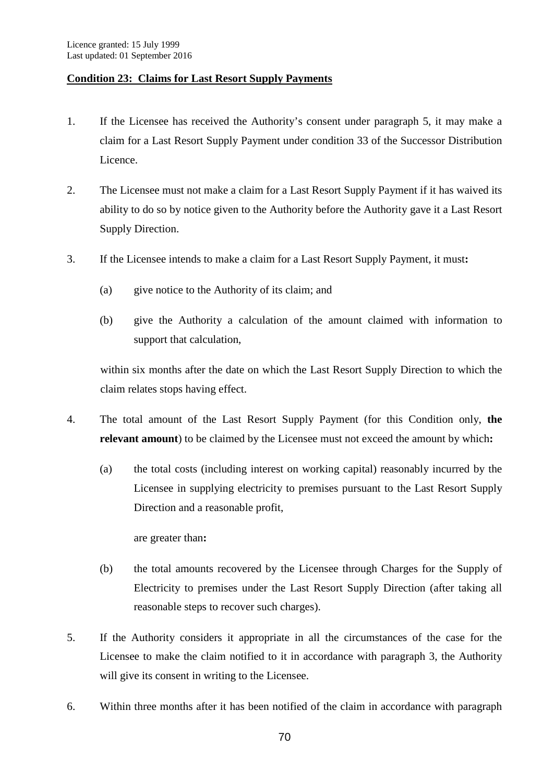## **Condition 23: Claims for Last Resort Supply Payments**

- 1. If the Licensee has received the Authority's consent under paragraph 5, it may make a claim for a Last Resort Supply Payment under condition 33 of the Successor Distribution Licence.
- 2. The Licensee must not make a claim for a Last Resort Supply Payment if it has waived its ability to do so by notice given to the Authority before the Authority gave it a Last Resort Supply Direction.
- 3. If the Licensee intends to make a claim for a Last Resort Supply Payment, it must**:**
	- (a) give notice to the Authority of its claim; and
	- (b) give the Authority a calculation of the amount claimed with information to support that calculation,

within six months after the date on which the Last Resort Supply Direction to which the claim relates stops having effect.

- 4. The total amount of the Last Resort Supply Payment (for this Condition only, **the relevant amount**) to be claimed by the Licensee must not exceed the amount by which**:**
	- (a) the total costs (including interest on working capital) reasonably incurred by the Licensee in supplying electricity to premises pursuant to the Last Resort Supply Direction and a reasonable profit,

are greater than**:**

- (b) the total amounts recovered by the Licensee through Charges for the Supply of Electricity to premises under the Last Resort Supply Direction (after taking all reasonable steps to recover such charges).
- 5. If the Authority considers it appropriate in all the circumstances of the case for the Licensee to make the claim notified to it in accordance with paragraph 3, the Authority will give its consent in writing to the Licensee.
- 6. Within three months after it has been notified of the claim in accordance with paragraph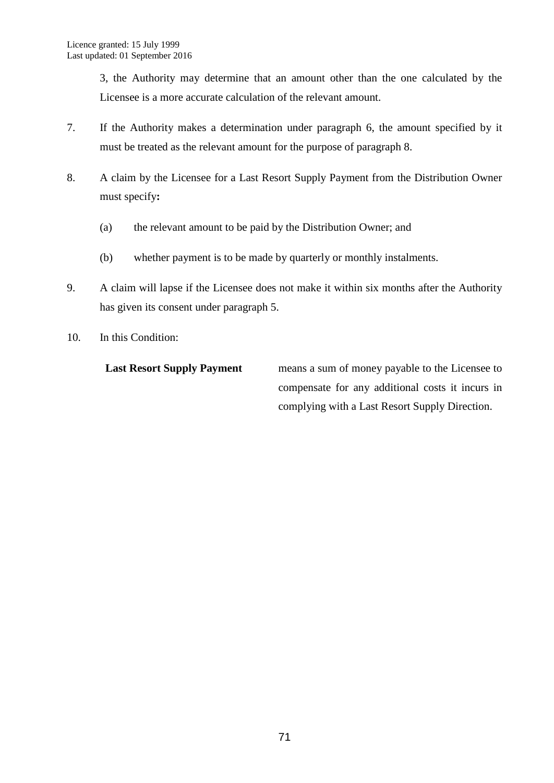3, the Authority may determine that an amount other than the one calculated by the Licensee is a more accurate calculation of the relevant amount.

- 7. If the Authority makes a determination under paragraph 6, the amount specified by it must be treated as the relevant amount for the purpose of paragraph 8.
- 8. A claim by the Licensee for a Last Resort Supply Payment from the Distribution Owner must specify**:**
	- (a) the relevant amount to be paid by the Distribution Owner; and
	- (b) whether payment is to be made by quarterly or monthly instalments.
- 9. A claim will lapse if the Licensee does not make it within six months after the Authority has given its consent under paragraph 5.
- 10. In this Condition:

Last Resort Supply Payment means a sum of money payable to the Licensee to compensate for any additional costs it incurs in complying with a Last Resort Supply Direction.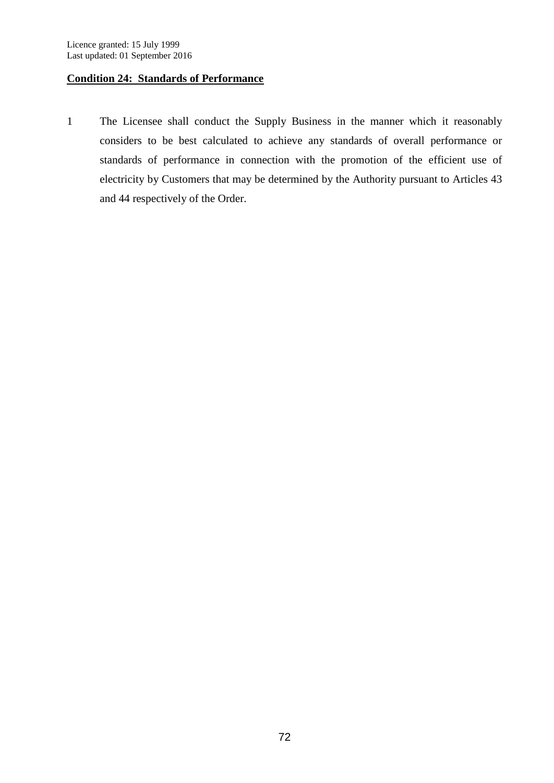## **Condition 24: Standards of Performance**

1 The Licensee shall conduct the Supply Business in the manner which it reasonably considers to be best calculated to achieve any standards of overall performance or standards of performance in connection with the promotion of the efficient use of electricity by Customers that may be determined by the Authority pursuant to Articles 43 and 44 respectively of the Order.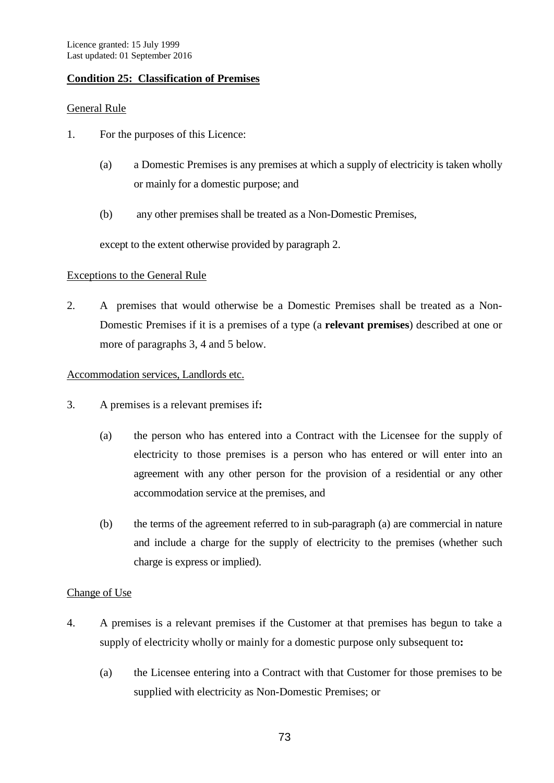## **Condition 25: Classification of Premises**

### General Rule

- 1. For the purposes of this Licence:
	- (a) a Domestic Premises is any premises at which a supply of electricity is taken wholly or mainly for a domestic purpose; and
	- (b) any other premises shall be treated as a Non-Domestic Premises,

except to the extent otherwise provided by paragraph 2.

### Exceptions to the General Rule

2. A premises that would otherwise be a Domestic Premises shall be treated as a Non-Domestic Premises if it is a premises of a type (a **relevant premises**) described at one or more of paragraphs 3, 4 and 5 below.

### Accommodation services, Landlords etc.

- 3. A premises is a relevant premises if**:**
	- (a) the person who has entered into a Contract with the Licensee for the supply of electricity to those premises is a person who has entered or will enter into an agreement with any other person for the provision of a residential or any other accommodation service at the premises, and
	- (b) the terms of the agreement referred to in sub-paragraph (a) are commercial in nature and include a charge for the supply of electricity to the premises (whether such charge is express or implied).

## Change of Use

- 4. A premises is a relevant premises if the Customer at that premises has begun to take a supply of electricity wholly or mainly for a domestic purpose only subsequent to**:**
	- (a) the Licensee entering into a Contract with that Customer for those premises to be supplied with electricity as Non-Domestic Premises; or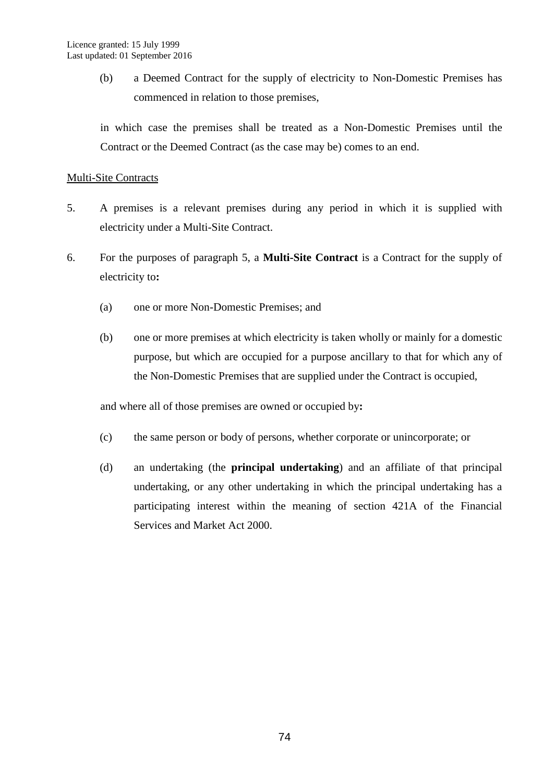(b) a Deemed Contract for the supply of electricity to Non-Domestic Premises has commenced in relation to those premises,

in which case the premises shall be treated as a Non-Domestic Premises until the Contract or the Deemed Contract (as the case may be) comes to an end.

#### Multi-Site Contracts

- 5. A premises is a relevant premises during any period in which it is supplied with electricity under a Multi-Site Contract.
- 6. For the purposes of paragraph 5, a **Multi-Site Contract** is a Contract for the supply of electricity to**:**
	- (a) one or more Non-Domestic Premises; and
	- (b) one or more premises at which electricity is taken wholly or mainly for a domestic purpose, but which are occupied for a purpose ancillary to that for which any of the Non-Domestic Premises that are supplied under the Contract is occupied,

and where all of those premises are owned or occupied by**:**

- (c) the same person or body of persons, whether corporate or unincorporate; or
- (d) an undertaking (the **principal undertaking**) and an affiliate of that principal undertaking, or any other undertaking in which the principal undertaking has a participating interest within the meaning of section 421A of the Financial Services and Market Act 2000.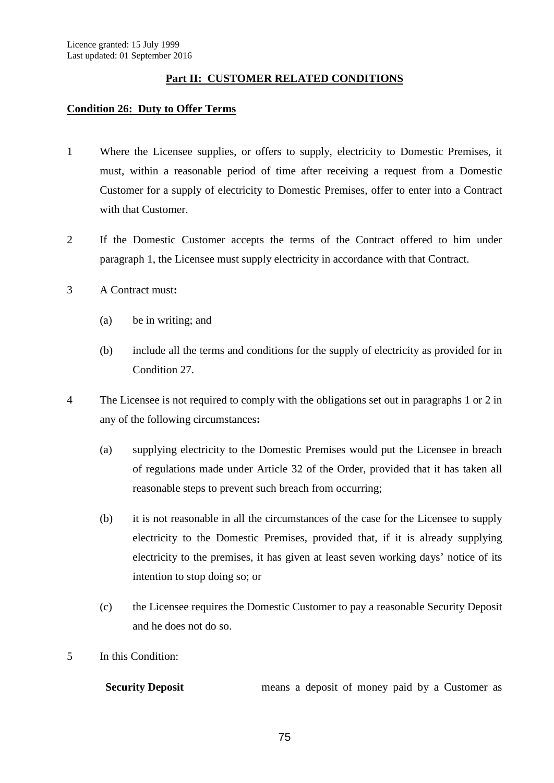## **Part II: CUSTOMER RELATED CONDITIONS**

#### **Condition 26: Duty to Offer Terms**

- 1 Where the Licensee supplies, or offers to supply, electricity to Domestic Premises, it must, within a reasonable period of time after receiving a request from a Domestic Customer for a supply of electricity to Domestic Premises, offer to enter into a Contract with that Customer.
- 2 If the Domestic Customer accepts the terms of the Contract offered to him under paragraph 1, the Licensee must supply electricity in accordance with that Contract.
- 3 A Contract must**:**
	- (a) be in writing; and
	- (b) include all the terms and conditions for the supply of electricity as provided for in Condition 27.
- 4 The Licensee is not required to comply with the obligations set out in paragraphs 1 or 2 in any of the following circumstances**:**
	- (a) supplying electricity to the Domestic Premises would put the Licensee in breach of regulations made under Article 32 of the Order, provided that it has taken all reasonable steps to prevent such breach from occurring;
	- (b) it is not reasonable in all the circumstances of the case for the Licensee to supply electricity to the Domestic Premises, provided that, if it is already supplying electricity to the premises, it has given at least seven working days' notice of its intention to stop doing so; or
	- (c) the Licensee requires the Domestic Customer to pay a reasonable Security Deposit and he does not do so.
- 5 In this Condition:

**Security Deposit** means a deposit of money paid by a Customer as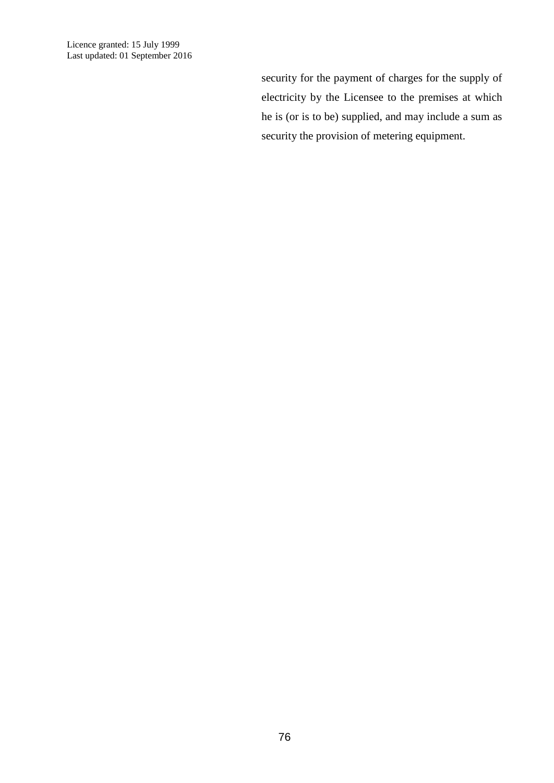Licence granted: 15 July 1999 Last updated: 01 September 2016

> security for the payment of charges for the supply of electricity by the Licensee to the premises at which he is (or is to be) supplied, and may include a sum as security the provision of metering equipment.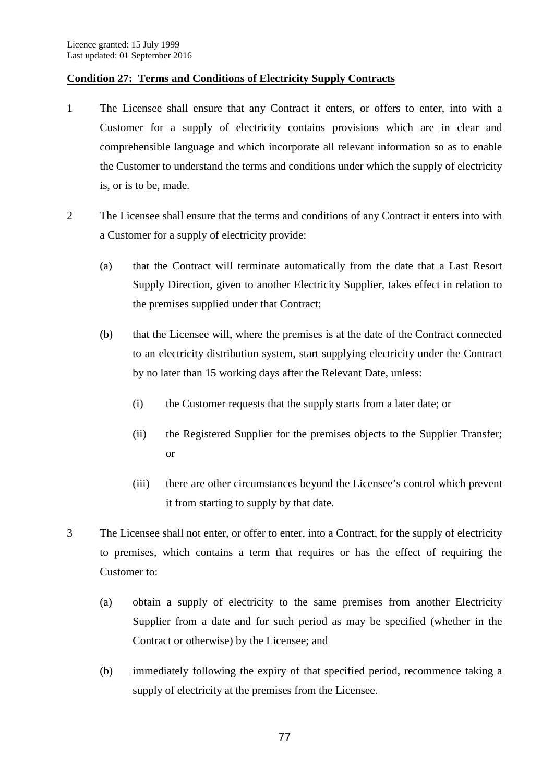## **Condition 27: Terms and Conditions of Electricity Supply Contracts**

- 1 The Licensee shall ensure that any Contract it enters, or offers to enter, into with a Customer for a supply of electricity contains provisions which are in clear and comprehensible language and which incorporate all relevant information so as to enable the Customer to understand the terms and conditions under which the supply of electricity is, or is to be, made.
- 2 The Licensee shall ensure that the terms and conditions of any Contract it enters into with a Customer for a supply of electricity provide:
	- (a) that the Contract will terminate automatically from the date that a Last Resort Supply Direction, given to another Electricity Supplier, takes effect in relation to the premises supplied under that Contract;
	- (b) that the Licensee will, where the premises is at the date of the Contract connected to an electricity distribution system, start supplying electricity under the Contract by no later than 15 working days after the Relevant Date, unless:
		- (i) the Customer requests that the supply starts from a later date; or
		- (ii) the Registered Supplier for the premises objects to the Supplier Transfer; or
		- (iii) there are other circumstances beyond the Licensee's control which prevent it from starting to supply by that date.
- 3 The Licensee shall not enter, or offer to enter, into a Contract, for the supply of electricity to premises, which contains a term that requires or has the effect of requiring the Customer to:
	- (a) obtain a supply of electricity to the same premises from another Electricity Supplier from a date and for such period as may be specified (whether in the Contract or otherwise) by the Licensee; and
	- (b) immediately following the expiry of that specified period, recommence taking a supply of electricity at the premises from the Licensee.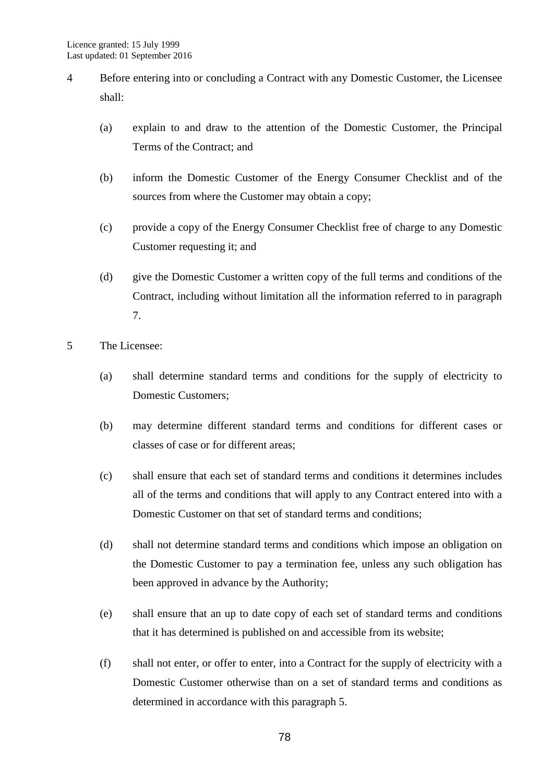- 4 Before entering into or concluding a Contract with any Domestic Customer, the Licensee shall:
	- (a) explain to and draw to the attention of the Domestic Customer, the Principal Terms of the Contract; and
	- (b) inform the Domestic Customer of the Energy Consumer Checklist and of the sources from where the Customer may obtain a copy;
	- (c) provide a copy of the Energy Consumer Checklist free of charge to any Domestic Customer requesting it; and
	- (d) give the Domestic Customer a written copy of the full terms and conditions of the Contract, including without limitation all the information referred to in paragraph 7.
- 5 The Licensee:
	- (a) shall determine standard terms and conditions for the supply of electricity to Domestic Customers;
	- (b) may determine different standard terms and conditions for different cases or classes of case or for different areas;
	- (c) shall ensure that each set of standard terms and conditions it determines includes all of the terms and conditions that will apply to any Contract entered into with a Domestic Customer on that set of standard terms and conditions;
	- (d) shall not determine standard terms and conditions which impose an obligation on the Domestic Customer to pay a termination fee, unless any such obligation has been approved in advance by the Authority;
	- (e) shall ensure that an up to date copy of each set of standard terms and conditions that it has determined is published on and accessible from its website;
	- (f) shall not enter, or offer to enter, into a Contract for the supply of electricity with a Domestic Customer otherwise than on a set of standard terms and conditions as determined in accordance with this paragraph 5.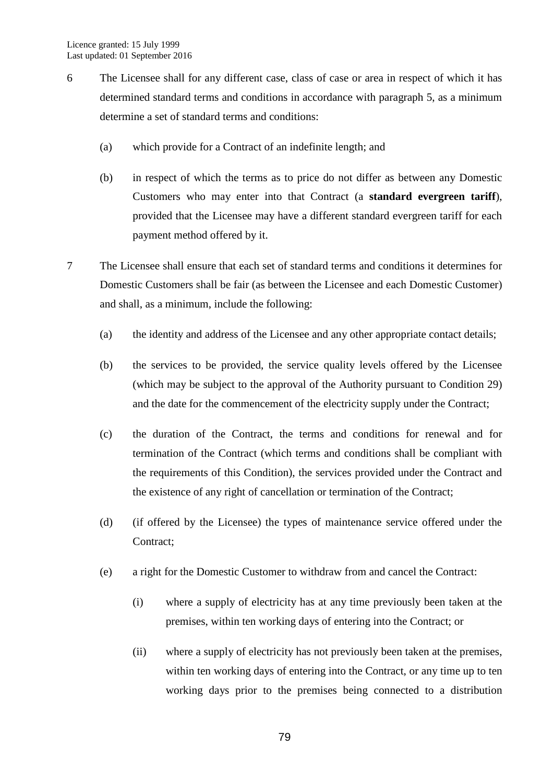- 6 The Licensee shall for any different case, class of case or area in respect of which it has determined standard terms and conditions in accordance with paragraph 5, as a minimum determine a set of standard terms and conditions:
	- (a) which provide for a Contract of an indefinite length; and
	- (b) in respect of which the terms as to price do not differ as between any Domestic Customers who may enter into that Contract (a **standard evergreen tariff**), provided that the Licensee may have a different standard evergreen tariff for each payment method offered by it.
- 7 The Licensee shall ensure that each set of standard terms and conditions it determines for Domestic Customers shall be fair (as between the Licensee and each Domestic Customer) and shall, as a minimum, include the following:
	- (a) the identity and address of the Licensee and any other appropriate contact details;
	- (b) the services to be provided, the service quality levels offered by the Licensee (which may be subject to the approval of the Authority pursuant to Condition 29) and the date for the commencement of the electricity supply under the Contract;
	- (c) the duration of the Contract, the terms and conditions for renewal and for termination of the Contract (which terms and conditions shall be compliant with the requirements of this Condition), the services provided under the Contract and the existence of any right of cancellation or termination of the Contract;
	- (d) (if offered by the Licensee) the types of maintenance service offered under the Contract;
	- (e) a right for the Domestic Customer to withdraw from and cancel the Contract:
		- (i) where a supply of electricity has at any time previously been taken at the premises, within ten working days of entering into the Contract; or
		- (ii) where a supply of electricity has not previously been taken at the premises, within ten working days of entering into the Contract, or any time up to ten working days prior to the premises being connected to a distribution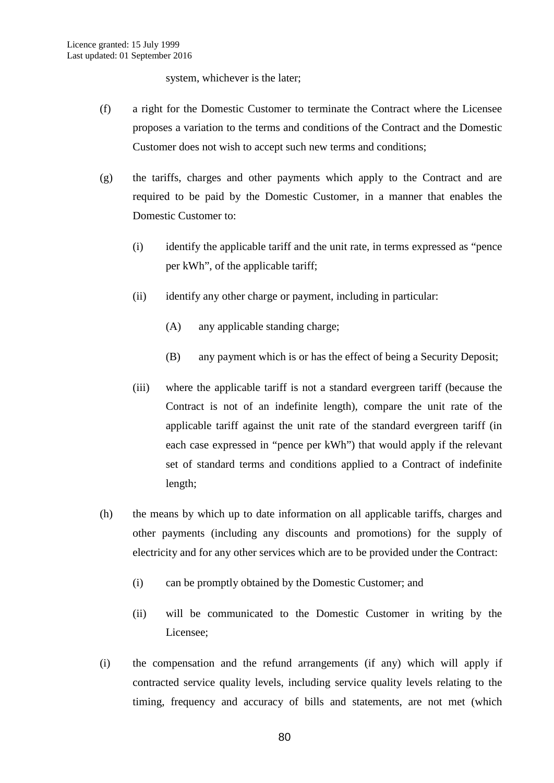system, whichever is the later;

- (f) a right for the Domestic Customer to terminate the Contract where the Licensee proposes a variation to the terms and conditions of the Contract and the Domestic Customer does not wish to accept such new terms and conditions;
- (g) the tariffs, charges and other payments which apply to the Contract and are required to be paid by the Domestic Customer, in a manner that enables the Domestic Customer to:
	- (i) identify the applicable tariff and the unit rate, in terms expressed as "pence per kWh", of the applicable tariff;
	- (ii) identify any other charge or payment, including in particular:
		- (A) any applicable standing charge;
		- (B) any payment which is or has the effect of being a Security Deposit;
	- (iii) where the applicable tariff is not a standard evergreen tariff (because the Contract is not of an indefinite length), compare the unit rate of the applicable tariff against the unit rate of the standard evergreen tariff (in each case expressed in "pence per kWh") that would apply if the relevant set of standard terms and conditions applied to a Contract of indefinite length;
- (h) the means by which up to date information on all applicable tariffs, charges and other payments (including any discounts and promotions) for the supply of electricity and for any other services which are to be provided under the Contract:
	- (i) can be promptly obtained by the Domestic Customer; and
	- (ii) will be communicated to the Domestic Customer in writing by the Licensee;
- (i) the compensation and the refund arrangements (if any) which will apply if contracted service quality levels, including service quality levels relating to the timing, frequency and accuracy of bills and statements, are not met (which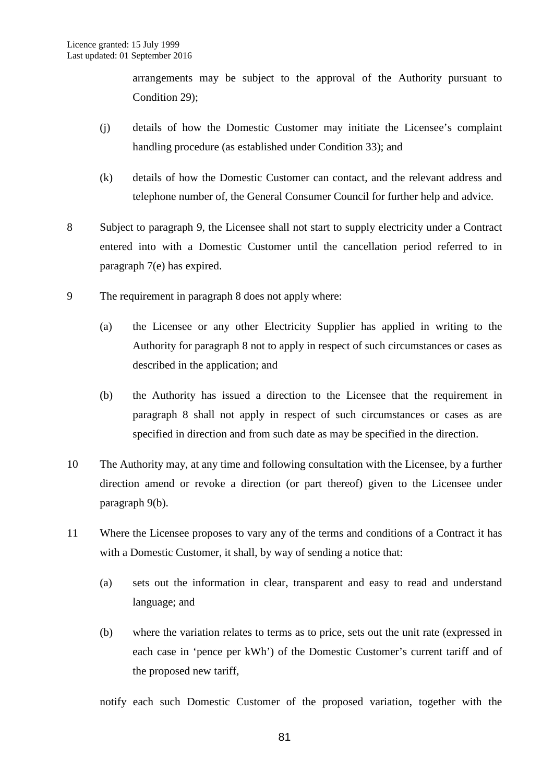arrangements may be subject to the approval of the Authority pursuant to Condition 29);

- (j) details of how the Domestic Customer may initiate the Licensee's complaint handling procedure (as established under Condition 33); and
- (k) details of how the Domestic Customer can contact, and the relevant address and telephone number of, the General Consumer Council for further help and advice.
- 8 Subject to paragraph 9, the Licensee shall not start to supply electricity under a Contract entered into with a Domestic Customer until the cancellation period referred to in paragraph 7(e) has expired.
- 9 The requirement in paragraph 8 does not apply where:
	- (a) the Licensee or any other Electricity Supplier has applied in writing to the Authority for paragraph 8 not to apply in respect of such circumstances or cases as described in the application; and
	- (b) the Authority has issued a direction to the Licensee that the requirement in paragraph 8 shall not apply in respect of such circumstances or cases as are specified in direction and from such date as may be specified in the direction.
- 10 The Authority may, at any time and following consultation with the Licensee, by a further direction amend or revoke a direction (or part thereof) given to the Licensee under paragraph 9(b).
- 11 Where the Licensee proposes to vary any of the terms and conditions of a Contract it has with a Domestic Customer, it shall, by way of sending a notice that:
	- (a) sets out the information in clear, transparent and easy to read and understand language; and
	- (b) where the variation relates to terms as to price, sets out the unit rate (expressed in each case in 'pence per kWh') of the Domestic Customer's current tariff and of the proposed new tariff,

notify each such Domestic Customer of the proposed variation, together with the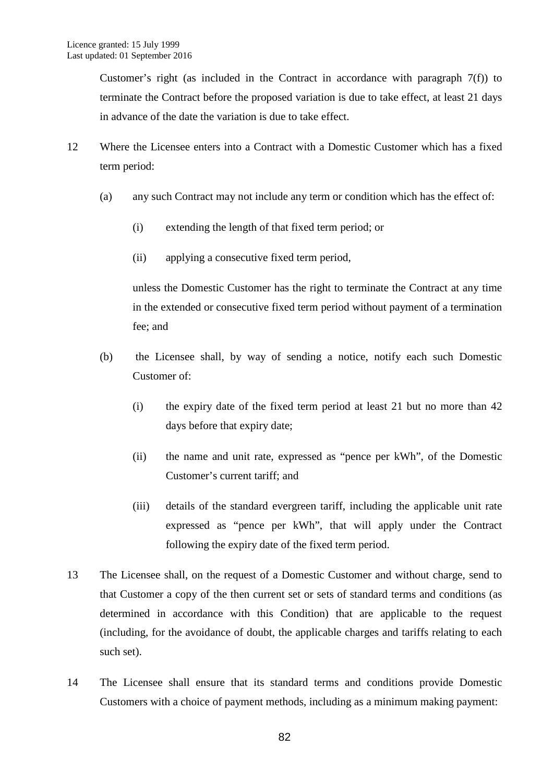Customer's right (as included in the Contract in accordance with paragraph  $7(f)$ ) to terminate the Contract before the proposed variation is due to take effect, at least 21 days in advance of the date the variation is due to take effect.

- 12 Where the Licensee enters into a Contract with a Domestic Customer which has a fixed term period:
	- (a) any such Contract may not include any term or condition which has the effect of:
		- (i) extending the length of that fixed term period; or
		- (ii) applying a consecutive fixed term period,

unless the Domestic Customer has the right to terminate the Contract at any time in the extended or consecutive fixed term period without payment of a termination fee; and

- (b) the Licensee shall, by way of sending a notice, notify each such Domestic Customer of:
	- (i) the expiry date of the fixed term period at least 21 but no more than 42 days before that expiry date;
	- (ii) the name and unit rate, expressed as "pence per kWh", of the Domestic Customer's current tariff; and
	- (iii) details of the standard evergreen tariff, including the applicable unit rate expressed as "pence per kWh", that will apply under the Contract following the expiry date of the fixed term period.
- 13 The Licensee shall, on the request of a Domestic Customer and without charge, send to that Customer a copy of the then current set or sets of standard terms and conditions (as determined in accordance with this Condition) that are applicable to the request (including, for the avoidance of doubt, the applicable charges and tariffs relating to each such set).
- 14 The Licensee shall ensure that its standard terms and conditions provide Domestic Customers with a choice of payment methods, including as a minimum making payment: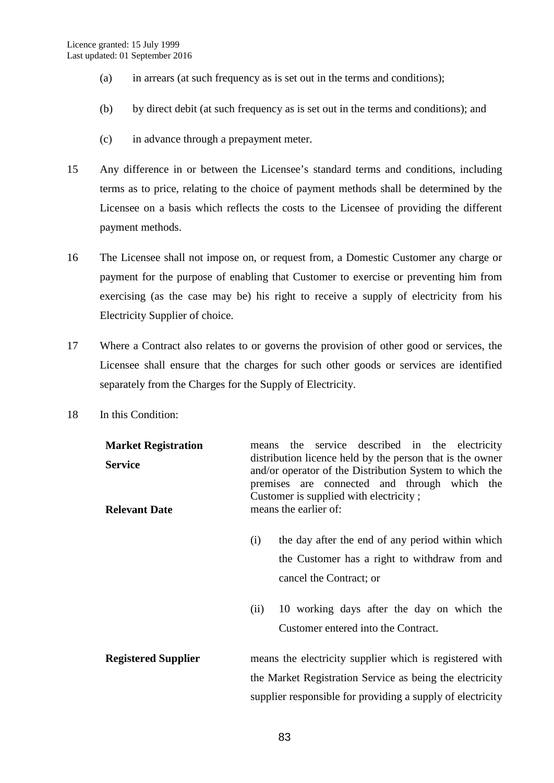- (a) in arrears (at such frequency as is set out in the terms and conditions);
- (b) by direct debit (at such frequency as is set out in the terms and conditions); and
- (c) in advance through a prepayment meter.
- 15 Any difference in or between the Licensee's standard terms and conditions, including terms as to price, relating to the choice of payment methods shall be determined by the Licensee on a basis which reflects the costs to the Licensee of providing the different payment methods.
- 16 The Licensee shall not impose on, or request from, a Domestic Customer any charge or payment for the purpose of enabling that Customer to exercise or preventing him from exercising (as the case may be) his right to receive a supply of electricity from his Electricity Supplier of choice.
- 17 Where a Contract also relates to or governs the provision of other good or services, the Licensee shall ensure that the charges for such other goods or services are identified separately from the Charges for the Supply of Electricity.
- 18 In this Condition:

| <b>Market Registration</b><br><b>Service</b><br><b>Relevant Date</b> | means the service described in the electricity<br>distribution licence held by the person that is the owner<br>and/or operator of the Distribution System to which the<br>premises are connected and through which the<br>Customer is supplied with electricity;<br>means the earlier of: |
|----------------------------------------------------------------------|-------------------------------------------------------------------------------------------------------------------------------------------------------------------------------------------------------------------------------------------------------------------------------------------|
|                                                                      | the day after the end of any period within which<br>(i)<br>the Customer has a right to withdraw from and<br>cancel the Contract; or                                                                                                                                                       |
|                                                                      | 10 working days after the day on which the<br>(ii)<br>Customer entered into the Contract.                                                                                                                                                                                                 |
| <b>Registered Supplier</b>                                           | means the electricity supplier which is registered with<br>the Market Registration Service as being the electricity<br>supplier responsible for providing a supply of electricity                                                                                                         |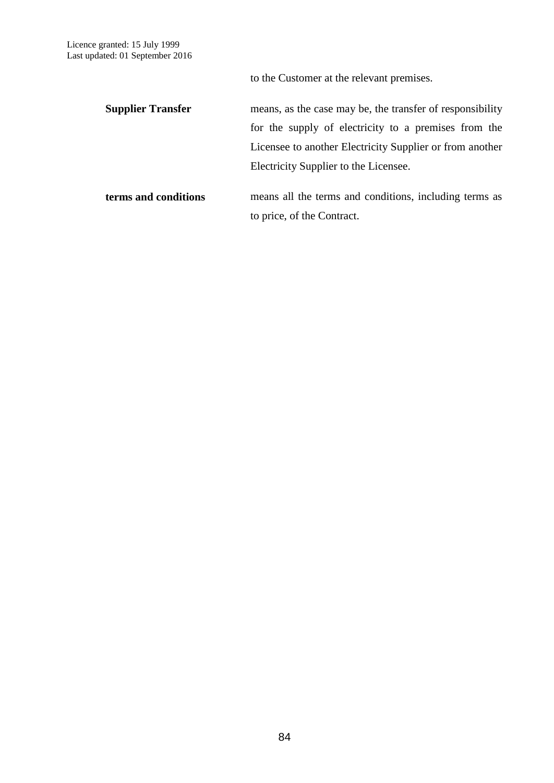to the Customer at the relevant premises.

| <b>Supplier Transfer</b> | means, as the case may be, the transfer of responsibility |
|--------------------------|-----------------------------------------------------------|
|                          | for the supply of electricity to a premises from the      |
|                          | Licensee to another Electricity Supplier or from another  |
|                          | Electricity Supplier to the Licensee.                     |
|                          |                                                           |

**terms and conditions** means all the terms and conditions, including terms as to price, of the Contract.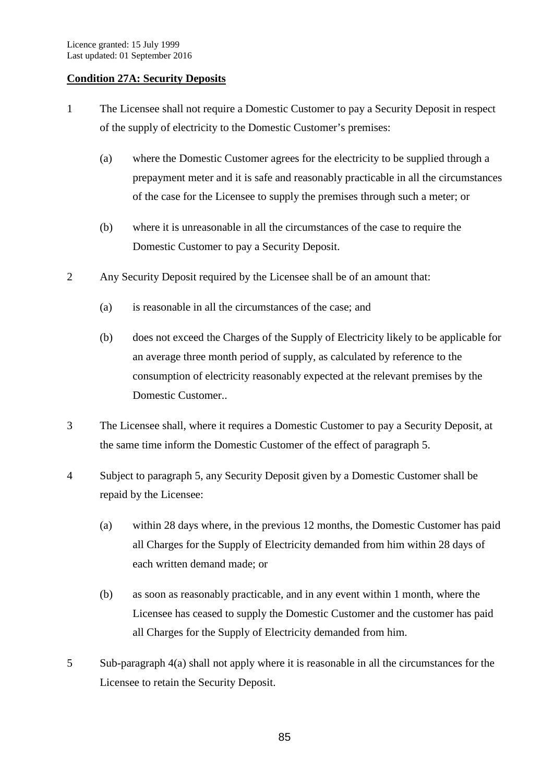## **Condition 27A: Security Deposits**

- 1 The Licensee shall not require a Domestic Customer to pay a Security Deposit in respect of the supply of electricity to the Domestic Customer's premises:
	- (a) where the Domestic Customer agrees for the electricity to be supplied through a prepayment meter and it is safe and reasonably practicable in all the circumstances of the case for the Licensee to supply the premises through such a meter; or
	- (b) where it is unreasonable in all the circumstances of the case to require the Domestic Customer to pay a Security Deposit.
- 2 Any Security Deposit required by the Licensee shall be of an amount that:
	- (a) is reasonable in all the circumstances of the case; and
	- (b) does not exceed the Charges of the Supply of Electricity likely to be applicable for an average three month period of supply, as calculated by reference to the consumption of electricity reasonably expected at the relevant premises by the Domestic Customer..
- 3 The Licensee shall, where it requires a Domestic Customer to pay a Security Deposit, at the same time inform the Domestic Customer of the effect of paragraph 5.
- 4 Subject to paragraph 5, any Security Deposit given by a Domestic Customer shall be repaid by the Licensee:
	- (a) within 28 days where, in the previous 12 months, the Domestic Customer has paid all Charges for the Supply of Electricity demanded from him within 28 days of each written demand made; or
	- (b) as soon as reasonably practicable, and in any event within 1 month, where the Licensee has ceased to supply the Domestic Customer and the customer has paid all Charges for the Supply of Electricity demanded from him.
- 5 Sub-paragraph 4(a) shall not apply where it is reasonable in all the circumstances for the Licensee to retain the Security Deposit.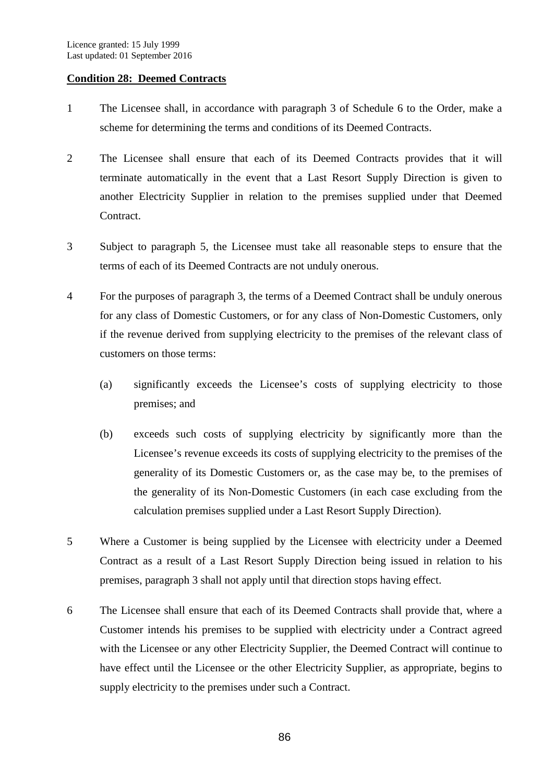### **Condition 28: Deemed Contracts**

- 1 The Licensee shall, in accordance with paragraph 3 of Schedule 6 to the Order, make a scheme for determining the terms and conditions of its Deemed Contracts.
- 2 The Licensee shall ensure that each of its Deemed Contracts provides that it will terminate automatically in the event that a Last Resort Supply Direction is given to another Electricity Supplier in relation to the premises supplied under that Deemed Contract.
- 3 Subject to paragraph 5, the Licensee must take all reasonable steps to ensure that the terms of each of its Deemed Contracts are not unduly onerous.
- 4 For the purposes of paragraph 3, the terms of a Deemed Contract shall be unduly onerous for any class of Domestic Customers, or for any class of Non-Domestic Customers, only if the revenue derived from supplying electricity to the premises of the relevant class of customers on those terms:
	- (a) significantly exceeds the Licensee's costs of supplying electricity to those premises; and
	- (b) exceeds such costs of supplying electricity by significantly more than the Licensee's revenue exceeds its costs of supplying electricity to the premises of the generality of its Domestic Customers or, as the case may be, to the premises of the generality of its Non-Domestic Customers (in each case excluding from the calculation premises supplied under a Last Resort Supply Direction).
- 5 Where a Customer is being supplied by the Licensee with electricity under a Deemed Contract as a result of a Last Resort Supply Direction being issued in relation to his premises, paragraph 3 shall not apply until that direction stops having effect.
- 6 The Licensee shall ensure that each of its Deemed Contracts shall provide that, where a Customer intends his premises to be supplied with electricity under a Contract agreed with the Licensee or any other Electricity Supplier, the Deemed Contract will continue to have effect until the Licensee or the other Electricity Supplier, as appropriate, begins to supply electricity to the premises under such a Contract.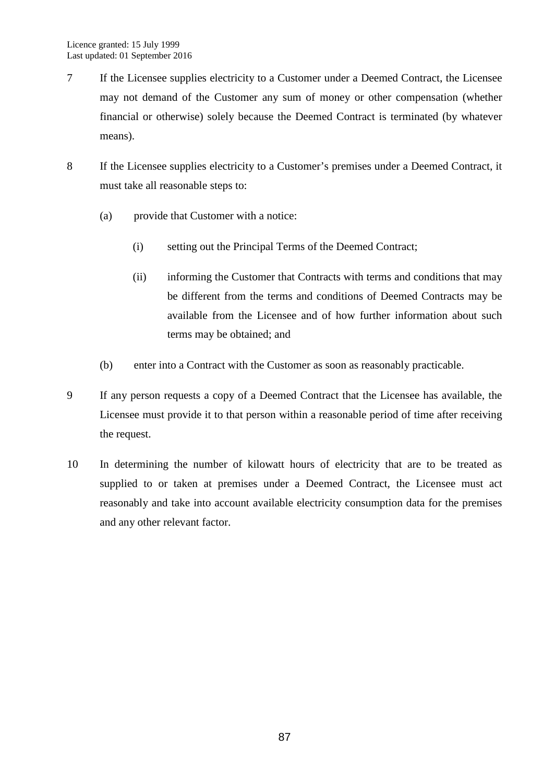- 7 If the Licensee supplies electricity to a Customer under a Deemed Contract, the Licensee may not demand of the Customer any sum of money or other compensation (whether financial or otherwise) solely because the Deemed Contract is terminated (by whatever means).
- 8 If the Licensee supplies electricity to a Customer's premises under a Deemed Contract, it must take all reasonable steps to:
	- (a) provide that Customer with a notice:
		- (i) setting out the Principal Terms of the Deemed Contract;
		- (ii) informing the Customer that Contracts with terms and conditions that may be different from the terms and conditions of Deemed Contracts may be available from the Licensee and of how further information about such terms may be obtained; and
	- (b) enter into a Contract with the Customer as soon as reasonably practicable.
- 9 If any person requests a copy of a Deemed Contract that the Licensee has available, the Licensee must provide it to that person within a reasonable period of time after receiving the request.
- 10 In determining the number of kilowatt hours of electricity that are to be treated as supplied to or taken at premises under a Deemed Contract, the Licensee must act reasonably and take into account available electricity consumption data for the premises and any other relevant factor.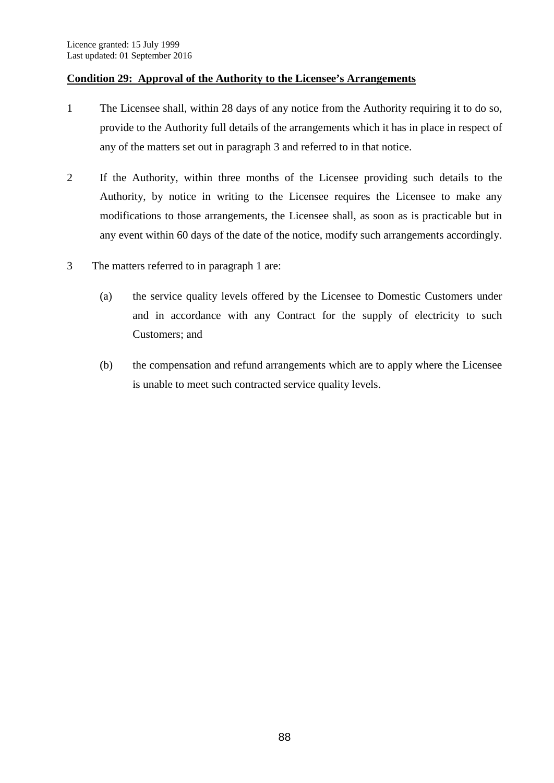## **Condition 29: Approval of the Authority to the Licensee's Arrangements**

- 1 The Licensee shall, within 28 days of any notice from the Authority requiring it to do so, provide to the Authority full details of the arrangements which it has in place in respect of any of the matters set out in paragraph 3 and referred to in that notice.
- 2 If the Authority, within three months of the Licensee providing such details to the Authority, by notice in writing to the Licensee requires the Licensee to make any modifications to those arrangements, the Licensee shall, as soon as is practicable but in any event within 60 days of the date of the notice, modify such arrangements accordingly.
- 3 The matters referred to in paragraph 1 are:
	- (a) the service quality levels offered by the Licensee to Domestic Customers under and in accordance with any Contract for the supply of electricity to such Customers; and
	- (b) the compensation and refund arrangements which are to apply where the Licensee is unable to meet such contracted service quality levels.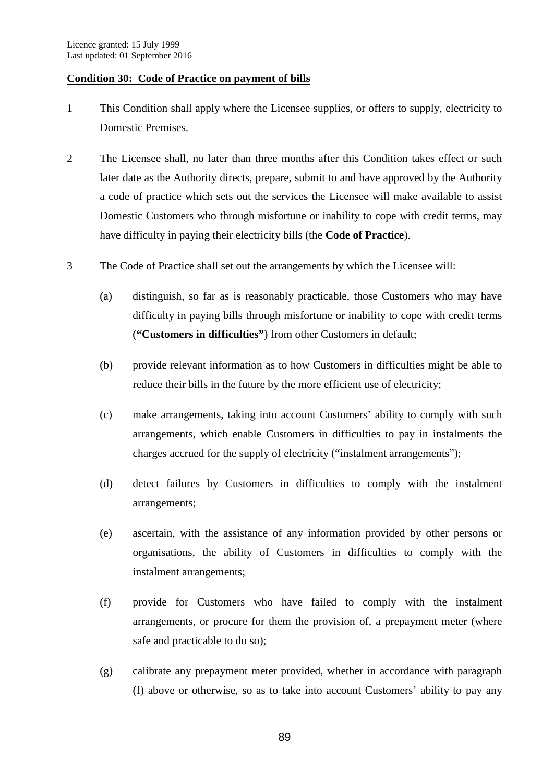#### **Condition 30: Code of Practice on payment of bills**

- 1 This Condition shall apply where the Licensee supplies, or offers to supply, electricity to Domestic Premises.
- 2 The Licensee shall, no later than three months after this Condition takes effect or such later date as the Authority directs, prepare, submit to and have approved by the Authority a code of practice which sets out the services the Licensee will make available to assist Domestic Customers who through misfortune or inability to cope with credit terms, may have difficulty in paying their electricity bills (the **Code of Practice**).
- 3 The Code of Practice shall set out the arrangements by which the Licensee will:
	- (a) distinguish, so far as is reasonably practicable, those Customers who may have difficulty in paying bills through misfortune or inability to cope with credit terms (**"Customers in difficulties"**) from other Customers in default;
	- (b) provide relevant information as to how Customers in difficulties might be able to reduce their bills in the future by the more efficient use of electricity;
	- (c) make arrangements, taking into account Customers' ability to comply with such arrangements, which enable Customers in difficulties to pay in instalments the charges accrued for the supply of electricity ("instalment arrangements");
	- (d) detect failures by Customers in difficulties to comply with the instalment arrangements;
	- (e) ascertain, with the assistance of any information provided by other persons or organisations, the ability of Customers in difficulties to comply with the instalment arrangements;
	- (f) provide for Customers who have failed to comply with the instalment arrangements, or procure for them the provision of, a prepayment meter (where safe and practicable to do so);
	- (g) calibrate any prepayment meter provided, whether in accordance with paragraph (f) above or otherwise, so as to take into account Customers' ability to pay any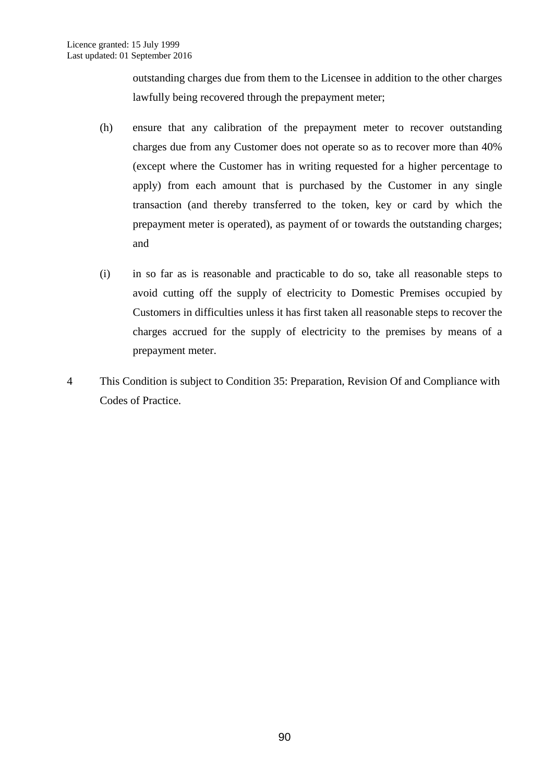outstanding charges due from them to the Licensee in addition to the other charges lawfully being recovered through the prepayment meter;

- (h) ensure that any calibration of the prepayment meter to recover outstanding charges due from any Customer does not operate so as to recover more than 40% (except where the Customer has in writing requested for a higher percentage to apply) from each amount that is purchased by the Customer in any single transaction (and thereby transferred to the token, key or card by which the prepayment meter is operated), as payment of or towards the outstanding charges; and
- (i) in so far as is reasonable and practicable to do so, take all reasonable steps to avoid cutting off the supply of electricity to Domestic Premises occupied by Customers in difficulties unless it has first taken all reasonable steps to recover the charges accrued for the supply of electricity to the premises by means of a prepayment meter.
- 4 This Condition is subject to Condition 35: Preparation, Revision Of and Compliance with Codes of Practice.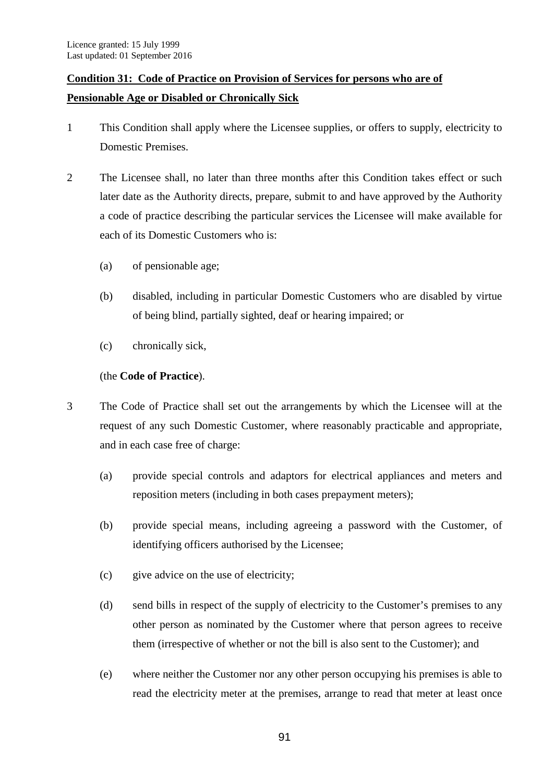# **Condition 31: Code of Practice on Provision of Services for persons who are of Pensionable Age or Disabled or Chronically Sick**

- 1 This Condition shall apply where the Licensee supplies, or offers to supply, electricity to Domestic Premises.
- 2 The Licensee shall, no later than three months after this Condition takes effect or such later date as the Authority directs, prepare, submit to and have approved by the Authority a code of practice describing the particular services the Licensee will make available for each of its Domestic Customers who is:
	- (a) of pensionable age;
	- (b) disabled, including in particular Domestic Customers who are disabled by virtue of being blind, partially sighted, deaf or hearing impaired; or
	- (c) chronically sick,

## (the **Code of Practice**).

- 3 The Code of Practice shall set out the arrangements by which the Licensee will at the request of any such Domestic Customer, where reasonably practicable and appropriate, and in each case free of charge:
	- (a) provide special controls and adaptors for electrical appliances and meters and reposition meters (including in both cases prepayment meters);
	- (b) provide special means, including agreeing a password with the Customer, of identifying officers authorised by the Licensee;
	- (c) give advice on the use of electricity;
	- (d) send bills in respect of the supply of electricity to the Customer's premises to any other person as nominated by the Customer where that person agrees to receive them (irrespective of whether or not the bill is also sent to the Customer); and
	- (e) where neither the Customer nor any other person occupying his premises is able to read the electricity meter at the premises, arrange to read that meter at least once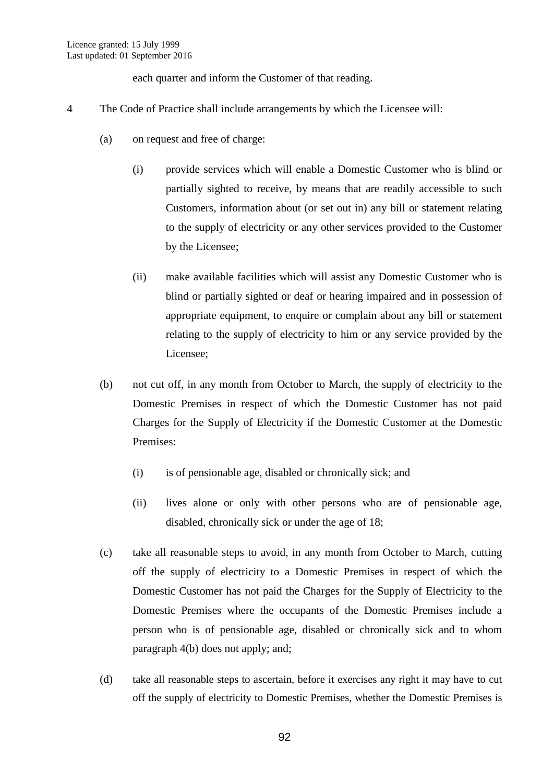each quarter and inform the Customer of that reading.

- 4 The Code of Practice shall include arrangements by which the Licensee will:
	- (a) on request and free of charge:
		- (i) provide services which will enable a Domestic Customer who is blind or partially sighted to receive, by means that are readily accessible to such Customers, information about (or set out in) any bill or statement relating to the supply of electricity or any other services provided to the Customer by the Licensee;
		- (ii) make available facilities which will assist any Domestic Customer who is blind or partially sighted or deaf or hearing impaired and in possession of appropriate equipment, to enquire or complain about any bill or statement relating to the supply of electricity to him or any service provided by the Licensee;
	- (b) not cut off, in any month from October to March, the supply of electricity to the Domestic Premises in respect of which the Domestic Customer has not paid Charges for the Supply of Electricity if the Domestic Customer at the Domestic Premises:
		- (i) is of pensionable age, disabled or chronically sick; and
		- (ii) lives alone or only with other persons who are of pensionable age, disabled, chronically sick or under the age of 18;
	- (c) take all reasonable steps to avoid, in any month from October to March, cutting off the supply of electricity to a Domestic Premises in respect of which the Domestic Customer has not paid the Charges for the Supply of Electricity to the Domestic Premises where the occupants of the Domestic Premises include a person who is of pensionable age, disabled or chronically sick and to whom paragraph 4(b) does not apply; and;
	- (d) take all reasonable steps to ascertain, before it exercises any right it may have to cut off the supply of electricity to Domestic Premises, whether the Domestic Premises is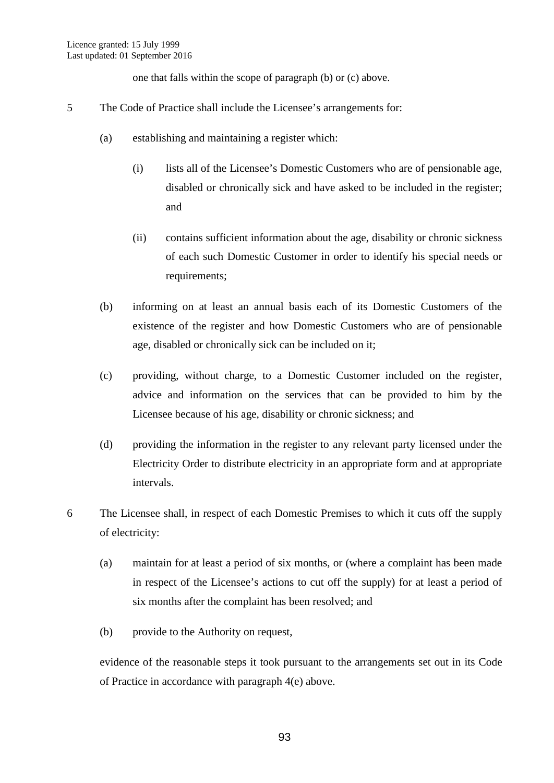one that falls within the scope of paragraph (b) or (c) above.

- 5 The Code of Practice shall include the Licensee's arrangements for:
	- (a) establishing and maintaining a register which:
		- (i) lists all of the Licensee's Domestic Customers who are of pensionable age, disabled or chronically sick and have asked to be included in the register; and
		- (ii) contains sufficient information about the age, disability or chronic sickness of each such Domestic Customer in order to identify his special needs or requirements;
	- (b) informing on at least an annual basis each of its Domestic Customers of the existence of the register and how Domestic Customers who are of pensionable age, disabled or chronically sick can be included on it;
	- (c) providing, without charge, to a Domestic Customer included on the register, advice and information on the services that can be provided to him by the Licensee because of his age, disability or chronic sickness; and
	- (d) providing the information in the register to any relevant party licensed under the Electricity Order to distribute electricity in an appropriate form and at appropriate intervals.
- 6 The Licensee shall, in respect of each Domestic Premises to which it cuts off the supply of electricity:
	- (a) maintain for at least a period of six months, or (where a complaint has been made in respect of the Licensee's actions to cut off the supply) for at least a period of six months after the complaint has been resolved; and
	- (b) provide to the Authority on request,

evidence of the reasonable steps it took pursuant to the arrangements set out in its Code of Practice in accordance with paragraph 4(e) above.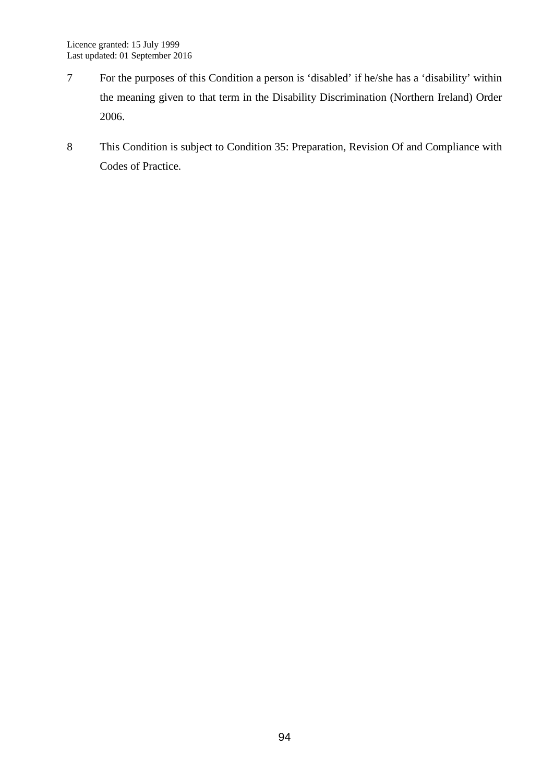- 7 For the purposes of this Condition a person is 'disabled' if he/she has a 'disability' within the meaning given to that term in the Disability Discrimination (Northern Ireland) Order 2006.
- 8 This Condition is subject to Condition 35: Preparation, Revision Of and Compliance with Codes of Practice.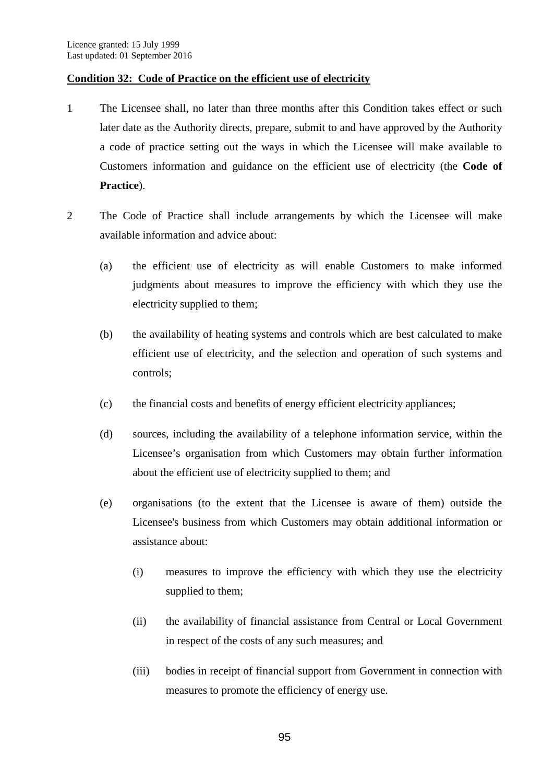## **Condition 32: Code of Practice on the efficient use of electricity**

- 1 The Licensee shall, no later than three months after this Condition takes effect or such later date as the Authority directs, prepare, submit to and have approved by the Authority a code of practice setting out the ways in which the Licensee will make available to Customers information and guidance on the efficient use of electricity (the **Code of Practice**).
- 2 The Code of Practice shall include arrangements by which the Licensee will make available information and advice about:
	- (a) the efficient use of electricity as will enable Customers to make informed judgments about measures to improve the efficiency with which they use the electricity supplied to them;
	- (b) the availability of heating systems and controls which are best calculated to make efficient use of electricity, and the selection and operation of such systems and controls;
	- (c) the financial costs and benefits of energy efficient electricity appliances;
	- (d) sources, including the availability of a telephone information service, within the Licensee's organisation from which Customers may obtain further information about the efficient use of electricity supplied to them; and
	- (e) organisations (to the extent that the Licensee is aware of them) outside the Licensee's business from which Customers may obtain additional information or assistance about:
		- (i) measures to improve the efficiency with which they use the electricity supplied to them;
		- (ii) the availability of financial assistance from Central or Local Government in respect of the costs of any such measures; and
		- (iii) bodies in receipt of financial support from Government in connection with measures to promote the efficiency of energy use.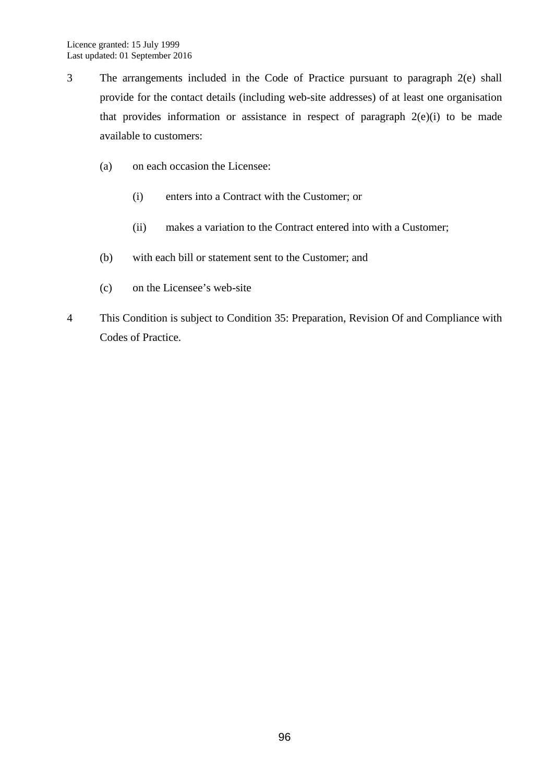- 3 The arrangements included in the Code of Practice pursuant to paragraph 2(e) shall provide for the contact details (including web-site addresses) of at least one organisation that provides information or assistance in respect of paragraph  $2(e)(i)$  to be made available to customers:
	- (a) on each occasion the Licensee:
		- (i) enters into a Contract with the Customer; or
		- (ii) makes a variation to the Contract entered into with a Customer;
	- (b) with each bill or statement sent to the Customer; and
	- (c) on the Licensee's web-site
- 4 This Condition is subject to Condition 35: Preparation, Revision Of and Compliance with Codes of Practice.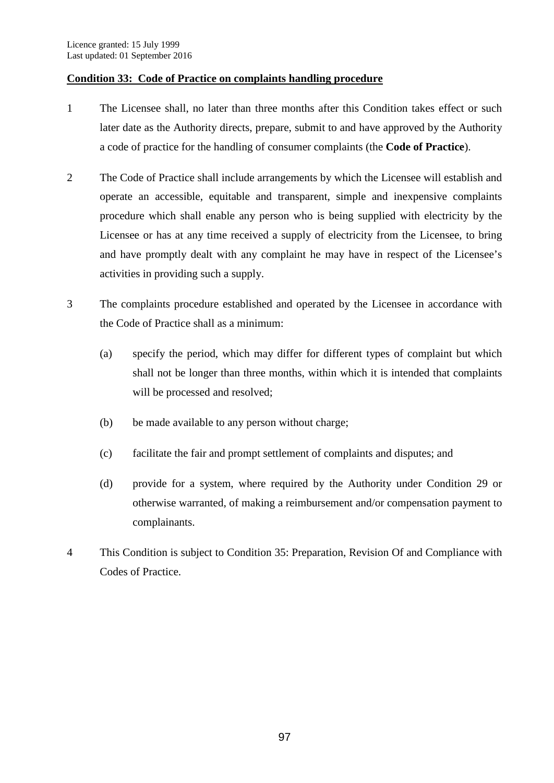## **Condition 33: Code of Practice on complaints handling procedure**

- 1 The Licensee shall, no later than three months after this Condition takes effect or such later date as the Authority directs, prepare, submit to and have approved by the Authority a code of practice for the handling of consumer complaints (the **Code of Practice**).
- 2 The Code of Practice shall include arrangements by which the Licensee will establish and operate an accessible, equitable and transparent, simple and inexpensive complaints procedure which shall enable any person who is being supplied with electricity by the Licensee or has at any time received a supply of electricity from the Licensee, to bring and have promptly dealt with any complaint he may have in respect of the Licensee's activities in providing such a supply.
- 3 The complaints procedure established and operated by the Licensee in accordance with the Code of Practice shall as a minimum:
	- (a) specify the period, which may differ for different types of complaint but which shall not be longer than three months, within which it is intended that complaints will be processed and resolved;
	- (b) be made available to any person without charge;
	- (c) facilitate the fair and prompt settlement of complaints and disputes; and
	- (d) provide for a system, where required by the Authority under Condition 29 or otherwise warranted, of making a reimbursement and/or compensation payment to complainants.
- 4 This Condition is subject to Condition 35: Preparation, Revision Of and Compliance with Codes of Practice.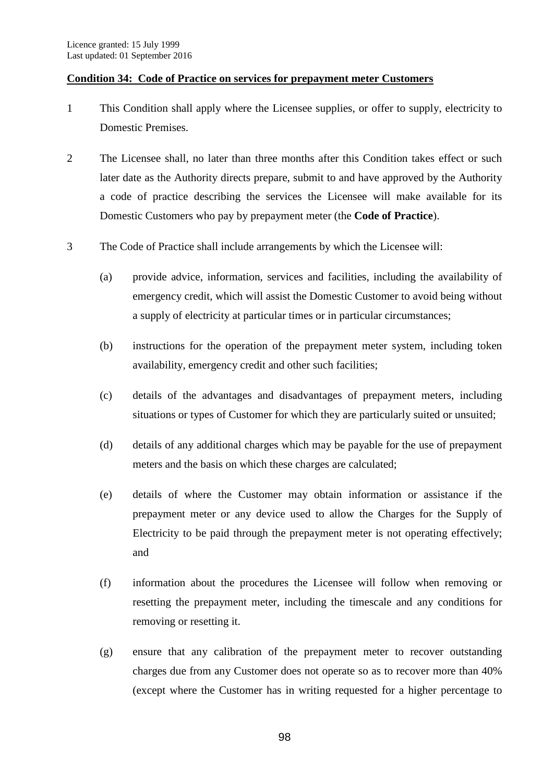### **Condition 34: Code of Practice on services for prepayment meter Customers**

- 1 This Condition shall apply where the Licensee supplies, or offer to supply, electricity to Domestic Premises.
- 2 The Licensee shall, no later than three months after this Condition takes effect or such later date as the Authority directs prepare, submit to and have approved by the Authority a code of practice describing the services the Licensee will make available for its Domestic Customers who pay by prepayment meter (the **Code of Practice**).
- 3 The Code of Practice shall include arrangements by which the Licensee will:
	- (a) provide advice, information, services and facilities, including the availability of emergency credit, which will assist the Domestic Customer to avoid being without a supply of electricity at particular times or in particular circumstances;
	- (b) instructions for the operation of the prepayment meter system, including token availability, emergency credit and other such facilities;
	- (c) details of the advantages and disadvantages of prepayment meters, including situations or types of Customer for which they are particularly suited or unsuited;
	- (d) details of any additional charges which may be payable for the use of prepayment meters and the basis on which these charges are calculated;
	- (e) details of where the Customer may obtain information or assistance if the prepayment meter or any device used to allow the Charges for the Supply of Electricity to be paid through the prepayment meter is not operating effectively; and
	- (f) information about the procedures the Licensee will follow when removing or resetting the prepayment meter, including the timescale and any conditions for removing or resetting it.
	- (g) ensure that any calibration of the prepayment meter to recover outstanding charges due from any Customer does not operate so as to recover more than 40% (except where the Customer has in writing requested for a higher percentage to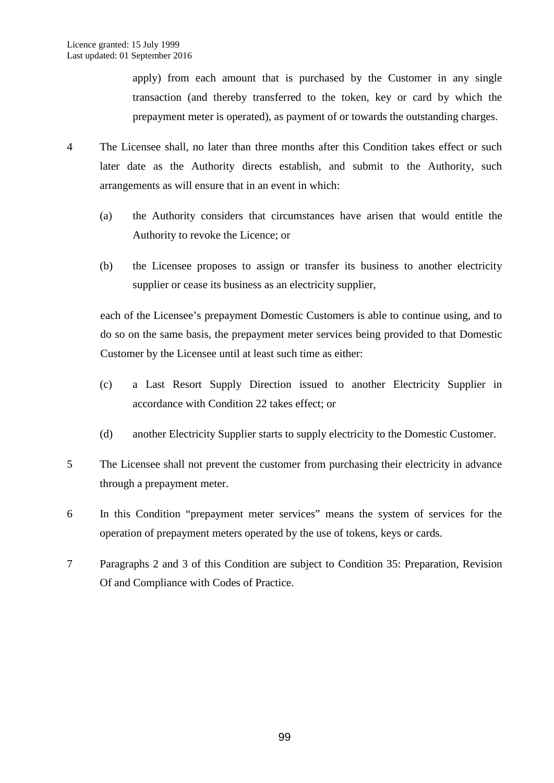apply) from each amount that is purchased by the Customer in any single transaction (and thereby transferred to the token, key or card by which the prepayment meter is operated), as payment of or towards the outstanding charges.

- 4 The Licensee shall, no later than three months after this Condition takes effect or such later date as the Authority directs establish, and submit to the Authority, such arrangements as will ensure that in an event in which:
	- (a) the Authority considers that circumstances have arisen that would entitle the Authority to revoke the Licence; or
	- (b) the Licensee proposes to assign or transfer its business to another electricity supplier or cease its business as an electricity supplier,

each of the Licensee's prepayment Domestic Customers is able to continue using, and to do so on the same basis, the prepayment meter services being provided to that Domestic Customer by the Licensee until at least such time as either:

- (c) a Last Resort Supply Direction issued to another Electricity Supplier in accordance with Condition 22 takes effect; or
- (d) another Electricity Supplier starts to supply electricity to the Domestic Customer.
- 5 The Licensee shall not prevent the customer from purchasing their electricity in advance through a prepayment meter.
- 6 In this Condition "prepayment meter services" means the system of services for the operation of prepayment meters operated by the use of tokens, keys or cards.
- 7 Paragraphs 2 and 3 of this Condition are subject to Condition 35: Preparation, Revision Of and Compliance with Codes of Practice.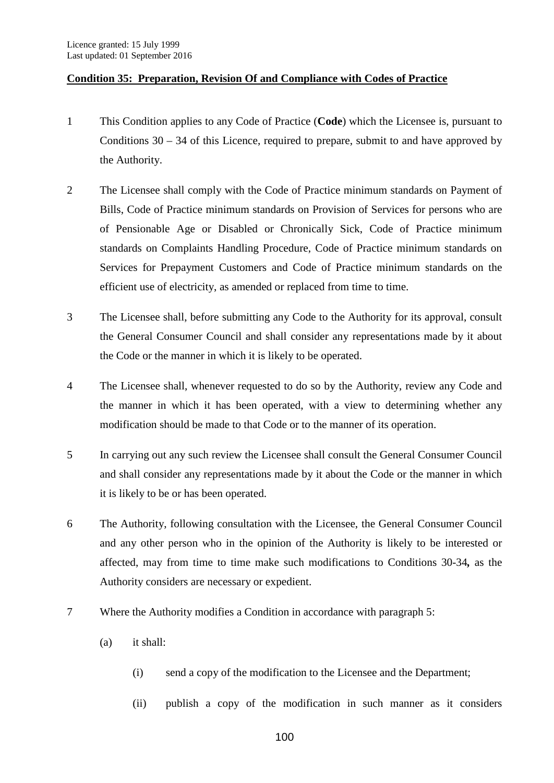## **Condition 35: Preparation, Revision Of and Compliance with Codes of Practice**

- 1 This Condition applies to any Code of Practice (**Code**) which the Licensee is, pursuant to Conditions  $30 - 34$  of this Licence, required to prepare, submit to and have approved by the Authority.
- 2 The Licensee shall comply with the Code of Practice minimum standards on Payment of Bills, Code of Practice minimum standards on Provision of Services for persons who are of Pensionable Age or Disabled or Chronically Sick, Code of Practice minimum standards on Complaints Handling Procedure, Code of Practice minimum standards on Services for Prepayment Customers and Code of Practice minimum standards on the efficient use of electricity, as amended or replaced from time to time.
- 3 The Licensee shall, before submitting any Code to the Authority for its approval, consult the General Consumer Council and shall consider any representations made by it about the Code or the manner in which it is likely to be operated.
- 4 The Licensee shall, whenever requested to do so by the Authority, review any Code and the manner in which it has been operated, with a view to determining whether any modification should be made to that Code or to the manner of its operation.
- 5 In carrying out any such review the Licensee shall consult the General Consumer Council and shall consider any representations made by it about the Code or the manner in which it is likely to be or has been operated.
- 6 The Authority, following consultation with the Licensee, the General Consumer Council and any other person who in the opinion of the Authority is likely to be interested or affected, may from time to time make such modifications to Conditions 30-34*,* as the Authority considers are necessary or expedient.
- 7 Where the Authority modifies a Condition in accordance with paragraph 5:
	- (a) it shall:
		- (i) send a copy of the modification to the Licensee and the Department;
		- (ii) publish a copy of the modification in such manner as it considers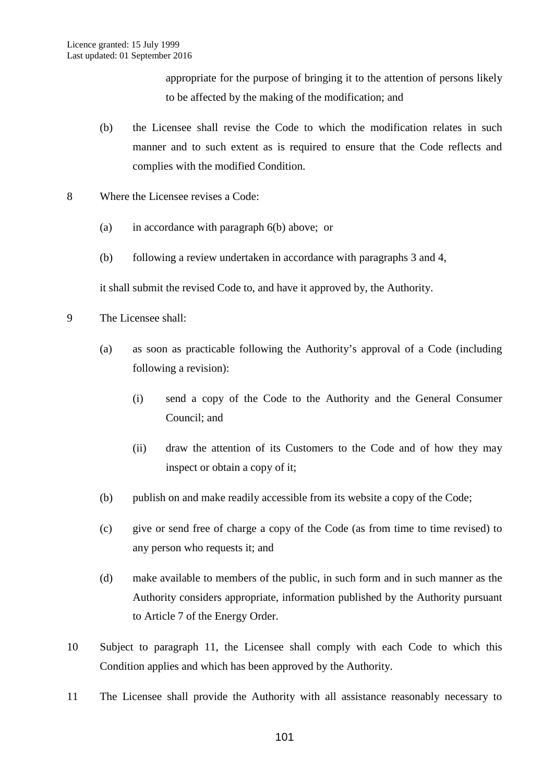appropriate for the purpose of bringing it to the attention of persons likely to be affected by the making of the modification; and

- (b) the Licensee shall revise the Code to which the modification relates in such manner and to such extent as is required to ensure that the Code reflects and complies with the modified Condition.
- 8 Where the Licensee revises a Code:
	- (a) in accordance with paragraph 6(b) above; or
	- (b) following a review undertaken in accordance with paragraphs 3 and 4,

it shall submit the revised Code to, and have it approved by, the Authority.

- 9 The Licensee shall:
	- (a) as soon as practicable following the Authority's approval of a Code (including following a revision):
		- (i) send a copy of the Code to the Authority and the General Consumer Council; and
		- (ii) draw the attention of its Customers to the Code and of how they may inspect or obtain a copy of it;
	- (b) publish on and make readily accessible from its website a copy of the Code;
	- (c) give or send free of charge a copy of the Code (as from time to time revised) to any person who requests it; and
	- (d) make available to members of the public, in such form and in such manner as the Authority considers appropriate, information published by the Authority pursuant to Article 7 of the Energy Order.
- 10 Subject to paragraph 11, the Licensee shall comply with each Code to which this Condition applies and which has been approved by the Authority.
- 11 The Licensee shall provide the Authority with all assistance reasonably necessary to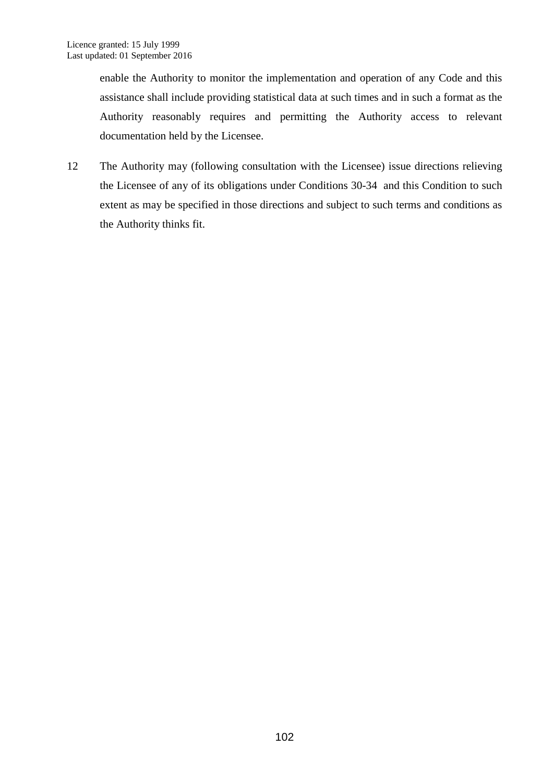enable the Authority to monitor the implementation and operation of any Code and this assistance shall include providing statistical data at such times and in such a format as the Authority reasonably requires and permitting the Authority access to relevant documentation held by the Licensee.

12 The Authority may (following consultation with the Licensee) issue directions relieving the Licensee of any of its obligations under Conditions 30-34 and this Condition to such extent as may be specified in those directions and subject to such terms and conditions as the Authority thinks fit.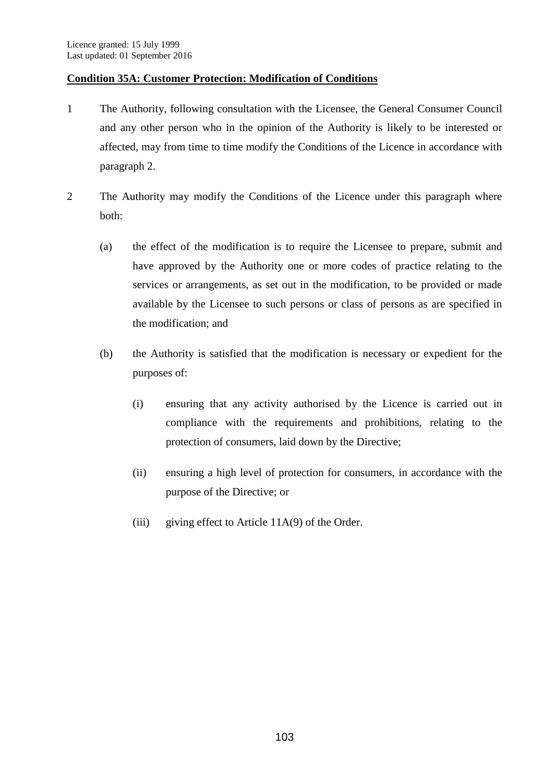## **Condition 35A: Customer Protection: Modification of Conditions**

- 1 The Authority, following consultation with the Licensee, the General Consumer Council and any other person who in the opinion of the Authority is likely to be interested or affected, may from time to time modify the Conditions of the Licence in accordance with paragraph 2.
- 2 The Authority may modify the Conditions of the Licence under this paragraph where both:
	- (a) the effect of the modification is to require the Licensee to prepare, submit and have approved by the Authority one or more codes of practice relating to the services or arrangements, as set out in the modification, to be provided or made available by the Licensee to such persons or class of persons as are specified in the modification; and
	- (b) the Authority is satisfied that the modification is necessary or expedient for the purposes of:
		- (i) ensuring that any activity authorised by the Licence is carried out in compliance with the requirements and prohibitions, relating to the protection of consumers, laid down by the Directive;
		- (ii) ensuring a high level of protection for consumers, in accordance with the purpose of the Directive; or
		- (iii) giving effect to Article 11A(9) of the Order.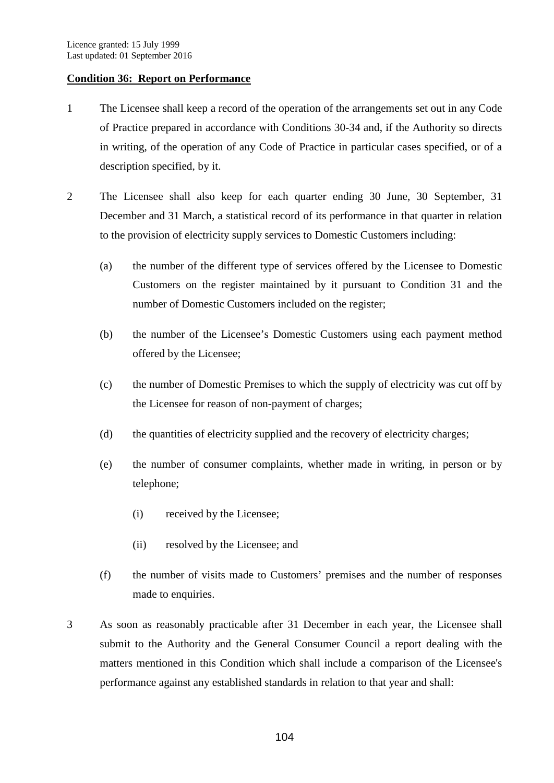### **Condition 36: Report on Performance**

- 1 The Licensee shall keep a record of the operation of the arrangements set out in any Code of Practice prepared in accordance with Conditions 30-34 and, if the Authority so directs in writing, of the operation of any Code of Practice in particular cases specified, or of a description specified, by it.
- 2 The Licensee shall also keep for each quarter ending 30 June, 30 September, 31 December and 31 March, a statistical record of its performance in that quarter in relation to the provision of electricity supply services to Domestic Customers including:
	- (a) the number of the different type of services offered by the Licensee to Domestic Customers on the register maintained by it pursuant to Condition 31 and the number of Domestic Customers included on the register;
	- (b) the number of the Licensee's Domestic Customers using each payment method offered by the Licensee;
	- (c) the number of Domestic Premises to which the supply of electricity was cut off by the Licensee for reason of non-payment of charges;
	- (d) the quantities of electricity supplied and the recovery of electricity charges;
	- (e) the number of consumer complaints, whether made in writing, in person or by telephone;
		- (i) received by the Licensee;
		- (ii) resolved by the Licensee; and
	- (f) the number of visits made to Customers' premises and the number of responses made to enquiries.
- 3 As soon as reasonably practicable after 31 December in each year, the Licensee shall submit to the Authority and the General Consumer Council a report dealing with the matters mentioned in this Condition which shall include a comparison of the Licensee's performance against any established standards in relation to that year and shall: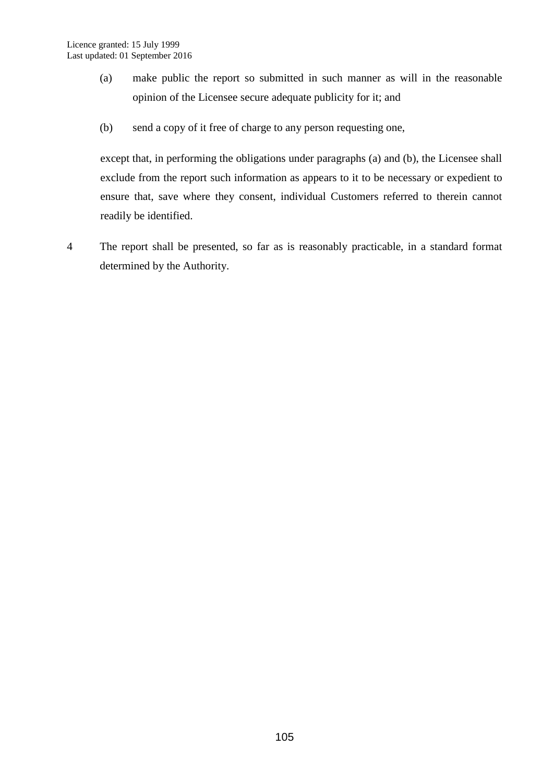- (a) make public the report so submitted in such manner as will in the reasonable opinion of the Licensee secure adequate publicity for it; and
- (b) send a copy of it free of charge to any person requesting one,

except that, in performing the obligations under paragraphs (a) and (b), the Licensee shall exclude from the report such information as appears to it to be necessary or expedient to ensure that, save where they consent, individual Customers referred to therein cannot readily be identified.

4 The report shall be presented, so far as is reasonably practicable, in a standard format determined by the Authority.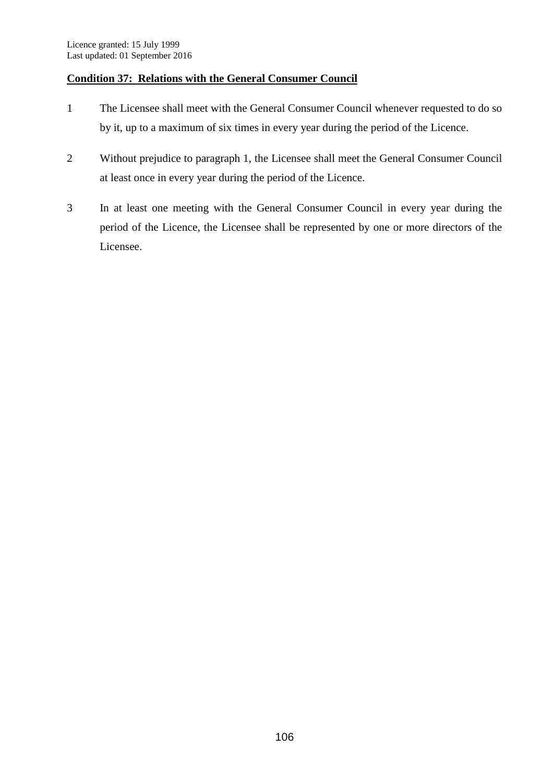## **Condition 37: Relations with the General Consumer Council**

- 1 The Licensee shall meet with the General Consumer Council whenever requested to do so by it, up to a maximum of six times in every year during the period of the Licence.
- 2 Without prejudice to paragraph 1, the Licensee shall meet the General Consumer Council at least once in every year during the period of the Licence.
- 3 In at least one meeting with the General Consumer Council in every year during the period of the Licence, the Licensee shall be represented by one or more directors of the Licensee.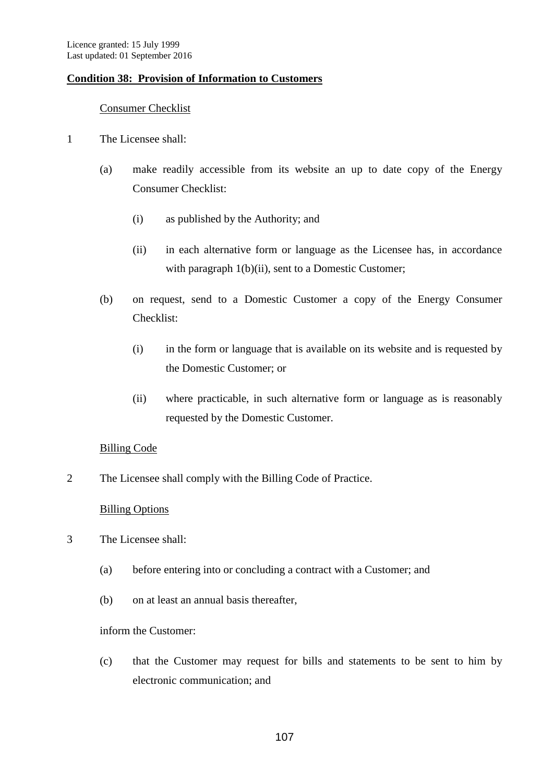## **Condition 38: Provision of Information to Customers**

## Consumer Checklist

- 1 The Licensee shall:
	- (a) make readily accessible from its website an up to date copy of the Energy Consumer Checklist:
		- (i) as published by the Authority; and
		- (ii) in each alternative form or language as the Licensee has, in accordance with paragraph 1(b)(ii), sent to a Domestic Customer;
	- (b) on request, send to a Domestic Customer a copy of the Energy Consumer Checklist:
		- (i) in the form or language that is available on its website and is requested by the Domestic Customer; or
		- (ii) where practicable, in such alternative form or language as is reasonably requested by the Domestic Customer.

## Billing Code

2 The Licensee shall comply with the Billing Code of Practice.

## Billing Options

- 3 The Licensee shall:
	- (a) before entering into or concluding a contract with a Customer; and
	- (b) on at least an annual basis thereafter,

## inform the Customer:

(c) that the Customer may request for bills and statements to be sent to him by electronic communication; and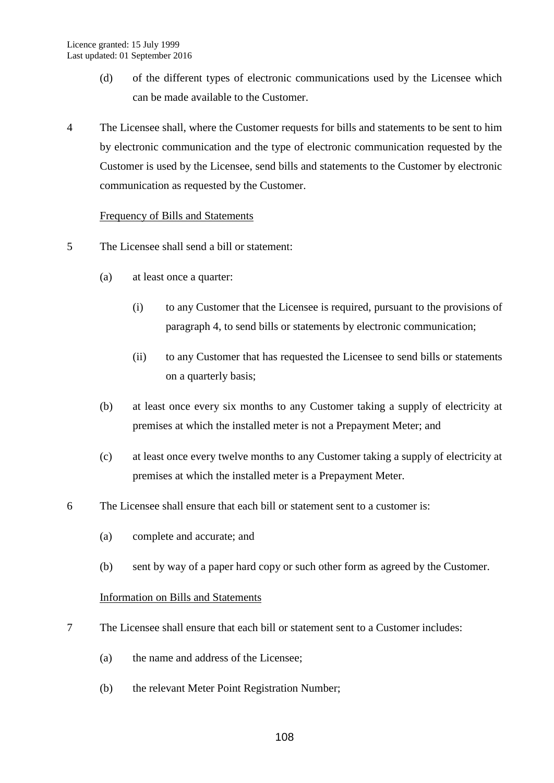- (d) of the different types of electronic communications used by the Licensee which can be made available to the Customer.
- 4 The Licensee shall, where the Customer requests for bills and statements to be sent to him by electronic communication and the type of electronic communication requested by the Customer is used by the Licensee, send bills and statements to the Customer by electronic communication as requested by the Customer.

## Frequency of Bills and Statements

- 5 The Licensee shall send a bill or statement:
	- (a) at least once a quarter:
		- (i) to any Customer that the Licensee is required, pursuant to the provisions of paragraph 4, to send bills or statements by electronic communication;
		- (ii) to any Customer that has requested the Licensee to send bills or statements on a quarterly basis;
	- (b) at least once every six months to any Customer taking a supply of electricity at premises at which the installed meter is not a Prepayment Meter; and
	- (c) at least once every twelve months to any Customer taking a supply of electricity at premises at which the installed meter is a Prepayment Meter.
- 6 The Licensee shall ensure that each bill or statement sent to a customer is:
	- (a) complete and accurate; and
	- (b) sent by way of a paper hard copy or such other form as agreed by the Customer.

## Information on Bills and Statements

- 7 The Licensee shall ensure that each bill or statement sent to a Customer includes:
	- (a) the name and address of the Licensee;
	- (b) the relevant Meter Point Registration Number;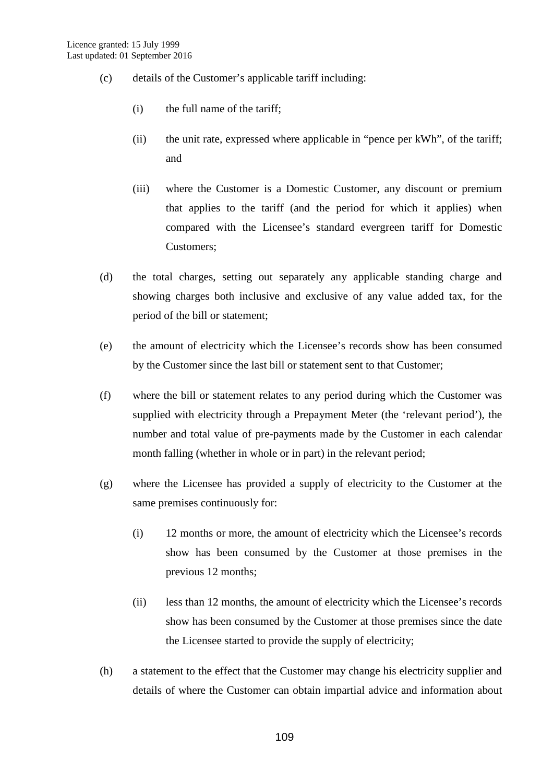- (c) details of the Customer's applicable tariff including:
	- (i) the full name of the tariff;
	- (ii) the unit rate, expressed where applicable in "pence per kWh", of the tariff; and
	- (iii) where the Customer is a Domestic Customer, any discount or premium that applies to the tariff (and the period for which it applies) when compared with the Licensee's standard evergreen tariff for Domestic Customers;
- (d) the total charges, setting out separately any applicable standing charge and showing charges both inclusive and exclusive of any value added tax, for the period of the bill or statement;
- (e) the amount of electricity which the Licensee's records show has been consumed by the Customer since the last bill or statement sent to that Customer;
- (f) where the bill or statement relates to any period during which the Customer was supplied with electricity through a Prepayment Meter (the 'relevant period'), the number and total value of pre-payments made by the Customer in each calendar month falling (whether in whole or in part) in the relevant period;
- (g) where the Licensee has provided a supply of electricity to the Customer at the same premises continuously for:
	- (i) 12 months or more, the amount of electricity which the Licensee's records show has been consumed by the Customer at those premises in the previous 12 months;
	- (ii) less than 12 months, the amount of electricity which the Licensee's records show has been consumed by the Customer at those premises since the date the Licensee started to provide the supply of electricity;
- (h) a statement to the effect that the Customer may change his electricity supplier and details of where the Customer can obtain impartial advice and information about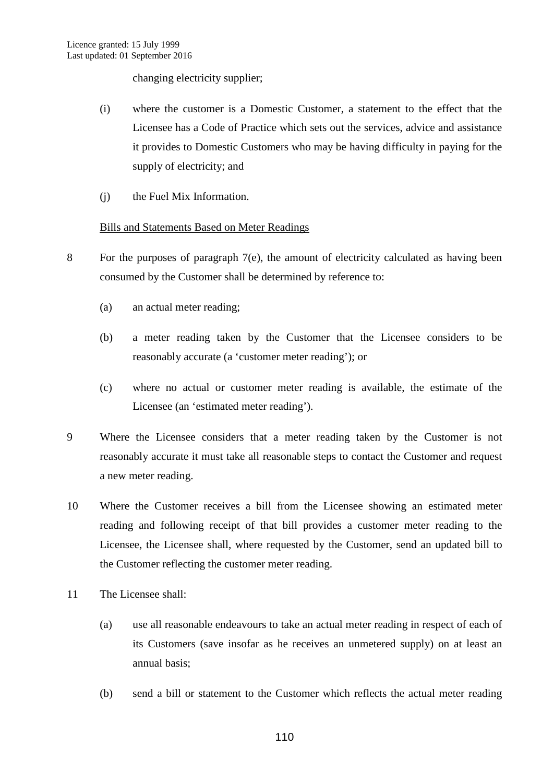changing electricity supplier;

- (i) where the customer is a Domestic Customer, a statement to the effect that the Licensee has a Code of Practice which sets out the services, advice and assistance it provides to Domestic Customers who may be having difficulty in paying for the supply of electricity; and
- (j) the Fuel Mix Information.

## Bills and Statements Based on Meter Readings

- 8 For the purposes of paragraph 7(e), the amount of electricity calculated as having been consumed by the Customer shall be determined by reference to:
	- (a) an actual meter reading;
	- (b) a meter reading taken by the Customer that the Licensee considers to be reasonably accurate (a 'customer meter reading'); or
	- (c) where no actual or customer meter reading is available, the estimate of the Licensee (an 'estimated meter reading').
- 9 Where the Licensee considers that a meter reading taken by the Customer is not reasonably accurate it must take all reasonable steps to contact the Customer and request a new meter reading.
- 10 Where the Customer receives a bill from the Licensee showing an estimated meter reading and following receipt of that bill provides a customer meter reading to the Licensee, the Licensee shall, where requested by the Customer, send an updated bill to the Customer reflecting the customer meter reading.
- 11 The Licensee shall:
	- (a) use all reasonable endeavours to take an actual meter reading in respect of each of its Customers (save insofar as he receives an unmetered supply) on at least an annual basis;
	- (b) send a bill or statement to the Customer which reflects the actual meter reading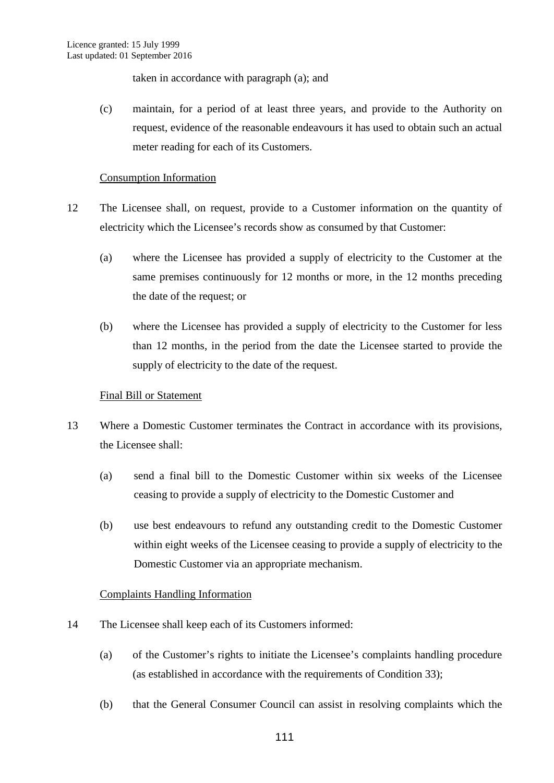taken in accordance with paragraph (a); and

(c) maintain, for a period of at least three years, and provide to the Authority on request, evidence of the reasonable endeavours it has used to obtain such an actual meter reading for each of its Customers.

## Consumption Information

- 12 The Licensee shall, on request, provide to a Customer information on the quantity of electricity which the Licensee's records show as consumed by that Customer:
	- (a) where the Licensee has provided a supply of electricity to the Customer at the same premises continuously for 12 months or more, in the 12 months preceding the date of the request; or
	- (b) where the Licensee has provided a supply of electricity to the Customer for less than 12 months, in the period from the date the Licensee started to provide the supply of electricity to the date of the request.

## Final Bill or Statement

- 13 Where a Domestic Customer terminates the Contract in accordance with its provisions, the Licensee shall:
	- (a) send a final bill to the Domestic Customer within six weeks of the Licensee ceasing to provide a supply of electricity to the Domestic Customer and
	- (b) use best endeavours to refund any outstanding credit to the Domestic Customer within eight weeks of the Licensee ceasing to provide a supply of electricity to the Domestic Customer via an appropriate mechanism.

## Complaints Handling Information

- 14 The Licensee shall keep each of its Customers informed:
	- (a) of the Customer's rights to initiate the Licensee's complaints handling procedure (as established in accordance with the requirements of Condition 33);
	- (b) that the General Consumer Council can assist in resolving complaints which the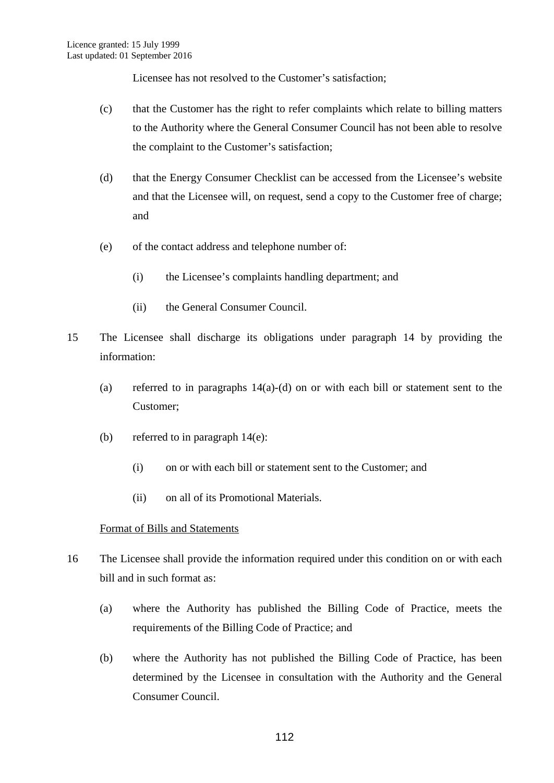Licensee has not resolved to the Customer's satisfaction;

- (c) that the Customer has the right to refer complaints which relate to billing matters to the Authority where the General Consumer Council has not been able to resolve the complaint to the Customer's satisfaction;
- (d) that the Energy Consumer Checklist can be accessed from the Licensee's website and that the Licensee will, on request, send a copy to the Customer free of charge; and
- (e) of the contact address and telephone number of:
	- (i) the Licensee's complaints handling department; and
	- (ii) the General Consumer Council.
- 15 The Licensee shall discharge its obligations under paragraph 14 by providing the information:
	- (a) referred to in paragraphs 14(a)-(d) on or with each bill or statement sent to the Customer;
	- (b) referred to in paragraph  $14(e)$ :
		- (i) on or with each bill or statement sent to the Customer; and
		- (ii) on all of its Promotional Materials.

## Format of Bills and Statements

- 16 The Licensee shall provide the information required under this condition on or with each bill and in such format as:
	- (a) where the Authority has published the Billing Code of Practice, meets the requirements of the Billing Code of Practice; and
	- (b) where the Authority has not published the Billing Code of Practice, has been determined by the Licensee in consultation with the Authority and the General Consumer Council.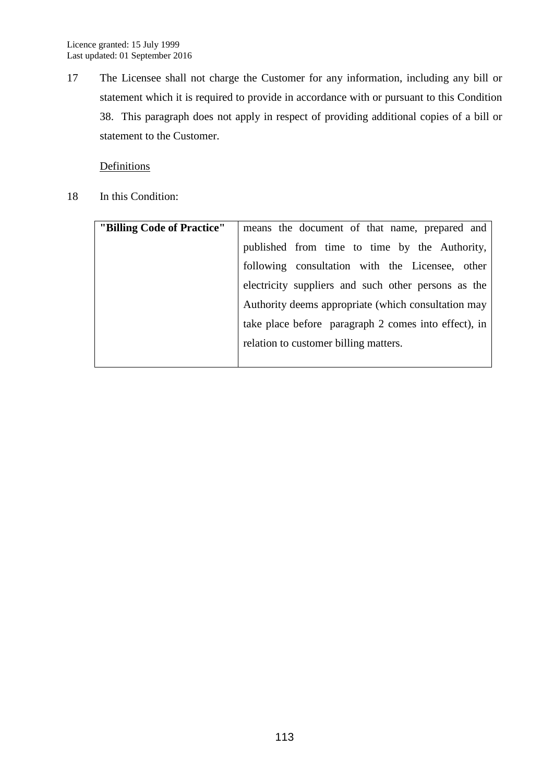17 The Licensee shall not charge the Customer for any information, including any bill or statement which it is required to provide in accordance with or pursuant to this Condition 38. This paragraph does not apply in respect of providing additional copies of a bill or statement to the Customer.

## **Definitions**

18 In this Condition:

| "Billing Code of Practice" | means the document of that name, prepared and        |
|----------------------------|------------------------------------------------------|
|                            | published from time to time by the Authority,        |
|                            | following consultation with the Licensee, other      |
|                            | electricity suppliers and such other persons as the  |
|                            | Authority deems appropriate (which consultation may  |
|                            | take place before paragraph 2 comes into effect), in |
|                            | relation to customer billing matters.                |
|                            |                                                      |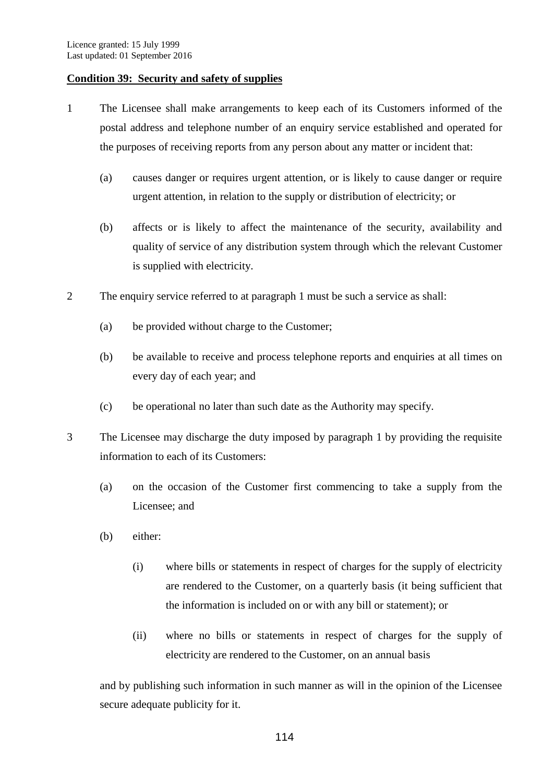## **Condition 39: Security and safety of supplies**

- 1 The Licensee shall make arrangements to keep each of its Customers informed of the postal address and telephone number of an enquiry service established and operated for the purposes of receiving reports from any person about any matter or incident that:
	- (a) causes danger or requires urgent attention, or is likely to cause danger or require urgent attention, in relation to the supply or distribution of electricity; or
	- (b) affects or is likely to affect the maintenance of the security, availability and quality of service of any distribution system through which the relevant Customer is supplied with electricity.
- 2 The enquiry service referred to at paragraph 1 must be such a service as shall:
	- (a) be provided without charge to the Customer;
	- (b) be available to receive and process telephone reports and enquiries at all times on every day of each year; and
	- (c) be operational no later than such date as the Authority may specify.
- 3 The Licensee may discharge the duty imposed by paragraph 1 by providing the requisite information to each of its Customers:
	- (a) on the occasion of the Customer first commencing to take a supply from the Licensee; and
	- (b) either:
		- (i) where bills or statements in respect of charges for the supply of electricity are rendered to the Customer, on a quarterly basis (it being sufficient that the information is included on or with any bill or statement); or
		- (ii) where no bills or statements in respect of charges for the supply of electricity are rendered to the Customer, on an annual basis

and by publishing such information in such manner as will in the opinion of the Licensee secure adequate publicity for it.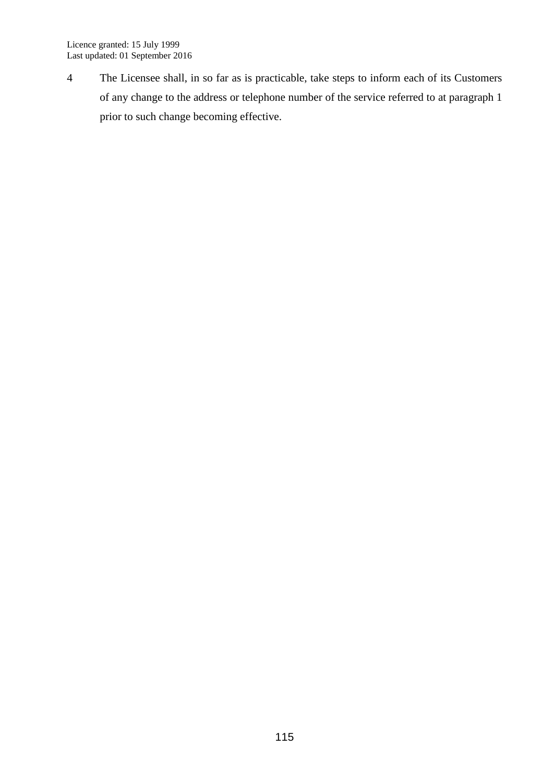4 The Licensee shall, in so far as is practicable, take steps to inform each of its Customers of any change to the address or telephone number of the service referred to at paragraph 1 prior to such change becoming effective.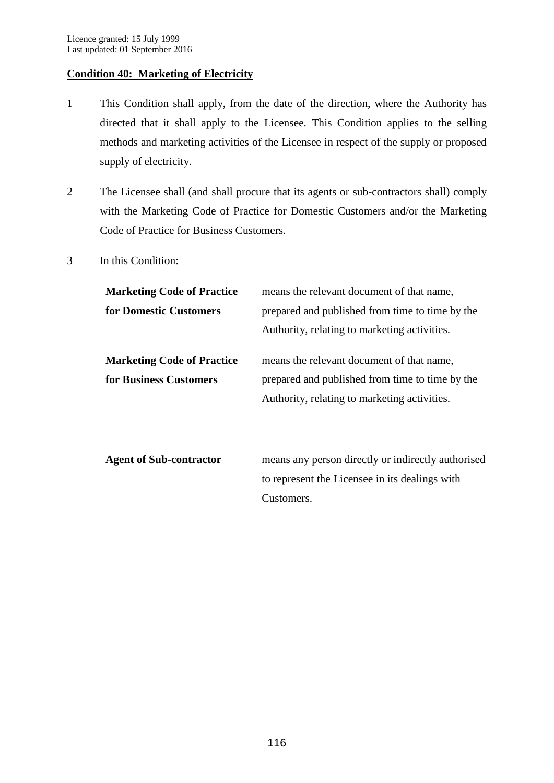## **Condition 40: Marketing of Electricity**

- 1 This Condition shall apply, from the date of the direction, where the Authority has directed that it shall apply to the Licensee. This Condition applies to the selling methods and marketing activities of the Licensee in respect of the supply or proposed supply of electricity.
- 2 The Licensee shall (and shall procure that its agents or sub-contractors shall) comply with the Marketing Code of Practice for Domestic Customers and/or the Marketing Code of Practice for Business Customers.
- 3 In this Condition:

| <b>Marketing Code of Practice</b> | means the relevant document of that name,          |
|-----------------------------------|----------------------------------------------------|
| for Domestic Customers            | prepared and published from time to time by the    |
|                                   | Authority, relating to marketing activities.       |
| <b>Marketing Code of Practice</b> | means the relevant document of that name,          |
| for Business Customers            | prepared and published from time to time by the    |
|                                   | Authority, relating to marketing activities.       |
|                                   |                                                    |
| <b>Agent of Sub-contractor</b>    | means any person directly or indirectly authorised |
|                                   |                                                    |
|                                   | to represent the Licensee in its dealings with     |

Customers.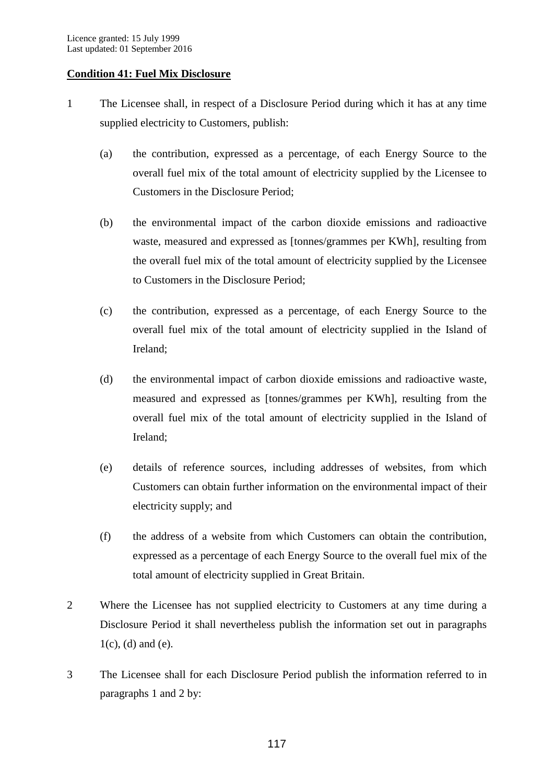## **Condition 41: Fuel Mix Disclosure**

- 1 The Licensee shall, in respect of a Disclosure Period during which it has at any time supplied electricity to Customers, publish:
	- (a) the contribution, expressed as a percentage, of each Energy Source to the overall fuel mix of the total amount of electricity supplied by the Licensee to Customers in the Disclosure Period;
	- (b) the environmental impact of the carbon dioxide emissions and radioactive waste, measured and expressed as [tonnes/grammes per KWh], resulting from the overall fuel mix of the total amount of electricity supplied by the Licensee to Customers in the Disclosure Period;
	- (c) the contribution, expressed as a percentage, of each Energy Source to the overall fuel mix of the total amount of electricity supplied in the Island of Ireland;
	- (d) the environmental impact of carbon dioxide emissions and radioactive waste, measured and expressed as [tonnes/grammes per KWh], resulting from the overall fuel mix of the total amount of electricity supplied in the Island of Ireland;
	- (e) details of reference sources, including addresses of websites, from which Customers can obtain further information on the environmental impact of their electricity supply; and
	- (f) the address of a website from which Customers can obtain the contribution, expressed as a percentage of each Energy Source to the overall fuel mix of the total amount of electricity supplied in Great Britain.
- 2 Where the Licensee has not supplied electricity to Customers at any time during a Disclosure Period it shall nevertheless publish the information set out in paragraphs  $1(c)$ , (d) and (e).
- 3 The Licensee shall for each Disclosure Period publish the information referred to in paragraphs 1 and 2 by: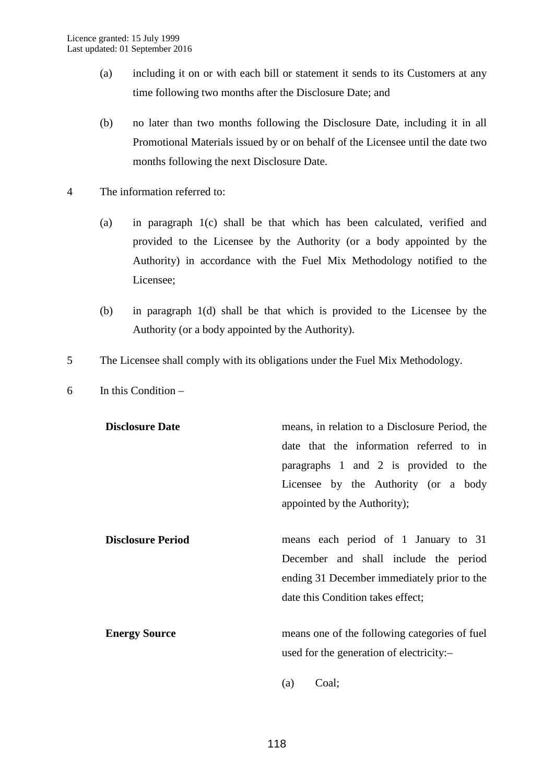- (a) including it on or with each bill or statement it sends to its Customers at any time following two months after the Disclosure Date; and
- (b) no later than two months following the Disclosure Date, including it in all Promotional Materials issued by or on behalf of the Licensee until the date two months following the next Disclosure Date.
- 4 The information referred to:
	- (a) in paragraph 1(c) shall be that which has been calculated, verified and provided to the Licensee by the Authority (or a body appointed by the Authority) in accordance with the Fuel Mix Methodology notified to the Licensee;
	- (b) in paragraph 1(d) shall be that which is provided to the Licensee by the Authority (or a body appointed by the Authority).
- 5 The Licensee shall comply with its obligations under the Fuel Mix Methodology.
- 6 In this Condition –

| <b>Disclosure Date</b>   | means, in relation to a Disclosure Period, the |
|--------------------------|------------------------------------------------|
|                          | date that the information referred to in       |
|                          | paragraphs 1 and 2 is provided to the          |
|                          | Licensee by the Authority (or a body           |
|                          | appointed by the Authority);                   |
|                          |                                                |
| <b>Disclosure Period</b> | means each period of 1 January to 31           |
|                          | December and shall include the period          |
|                          | ending 31 December immediately prior to the    |
|                          | date this Condition takes effect;              |
|                          |                                                |
| <b>Energy Source</b>     | means one of the following categories of fuel  |
|                          | used for the generation of electricity:-       |
|                          |                                                |

(a) Coal;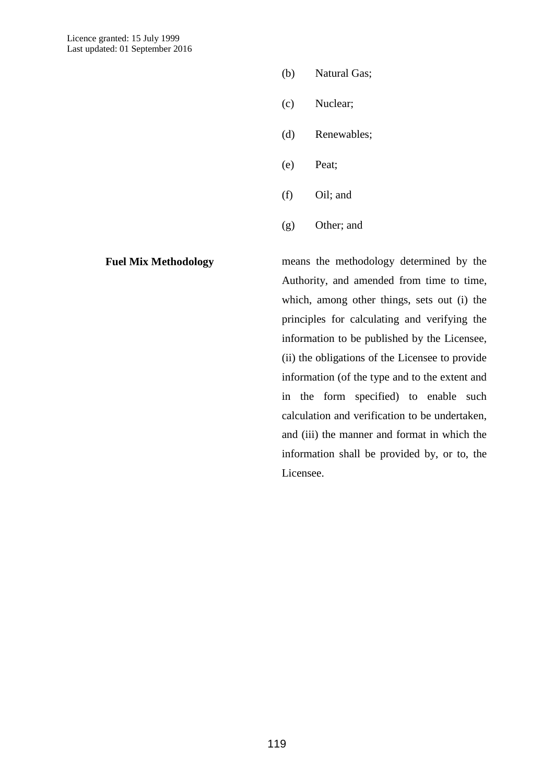- (b) Natural Gas;
- (c) Nuclear;
- (d) Renewables;
- (e) Peat;
- (f) Oil; and
- (g) Other; and

**Fuel Mix Methodology** means the methodology determined by the Authority, and amended from time to time, which, among other things, sets out (i) the principles for calculating and verifying the information to be published by the Licensee, (ii) the obligations of the Licensee to provide information (of the type and to the extent and in the form specified) to enable such calculation and verification to be undertaken, and (iii) the manner and format in which the information shall be provided by, or to, the Licensee.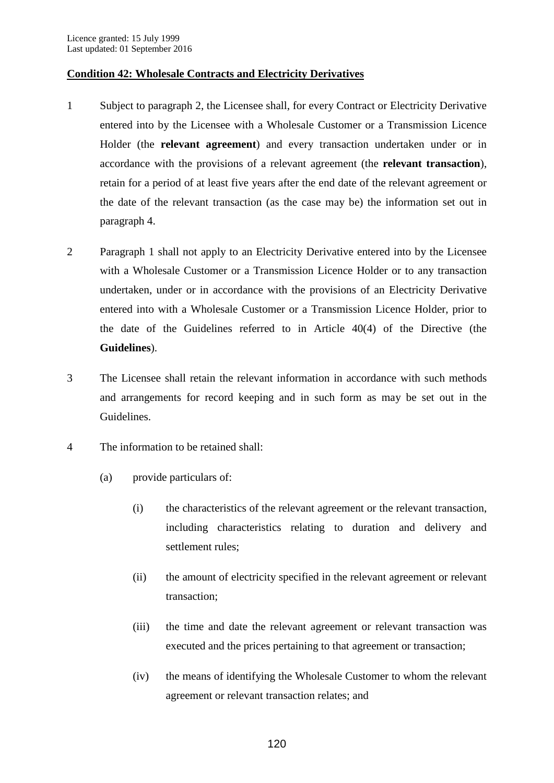## **Condition 42: Wholesale Contracts and Electricity Derivatives**

- 1 Subject to paragraph 2, the Licensee shall, for every Contract or Electricity Derivative entered into by the Licensee with a Wholesale Customer or a Transmission Licence Holder (the **relevant agreement**) and every transaction undertaken under or in accordance with the provisions of a relevant agreement (the **relevant transaction**), retain for a period of at least five years after the end date of the relevant agreement or the date of the relevant transaction (as the case may be) the information set out in paragraph 4.
- 2 Paragraph 1 shall not apply to an Electricity Derivative entered into by the Licensee with a Wholesale Customer or a Transmission Licence Holder or to any transaction undertaken, under or in accordance with the provisions of an Electricity Derivative entered into with a Wholesale Customer or a Transmission Licence Holder, prior to the date of the Guidelines referred to in Article 40(4) of the Directive (the **Guidelines**).
- 3 The Licensee shall retain the relevant information in accordance with such methods and arrangements for record keeping and in such form as may be set out in the Guidelines.
- 4 The information to be retained shall:
	- (a) provide particulars of:
		- (i) the characteristics of the relevant agreement or the relevant transaction, including characteristics relating to duration and delivery and settlement rules;
		- (ii) the amount of electricity specified in the relevant agreement or relevant transaction;
		- (iii) the time and date the relevant agreement or relevant transaction was executed and the prices pertaining to that agreement or transaction;
		- (iv) the means of identifying the Wholesale Customer to whom the relevant agreement or relevant transaction relates; and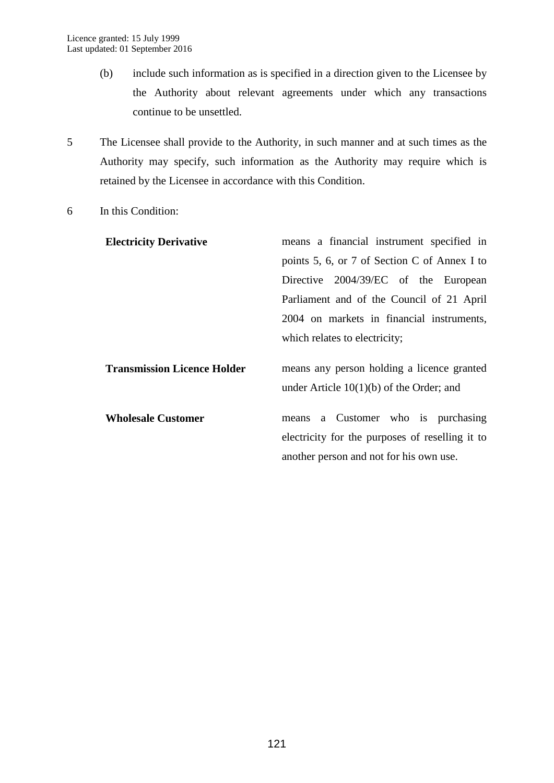- (b) include such information as is specified in a direction given to the Licensee by the Authority about relevant agreements under which any transactions continue to be unsettled.
- 5 The Licensee shall provide to the Authority, in such manner and at such times as the Authority may specify, such information as the Authority may require which is retained by the Licensee in accordance with this Condition.
- 6 In this Condition:

| <b>Electricity Derivative</b>      | means a financial instrument specified in                                                                                        |
|------------------------------------|----------------------------------------------------------------------------------------------------------------------------------|
|                                    | points 5, 6, or 7 of Section C of Annex I to                                                                                     |
|                                    | Directive 2004/39/EC of the European                                                                                             |
|                                    | Parliament and of the Council of 21 April                                                                                        |
|                                    | 2004 on markets in financial instruments,                                                                                        |
|                                    | which relates to electricity;                                                                                                    |
| <b>Transmission Licence Holder</b> | means any person holding a licence granted<br>under Article $10(1)(b)$ of the Order; and                                         |
| <b>Wholesale Customer</b>          | means a Customer who is purchasing<br>electricity for the purposes of reselling it to<br>another person and not for his own use. |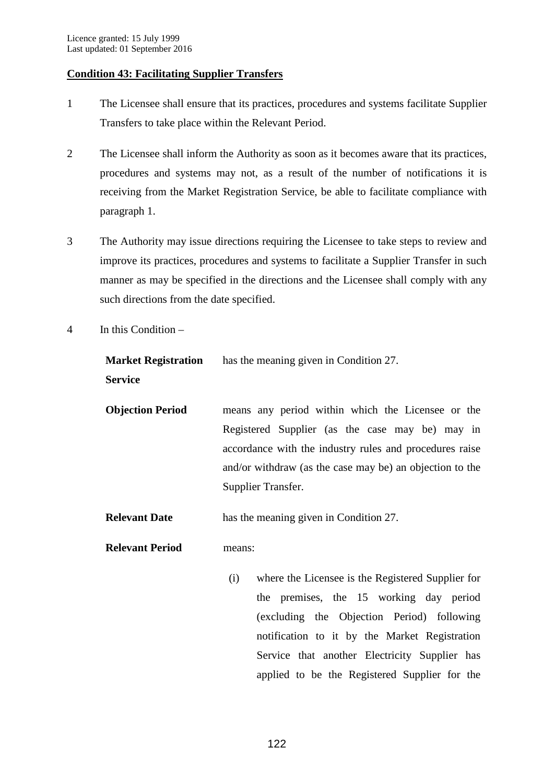## **Condition 43: Facilitating Supplier Transfers**

- 1 The Licensee shall ensure that its practices, procedures and systems facilitate Supplier Transfers to take place within the Relevant Period.
- 2 The Licensee shall inform the Authority as soon as it becomes aware that its practices, procedures and systems may not, as a result of the number of notifications it is receiving from the Market Registration Service, be able to facilitate compliance with paragraph 1.
- 3 The Authority may issue directions requiring the Licensee to take steps to review and improve its practices, procedures and systems to facilitate a Supplier Transfer in such manner as may be specified in the directions and the Licensee shall comply with any such directions from the date specified.
- 4 In this Condition –

**Market Registration Service** has the meaning given in Condition 27.

**Objection Period** means any period within which the Licensee or the Registered Supplier (as the case may be) may in accordance with the industry rules and procedures raise and/or withdraw (as the case may be) an objection to the Supplier Transfer.

**Relevant Date** has the meaning given in Condition 27.

**Relevant Period** means:

(i) where the Licensee is the Registered Supplier for the premises, the 15 working day period (excluding the Objection Period) following notification to it by the Market Registration Service that another Electricity Supplier has applied to be the Registered Supplier for the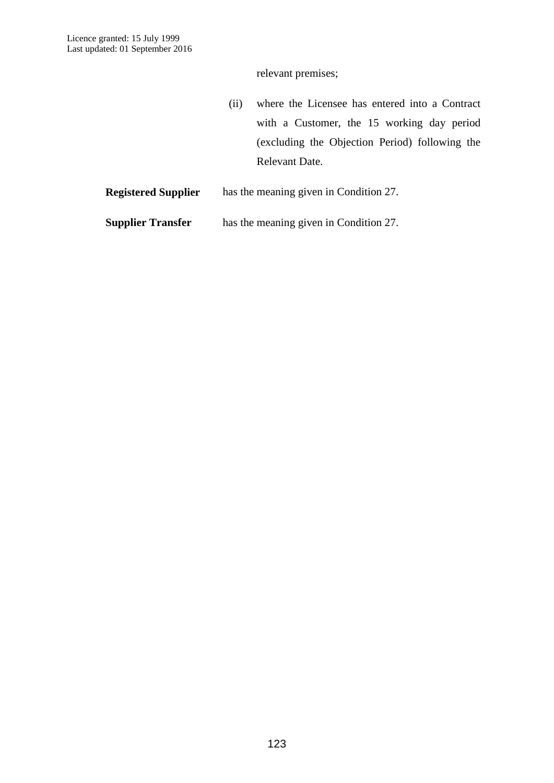relevant premises;

(ii) where the Licensee has entered into a Contract with a Customer, the 15 working day period (excluding the Objection Period) following the Relevant Date.

**Registered Supplier** has the meaning given in Condition 27.

**Supplier Transfer** has the meaning given in Condition 27.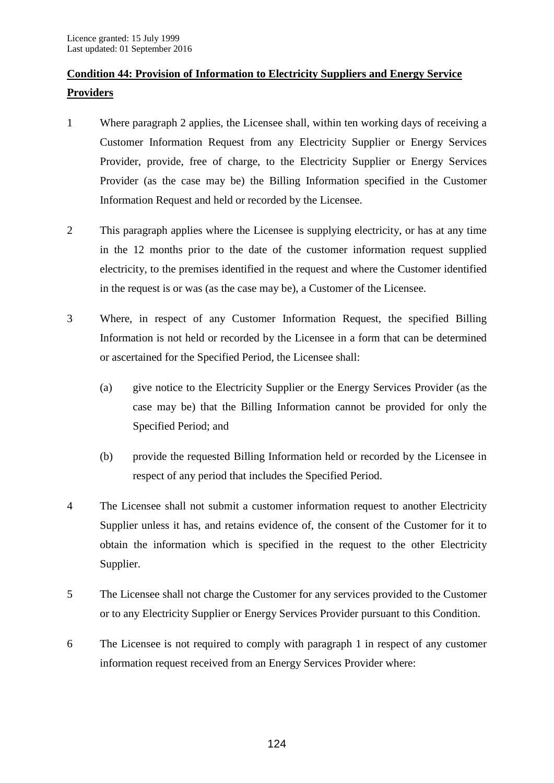# **Condition 44: Provision of Information to Electricity Suppliers and Energy Service Providers**

- 1 Where paragraph 2 applies, the Licensee shall, within ten working days of receiving a Customer Information Request from any Electricity Supplier or Energy Services Provider, provide, free of charge, to the Electricity Supplier or Energy Services Provider (as the case may be) the Billing Information specified in the Customer Information Request and held or recorded by the Licensee.
- 2 This paragraph applies where the Licensee is supplying electricity, or has at any time in the 12 months prior to the date of the customer information request supplied electricity, to the premises identified in the request and where the Customer identified in the request is or was (as the case may be), a Customer of the Licensee.
- 3 Where, in respect of any Customer Information Request, the specified Billing Information is not held or recorded by the Licensee in a form that can be determined or ascertained for the Specified Period, the Licensee shall:
	- (a) give notice to the Electricity Supplier or the Energy Services Provider (as the case may be) that the Billing Information cannot be provided for only the Specified Period; and
	- (b) provide the requested Billing Information held or recorded by the Licensee in respect of any period that includes the Specified Period.
- 4 The Licensee shall not submit a customer information request to another Electricity Supplier unless it has, and retains evidence of, the consent of the Customer for it to obtain the information which is specified in the request to the other Electricity Supplier.
- 5 The Licensee shall not charge the Customer for any services provided to the Customer or to any Electricity Supplier or Energy Services Provider pursuant to this Condition.
- 6 The Licensee is not required to comply with paragraph 1 in respect of any customer information request received from an Energy Services Provider where: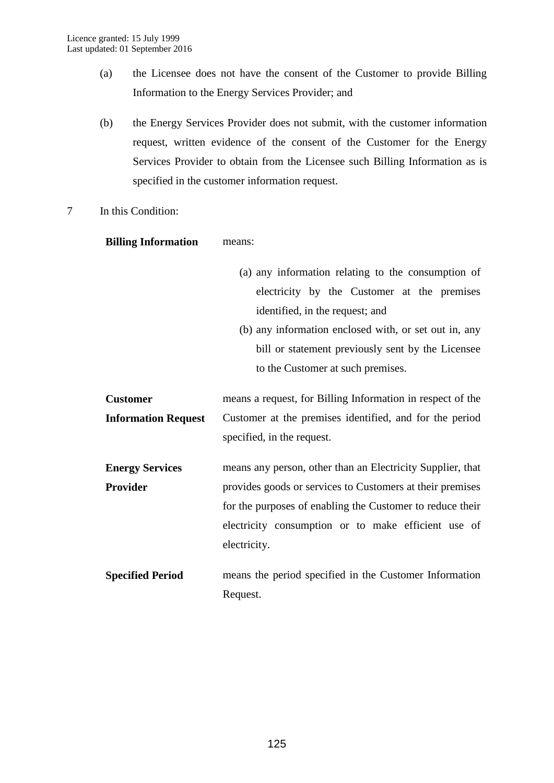- (a) the Licensee does not have the consent of the Customer to provide Billing Information to the Energy Services Provider; and
- (b) the Energy Services Provider does not submit, with the customer information request, written evidence of the consent of the Customer for the Energy Services Provider to obtain from the Licensee such Billing Information as is specified in the customer information request.
- 7 In this Condition:

## **Billing Information** means:

- (a) any information relating to the consumption of electricity by the Customer at the premises identified, in the request; and
- (b) any information enclosed with, or set out in, any bill or statement previously sent by the Licensee to the Customer at such premises.

**Customer Information Request**  means a request, for Billing Information in respect of the Customer at the premises identified, and for the period specified, in the request.

- **Energy Services Provider** means any person, other than an Electricity Supplier, that provides goods or services to Customers at their premises for the purposes of enabling the Customer to reduce their electricity consumption or to make efficient use of electricity.
- **Specified Period** means the period specified in the Customer Information Request.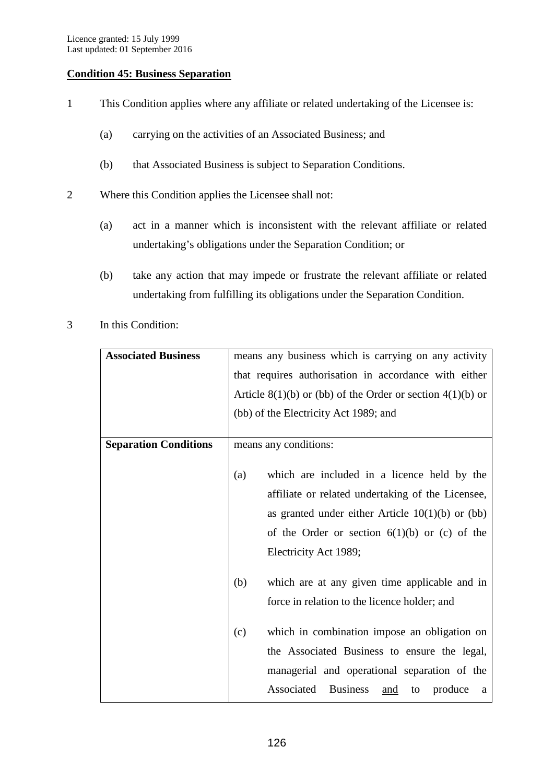## **Condition 45: Business Separation**

- 1 This Condition applies where any affiliate or related undertaking of the Licensee is:
	- (a) carrying on the activities of an Associated Business; and
	- (b) that Associated Business is subject to Separation Conditions.
- 2 Where this Condition applies the Licensee shall not:
	- (a) act in a manner which is inconsistent with the relevant affiliate or related undertaking's obligations under the Separation Condition; or
	- (b) take any action that may impede or frustrate the relevant affiliate or related undertaking from fulfilling its obligations under the Separation Condition.
- 3 In this Condition:

| <b>Associated Business</b>   | means any business which is carrying on any activity           |
|------------------------------|----------------------------------------------------------------|
|                              | that requires authorisation in accordance with either          |
|                              | Article $8(1)(b)$ or (bb) of the Order or section $4(1)(b)$ or |
|                              | (bb) of the Electricity Act 1989; and                          |
|                              |                                                                |
| <b>Separation Conditions</b> | means any conditions:                                          |
|                              |                                                                |
|                              | which are included in a licence held by the<br>(a)             |
|                              | affiliate or related undertaking of the Licensee,              |
|                              | as granted under either Article $10(1)(b)$ or (bb)             |
|                              | of the Order or section $6(1)(b)$ or (c) of the                |
|                              | Electricity Act 1989;                                          |
|                              | (b)<br>which are at any given time applicable and in           |
|                              | force in relation to the licence holder; and                   |
|                              |                                                                |
|                              | which in combination impose an obligation on<br>(c)            |
|                              | the Associated Business to ensure the legal,                   |
|                              | managerial and operational separation of the                   |
|                              | Associated<br><b>Business</b><br>produce<br>and<br>to<br>a     |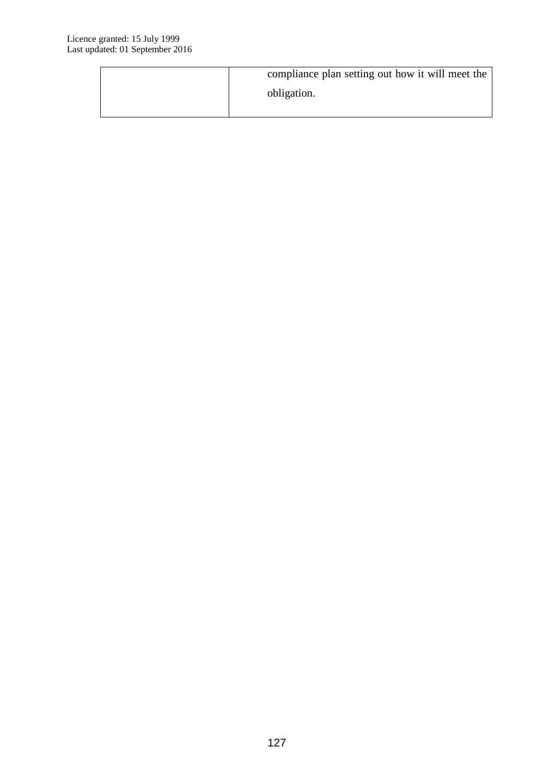| compliance plan setting out how it will meet the |
|--------------------------------------------------|
| obligation.                                      |
|                                                  |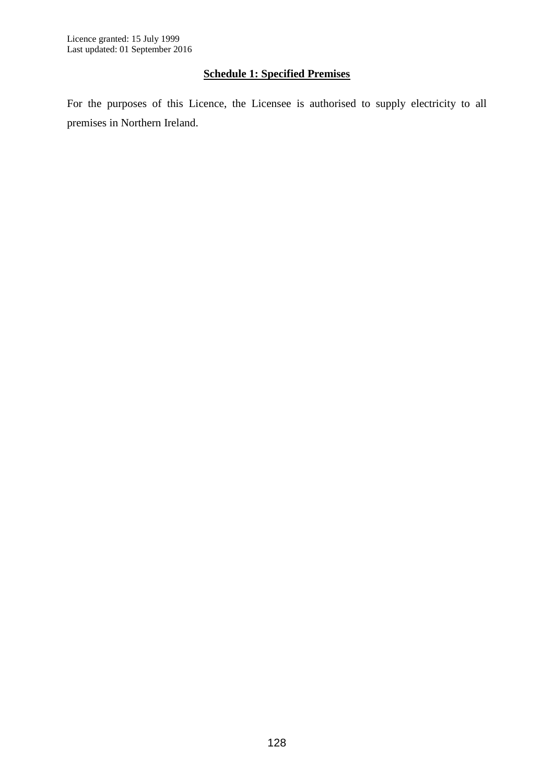## **Schedule 1: Specified Premises**

For the purposes of this Licence, the Licensee is authorised to supply electricity to all premises in Northern Ireland.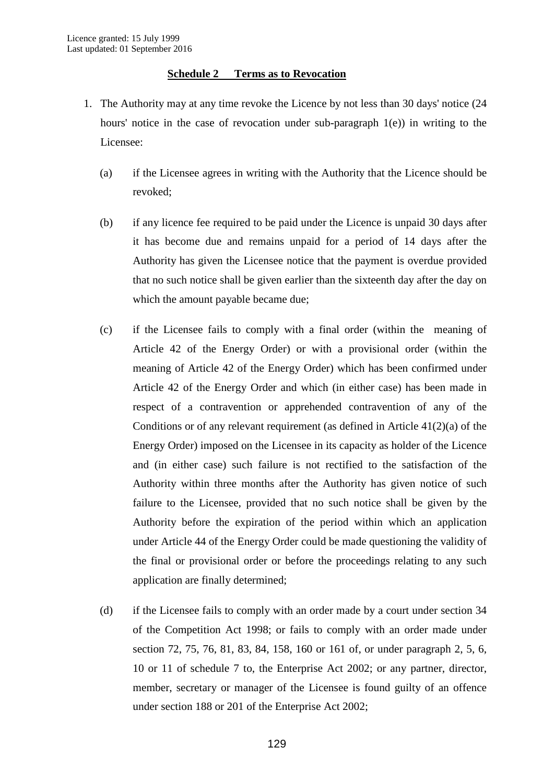## **Schedule 2 Terms as to Revocation**

- 1. The Authority may at any time revoke the Licence by not less than 30 days' notice (24 hours' notice in the case of revocation under sub-paragraph 1(e)) in writing to the Licensee:
	- (a) if the Licensee agrees in writing with the Authority that the Licence should be revoked;
	- (b) if any licence fee required to be paid under the Licence is unpaid 30 days after it has become due and remains unpaid for a period of 14 days after the Authority has given the Licensee notice that the payment is overdue provided that no such notice shall be given earlier than the sixteenth day after the day on which the amount payable became due;
	- (c) if the Licensee fails to comply with a final order (within the meaning of Article 42 of the Energy Order) or with a provisional order (within the meaning of Article 42 of the Energy Order) which has been confirmed under Article 42 of the Energy Order and which (in either case) has been made in respect of a contravention or apprehended contravention of any of the Conditions or of any relevant requirement (as defined in Article 41(2)(a) of the Energy Order) imposed on the Licensee in its capacity as holder of the Licence and (in either case) such failure is not rectified to the satisfaction of the Authority within three months after the Authority has given notice of such failure to the Licensee, provided that no such notice shall be given by the Authority before the expiration of the period within which an application under Article 44 of the Energy Order could be made questioning the validity of the final or provisional order or before the proceedings relating to any such application are finally determined;
	- (d) if the Licensee fails to comply with an order made by a court under section 34 of the Competition Act 1998; or fails to comply with an order made under section 72, 75, 76, 81, 83, 84, 158, 160 or 161 of, or under paragraph 2, 5, 6, 10 or 11 of schedule 7 to, the Enterprise Act 2002; or any partner, director, member, secretary or manager of the Licensee is found guilty of an offence under section 188 or 201 of the Enterprise Act 2002;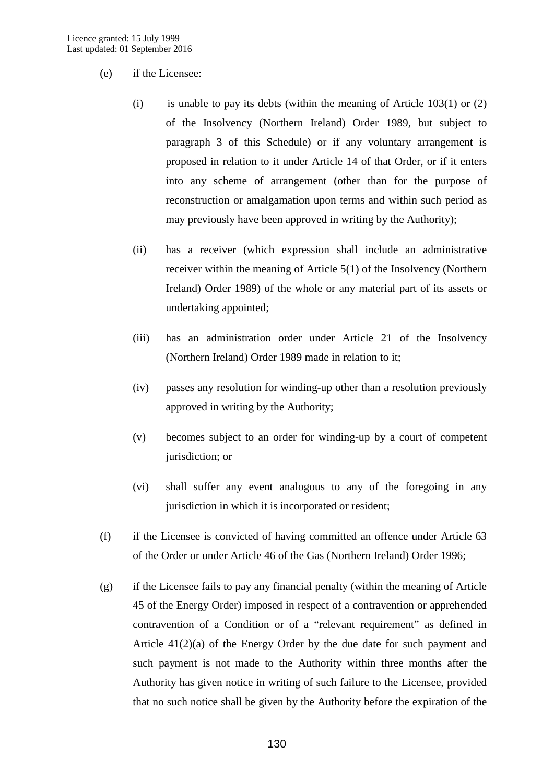- (e) if the Licensee:
	- (i) is unable to pay its debts (within the meaning of Article  $103(1)$  or  $(2)$ of the Insolvency (Northern Ireland) Order 1989, but subject to paragraph 3 of this Schedule) or if any voluntary arrangement is proposed in relation to it under Article 14 of that Order, or if it enters into any scheme of arrangement (other than for the purpose of reconstruction or amalgamation upon terms and within such period as may previously have been approved in writing by the Authority);
	- (ii) has a receiver (which expression shall include an administrative receiver within the meaning of Article 5(1) of the Insolvency (Northern Ireland) Order 1989) of the whole or any material part of its assets or undertaking appointed;
	- (iii) has an administration order under Article 21 of the Insolvency (Northern Ireland) Order 1989 made in relation to it;
	- (iv) passes any resolution for winding-up other than a resolution previously approved in writing by the Authority;
	- (v) becomes subject to an order for winding-up by a court of competent jurisdiction; or
	- (vi) shall suffer any event analogous to any of the foregoing in any jurisdiction in which it is incorporated or resident;
- (f) if the Licensee is convicted of having committed an offence under Article 63 of the Order or under Article 46 of the Gas (Northern Ireland) Order 1996;
- (g) if the Licensee fails to pay any financial penalty (within the meaning of Article 45 of the Energy Order) imposed in respect of a contravention or apprehended contravention of a Condition or of a "relevant requirement" as defined in Article  $41(2)(a)$  of the Energy Order by the due date for such payment and such payment is not made to the Authority within three months after the Authority has given notice in writing of such failure to the Licensee, provided that no such notice shall be given by the Authority before the expiration of the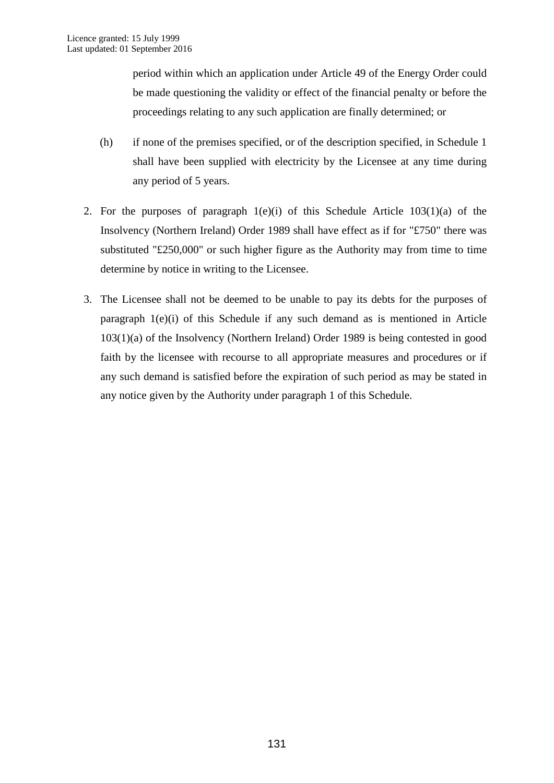period within which an application under Article 49 of the Energy Order could be made questioning the validity or effect of the financial penalty or before the proceedings relating to any such application are finally determined; or

- (h) if none of the premises specified, or of the description specified, in Schedule 1 shall have been supplied with electricity by the Licensee at any time during any period of 5 years.
- 2. For the purposes of paragraph  $1(e)(i)$  of this Schedule Article  $103(1)(a)$  of the Insolvency (Northern Ireland) Order 1989 shall have effect as if for "£750" there was substituted "£250,000" or such higher figure as the Authority may from time to time determine by notice in writing to the Licensee.
- 3. The Licensee shall not be deemed to be unable to pay its debts for the purposes of paragraph 1(e)(i) of this Schedule if any such demand as is mentioned in Article 103(1)(a) of the Insolvency (Northern Ireland) Order 1989 is being contested in good faith by the licensee with recourse to all appropriate measures and procedures or if any such demand is satisfied before the expiration of such period as may be stated in any notice given by the Authority under paragraph 1 of this Schedule.